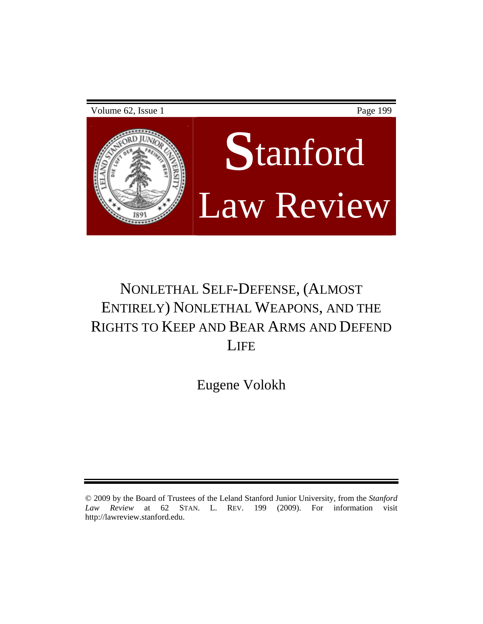# Volume 62, Issue 1 Page 199 **S**tanford Law Review

# NONLETHAL SELF-DEFENSE, (ALMOST ENTIRELY) NONLETHAL WEAPONS, AND THE RIGHTS TO KEEP AND BEAR ARMS AND DEFEND **LIFE**

Eugene Volokh

<sup>© 2009</sup> by the Board of Trustees of the Leland Stanford Junior University, from the *Stanford Law Review* at 62 STAN. L. REV. 199 (2009). For information visit http://lawreview.stanford.edu.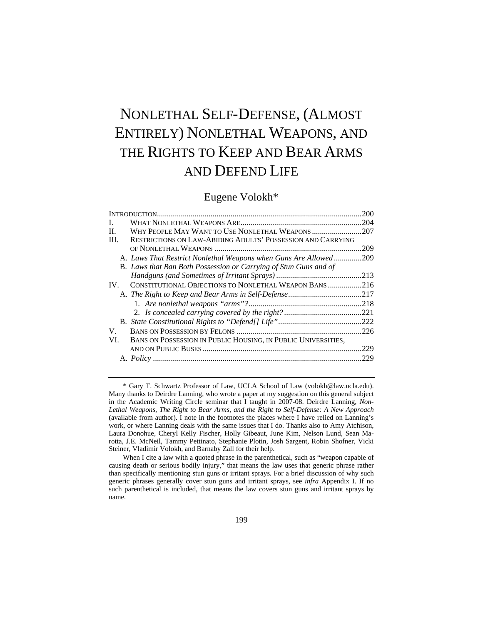# NONLETHAL SELF-DEFENSE, (ALMOST ENTIRELY) NONLETHAL WEAPONS, AND THE RIGHTS TO KEEP AND BEAR ARMS AND DEFEND LIFE

# Eugene Volokh\*

|                                                                      | 200  |
|----------------------------------------------------------------------|------|
| L                                                                    | .204 |
| WHY PEOPLE MAY WANT TO USE NONLETHAL WEAPONS<br>П.                   | .207 |
| RESTRICTIONS ON LAW-ABIDING ADULTS' POSSESSION AND CARRYING<br>III.  |      |
|                                                                      | 209  |
| A. Laws That Restrict Nonlethal Weapons when Guns Are Allowed        | .209 |
| B. Laws that Ban Both Possession or Carrying of Stun Guns and of     |      |
|                                                                      | .213 |
| CONSTITUTIONAL OBJECTIONS TO NONLETHAL WEAPON BANS<br>IV.            | .216 |
|                                                                      | .217 |
|                                                                      | .218 |
|                                                                      | .221 |
|                                                                      | .222 |
| V.                                                                   | .226 |
| BANS ON POSSESSION IN PUBLIC HOUSING, IN PUBLIC UNIVERSITIES,<br>VI. |      |
|                                                                      | .229 |
|                                                                      | .229 |
|                                                                      |      |

<sup>\*</sup> Gary T. Schwartz Professor of Law, UCLA School of Law (volokh@law.ucla.edu). Many thanks to Deirdre Lanning, who wrote a paper at my suggestion on this general subject in the Academic Writing Circle seminar that I taught in 2007-08. Deirdre Lanning, *Non-Lethal Weapons, The Right to Bear Arms, and the Right to Self-Defense: A New Approach* (available from author). I note in the footnotes the places where I have relied on Lanning's work, or where Lanning deals with the same issues that I do. Thanks also to Amy Atchison, Laura Donohue, Cheryl Kelly Fischer, Holly Gibeaut, June Kim, Nelson Lund, Sean Marotta, J.E. McNeil, Tammy Pettinato, Stephanie Plotin, Josh Sargent, Robin Shofner, Vicki Steiner, Vladimir Volokh, and Barnaby Zall for their help.

When I cite a law with a quoted phrase in the parenthetical, such as "weapon capable of causing death or serious bodily injury," that means the law uses that generic phrase rather than specifically mentioning stun guns or irritant sprays. For a brief discussion of why such generic phrases generally cover stun guns and irritant sprays, see *infra* Appendix I. If no such parenthetical is included, that means the law covers stun guns and irritant sprays by name.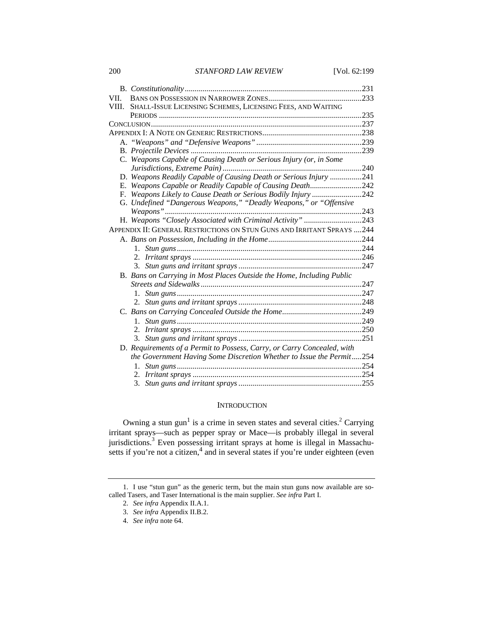| VII.  |                                                                         | .233 |
|-------|-------------------------------------------------------------------------|------|
| VIII. | SHALL-ISSUE LICENSING SCHEMES, LICENSING FEES, AND WAITING              |      |
|       |                                                                         | .235 |
|       |                                                                         |      |
|       |                                                                         |      |
|       |                                                                         |      |
|       |                                                                         |      |
|       | C. Weapons Capable of Causing Death or Serious Injury (or, in Some      |      |
|       |                                                                         |      |
|       | D. Weapons Readily Capable of Causing Death or Serious Injury 241       |      |
|       | E. Weapons Capable or Readily Capable of Causing Death242               |      |
|       | F. Weapons Likely to Cause Death or Serious Bodily Injury 242           |      |
|       | G. Undefined "Dangerous Weapons," "Deadly Weapons," or "Offensive       |      |
|       |                                                                         | .243 |
|       | H. Weapons "Closely Associated with Criminal Activity" 243              |      |
|       | APPENDIX II: GENERAL RESTRICTIONS ON STUN GUNS AND IRRITANT SPRAYS 244  |      |
|       |                                                                         |      |
|       |                                                                         |      |
|       |                                                                         |      |
|       |                                                                         |      |
|       | B. Bans on Carrying in Most Places Outside the Home, Including Public   |      |
|       |                                                                         |      |
|       |                                                                         |      |
|       |                                                                         |      |
|       |                                                                         |      |
|       |                                                                         |      |
|       |                                                                         |      |
|       |                                                                         |      |
|       | D. Requirements of a Permit to Possess, Carry, or Carry Concealed, with |      |
|       | the Government Having Some Discretion Whether to Issue the Permit254    |      |
|       |                                                                         |      |
|       |                                                                         |      |
|       |                                                                         |      |
|       |                                                                         |      |

#### **INTRODUCTION**

Owning a stun gun<sup>1</sup> is a crime in seven states and several cities.<sup>2</sup> Carrying irritant sprays—such as pepper spray or Mace—is probably illegal in several jurisdictions.<sup>3</sup> Even possessing irritant sprays at home is illegal in Massachusetts if you're not a citizen, $4 \text{ and in several states if you're under eighteen (even)}$ 

<sup>1.</sup> I use "stun gun" as the generic term, but the main stun guns now available are socalled Tasers, and Taser International is the main supplier. *See infra* Part I.

<sup>2.</sup> *See infra* Appendix II.A.1.

<sup>3.</sup> *See infra* Appendix II.B.2.

<sup>4.</sup> *See infra* note 64.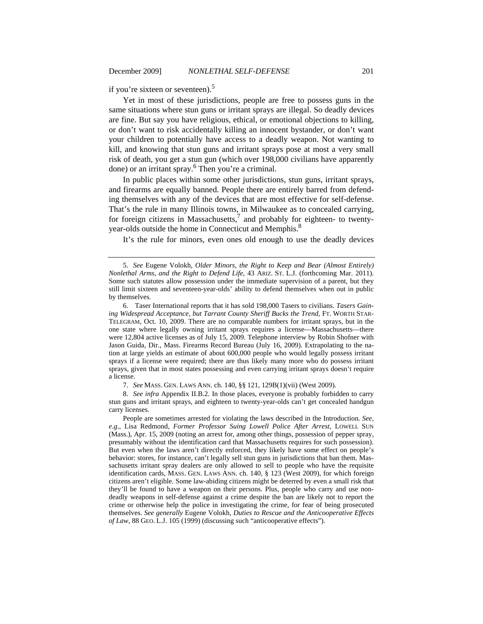if you're sixteen or seventeen).<sup>5</sup>

Yet in most of these jurisdictions, people are free to possess guns in the same situations where stun guns or irritant sprays are illegal. So deadly devices are fine. But say you have religious, ethical, or emotional objections to killing, or don't want to risk accidentally killing an innocent bystander, or don't want your children to potentially have access to a deadly weapon. Not wanting to kill, and knowing that stun guns and irritant sprays pose at most a very small risk of death, you get a stun gun (which over 198,000 civilians have apparently done) or an irritant spray.<sup>6</sup> Then you're a criminal.

In public places within some other jurisdictions, stun guns, irritant sprays, and firearms are equally banned. People there are entirely barred from defending themselves with any of the devices that are most effective for self-defense. That's the rule in many Illinois towns, in Milwaukee as to concealed carrying, for foreign citizens in Massachusetts,<sup>7</sup> and probably for eighteen- to twentyyear-olds outside the home in Connecticut and Memphis.<sup>8</sup>

It's the rule for minors, even ones old enough to use the deadly devices

6. Taser International reports that it has sold 198,000 Tasers to civilians. *Tasers Gaining Widespread Acceptance, but Tarrant County Sheriff Bucks the Trend*, FT. WORTH STAR-TELEGRAM, Oct. 10, 2009. There are no comparable numbers for irritant sprays, but in the one state where legally owning irritant sprays requires a license—Massachusetts—there were 12,804 active licenses as of July 15, 2009. Telephone interview by Robin Shofner with Jason Guida, Dir., Mass. Firearms Record Bureau (July 16, 2009). Extrapolating to the nation at large yields an estimate of about 600,000 people who would legally possess irritant sprays if a license were required; there are thus likely many more who do possess irritant sprays, given that in most states possessing and even carrying irritant sprays doesn't require a license.

7. *See* MASS. GEN. LAWS ANN. ch. 140, §§ 121, 129B(1)(vii) (West 2009).

8. *See infra* Appendix II.B.2. In those places, everyone is probably forbidden to carry stun guns and irritant sprays, and eighteen to twenty-year-olds can't get concealed handgun carry licenses.

 People are sometimes arrested for violating the laws described in the Introduction. *See, e*.*g*., Lisa Redmond, *Former Professor Suing Lowell Police After Arrest*, LOWELL SUN (Mass.), Apr. 15, 2009 (noting an arrest for, among other things, possession of pepper spray, presumably without the identification card that Massachusetts requires for such possession). But even when the laws aren't directly enforced, they likely have some effect on people's behavior: stores, for instance, can't legally sell stun guns in jurisdictions that ban them. Massachusetts irritant spray dealers are only allowed to sell to people who have the requisite identification cards, MASS. GEN. LAWS ANN. ch. 140, § 123 (West 2009), for which foreign citizens aren't eligible. Some law-abiding citizens might be deterred by even a small risk that they'll be found to have a weapon on their persons. Plus, people who carry and use nondeadly weapons in self-defense against a crime despite the ban are likely not to report the crime or otherwise help the police in investigating the crime, for fear of being prosecuted themselves. *See generally* Eugene Volokh, *Duties to Rescue and the Anticooperative Effects of Law*, 88 GEO. L.J. 105 (1999) (discussing such "anticooperative effects").

<sup>5.</sup> *See* Eugene Volokh, *Older Minors, the Right to Keep and Bear (Almost Entirely) Nonlethal Arms, and the Right to Defend Life*, 43 ARIZ. ST. L.J. (forthcoming Mar. 2011). Some such statutes allow possession under the immediate supervision of a parent, but they still limit sixteen and seventeen-year-olds' ability to defend themselves when out in public by themselves.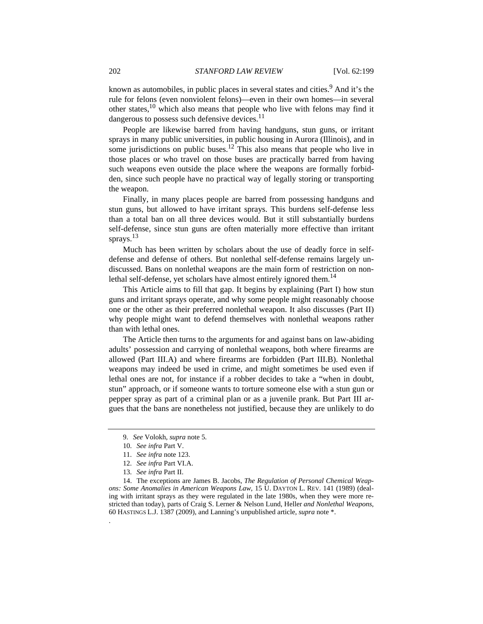known as automobiles, in public places in several states and cities.<sup>9</sup> And it's the rule for felons (even nonviolent felons)—even in their own homes—in several other states, $10$  which also means that people who live with felons may find it dangerous to possess such defensive devices. $<sup>11</sup>$ </sup>

People are likewise barred from having handguns, stun guns, or irritant sprays in many public universities, in public housing in Aurora (Illinois), and in some jurisdictions on public buses.<sup>12</sup> This also means that people who live in those places or who travel on those buses are practically barred from having such weapons even outside the place where the weapons are formally forbidden, since such people have no practical way of legally storing or transporting the weapon.

Finally, in many places people are barred from possessing handguns and stun guns, but allowed to have irritant sprays. This burdens self-defense less than a total ban on all three devices would. But it still substantially burdens self-defense, since stun guns are often materially more effective than irritant sprays. $^{13}$ 

Much has been written by scholars about the use of deadly force in selfdefense and defense of others. But nonlethal self-defense remains largely undiscussed. Bans on nonlethal weapons are the main form of restriction on nonlethal self-defense, yet scholars have almost entirely ignored them.<sup>14</sup>

This Article aims to fill that gap. It begins by explaining (Part I) how stun guns and irritant sprays operate, and why some people might reasonably choose one or the other as their preferred nonlethal weapon. It also discusses (Part II) why people might want to defend themselves with nonlethal weapons rather than with lethal ones.

The Article then turns to the arguments for and against bans on law-abiding adults' possession and carrying of nonlethal weapons, both where firearms are allowed (Part III.A) and where firearms are forbidden (Part III.B). Nonlethal weapons may indeed be used in crime, and might sometimes be used even if lethal ones are not, for instance if a robber decides to take a "when in doubt, stun" approach, or if someone wants to torture someone else with a stun gun or pepper spray as part of a criminal plan or as a juvenile prank. But Part III argues that the bans are nonetheless not justified, because they are unlikely to do

- 11. *See infra* note 123.
- 12. *See infra* Part VI.A.
- 13. *See infra* Part II.

.

14. The exceptions are James B. Jacobs, *The Regulation of Personal Chemical Weapons: Some Anomalies in American Weapons Law*, 15 U. DAYTON L. REV. 141 (1989) (dealing with irritant sprays as they were regulated in the late 1980s, when they were more restricted than today), parts of Craig S. Lerner & Nelson Lund, Heller *and Nonlethal Weapons*, 60 HASTINGS L.J. 1387 (2009), and Lanning's unpublished article, *supra* note \*.

<sup>9.</sup> *See* Volokh, *supra* note 5.

<sup>10.</sup> *See infra* Part V.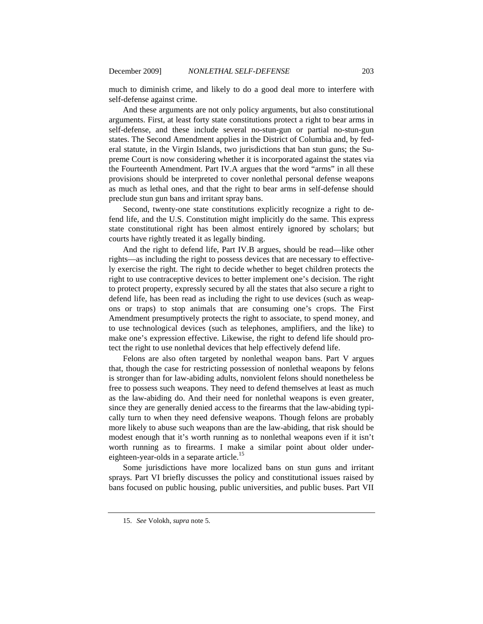much to diminish crime, and likely to do a good deal more to interfere with self-defense against crime.

And these arguments are not only policy arguments, but also constitutional arguments. First, at least forty state constitutions protect a right to bear arms in self-defense, and these include several no-stun-gun or partial no-stun-gun states. The Second Amendment applies in the District of Columbia and, by federal statute, in the Virgin Islands, two jurisdictions that ban stun guns; the Supreme Court is now considering whether it is incorporated against the states via the Fourteenth Amendment. Part IV.A argues that the word "arms" in all these provisions should be interpreted to cover nonlethal personal defense weapons as much as lethal ones, and that the right to bear arms in self-defense should preclude stun gun bans and irritant spray bans.

Second, twenty-one state constitutions explicitly recognize a right to defend life, and the U.S. Constitution might implicitly do the same. This express state constitutional right has been almost entirely ignored by scholars; but courts have rightly treated it as legally binding.

And the right to defend life, Part IV.B argues, should be read—like other rights—as including the right to possess devices that are necessary to effectively exercise the right. The right to decide whether to beget children protects the right to use contraceptive devices to better implement one's decision. The right to protect property, expressly secured by all the states that also secure a right to defend life, has been read as including the right to use devices (such as weapons or traps) to stop animals that are consuming one's crops. The First Amendment presumptively protects the right to associate, to spend money, and to use technological devices (such as telephones, amplifiers, and the like) to make one's expression effective. Likewise, the right to defend life should protect the right to use nonlethal devices that help effectively defend life.

Felons are also often targeted by nonlethal weapon bans. Part V argues that, though the case for restricting possession of nonlethal weapons by felons is stronger than for law-abiding adults, nonviolent felons should nonetheless be free to possess such weapons. They need to defend themselves at least as much as the law-abiding do. And their need for nonlethal weapons is even greater, since they are generally denied access to the firearms that the law-abiding typically turn to when they need defensive weapons. Though felons are probably more likely to abuse such weapons than are the law-abiding, that risk should be modest enough that it's worth running as to nonlethal weapons even if it isn't worth running as to firearms. I make a similar point about older undereighteen-year-olds in a separate article.<sup>15</sup>

Some jurisdictions have more localized bans on stun guns and irritant sprays. Part VI briefly discusses the policy and constitutional issues raised by bans focused on public housing, public universities, and public buses. Part VII

<sup>15.</sup> *See* Volokh, *supra* note 5.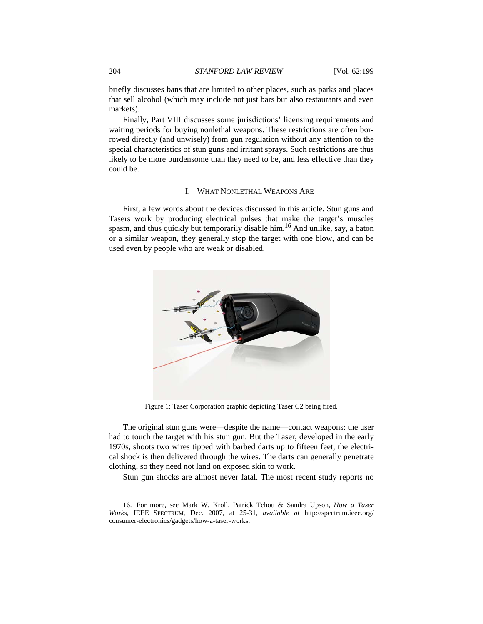briefly discusses bans that are limited to other places, such as parks and places that sell alcohol (which may include not just bars but also restaurants and even markets).

Finally, Part VIII discusses some jurisdictions' licensing requirements and waiting periods for buying nonlethal weapons. These restrictions are often borrowed directly (and unwisely) from gun regulation without any attention to the special characteristics of stun guns and irritant sprays. Such restrictions are thus likely to be more burdensome than they need to be, and less effective than they could be.

## I. WHAT NONLETHAL WEAPONS ARE

First, a few words about the devices discussed in this article. Stun guns and Tasers work by producing electrical pulses that make the target's muscles spasm, and thus quickly but temporarily disable him.<sup>16</sup> And unlike, say, a baton or a similar weapon, they generally stop the target with one blow, and can be used even by people who are weak or disabled.



Figure 1: Taser Corporation graphic depicting Taser C2 being fired.

The original stun guns were—despite the name—contact weapons: the user had to touch the target with his stun gun. But the Taser, developed in the early 1970s, shoots two wires tipped with barbed darts up to fifteen feet; the electrical shock is then delivered through the wires. The darts can generally penetrate clothing, so they need not land on exposed skin to work.

Stun gun shocks are almost never fatal. The most recent study reports no

<sup>16.</sup> For more, see Mark W. Kroll, Patrick Tchou & Sandra Upson, *How a Taser Works*, IEEE SPECTRUM, Dec. 2007, at 25-31, *available at* http://spectrum.ieee.org/ consumer-electronics/gadgets/how-a-taser-works.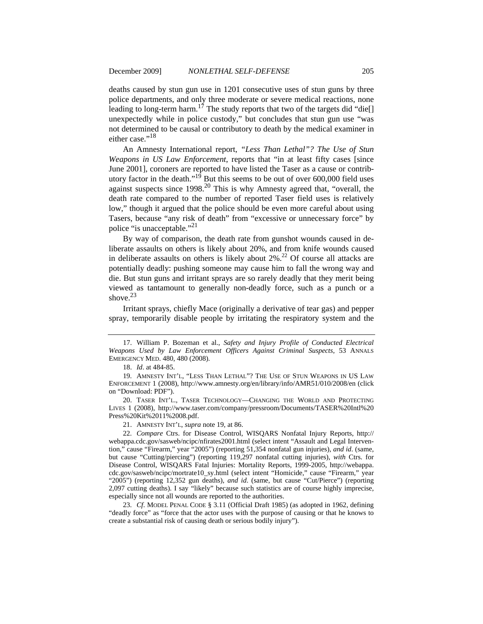deaths caused by stun gun use in 1201 consecutive uses of stun guns by three police departments, and only three moderate or severe medical reactions, none leading to long-term harm.<sup>17</sup> The study reports that two of the targets did "die[] unexpectedly while in police custody," but concludes that stun gun use "was not determined to be causal or contributory to death by the medical examiner in either case."<sup>18</sup>

An Amnesty International report, *"Less Than Lethal"? The Use of Stun Weapons in US Law Enforcement*, reports that "in at least fifty cases [since June 2001], coroners are reported to have listed the Taser as a cause or contributory factor in the death."<sup>19</sup> But this seems to be out of over 600,000 field uses against suspects since  $1998<sup>20</sup>$  This is why Amnesty agreed that, "overall, the death rate compared to the number of reported Taser field uses is relatively low," though it argued that the police should be even more careful about using Tasers, because "any risk of death" from "excessive or unnecessary force" by police "is unacceptable."21

By way of comparison, the death rate from gunshot wounds caused in deliberate assaults on others is likely about 20%, and from knife wounds caused in deliberate assaults on others is likely about  $2\%$ .<sup>22</sup> Of course all attacks are potentially deadly: pushing someone may cause him to fall the wrong way and die. But stun guns and irritant sprays are so rarely deadly that they merit being viewed as tantamount to generally non-deadly force, such as a punch or a shove. $23$ 

Irritant sprays, chiefly Mace (originally a derivative of tear gas) and pepper spray, temporarily disable people by irritating the respiratory system and the

20. TASER INT'L., TASER TECHNOLOGY—CHANGING THE WORLD AND PROTECTING LIVES 1 (2008), http://www.taser.com/company/pressroom/Documents/TASER%20Intl%20 Press%20Kit%2011%2008.pdf.

21. AMNESTY INT'L, *supra* note 19, at 86.

22. *Compare* Ctrs. for Disease Control, WISQARS Nonfatal Injury Reports, http:// webappa.cdc.gov/sasweb/ncipc/nfirates2001.html (select intent "Assault and Legal Intervention," cause "Firearm," year "2005") (reporting 51,354 nonfatal gun injuries), *and id*. (same, but cause "Cutting/piercing") (reporting 119,297 nonfatal cutting injuries), *with* Ctrs. for Disease Control, WISQARS Fatal Injuries: Mortality Reports, 1999-2005, http://webappa. cdc.gov/sasweb/ncipc/mortrate10\_sy.html (select intent "Homicide," cause "Firearm," year "2005") (reporting 12,352 gun deaths), *and id*. (same, but cause "Cut/Pierce") (reporting 2,097 cutting deaths). I say "likely" because such statistics are of course highly imprecise, especially since not all wounds are reported to the authorities.

23. *Cf*. MODEL PENAL CODE § 3.11 (Official Draft 1985) (as adopted in 1962, defining "deadly force" as "force that the actor uses with the purpose of causing or that he knows to create a substantial risk of causing death or serious bodily injury").

<sup>17.</sup> William P. Bozeman et al., *Safety and Injury Profile of Conducted Electrical Weapons Used by Law Enforcement Officers Against Criminal Suspects*, 53 ANNALS EMERGENCY MED. 480, 480 (2008).

<sup>18.</sup> *Id*. at 484-85.

<sup>19.</sup> AMNESTY INT'L, "LESS THAN LETHAL"? THE USE OF STUN WEAPONS IN US LAW ENFORCEMENT 1 (2008), http://www.amnesty.org/en/library/info/AMR51/010/2008/en (click on "Download: PDF").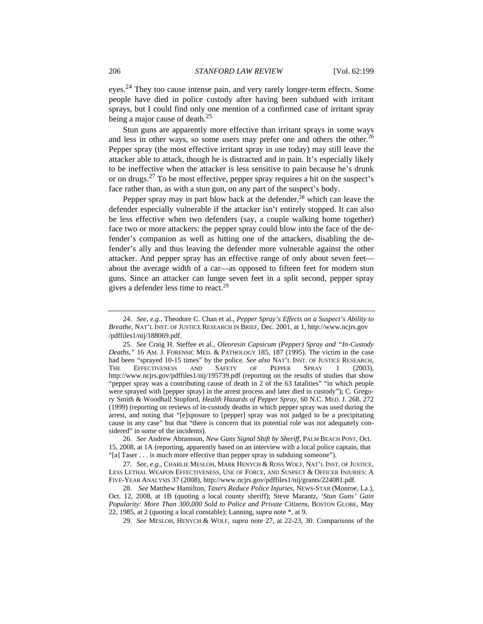eves.<sup>24</sup> They too cause intense pain, and very rarely longer-term effects. Some people have died in police custody after having been subdued with irritant sprays, but I could find only one mention of a confirmed case of irritant spray being a major cause of death. $25$ 

Stun guns are apparently more effective than irritant sprays in some ways and less in other ways, so some users may prefer one and others the other.<sup>26</sup> Pepper spray (the most effective irritant spray in use today) may still leave the attacker able to attack, though he is distracted and in pain. It's especially likely to be ineffective when the attacker is less sensitive to pain because he's drunk or on drugs.<sup>27</sup> To be most effective, pepper spray requires a hit on the suspect's face rather than, as with a stun gun, on any part of the suspect's body.

Pepper spray may in part blow back at the defender,  $28$  which can leave the defender especially vulnerable if the attacker isn't entirely stopped. It can also be less effective when two defenders (say, a couple walking home together) face two or more attackers: the pepper spray could blow into the face of the defender's companion as well as hitting one of the attackers, disabling the defender's ally and thus leaving the defender more vulnerable against the other attacker. And pepper spray has an effective range of only about seven feet about the average width of a car—as opposed to fifteen feet for modern stun guns. Since an attacker can lunge seven feet in a split second, pepper spray gives a defender less time to react.<sup>29</sup>

<sup>24.</sup> *See, e*.*g*., Theodore C. Chan et al., *Pepper Spray's Effects on a Suspect's Ability to Breathe*, NAT'L INST. OF JUSTICE RESEARCH IN BRIEF, Dec. 2001, at 1, http://www.ncjrs.gov /pdffiles1/nij/188069.pdf.

<sup>25.</sup> *See* Craig H. Steffee et al., *Oleoresin Capsicum (Pepper) Spray and "In-Custody Deaths*,*"* 16 AM. J. FORENSIC MED. & PATHOLOGY 185, 187 (1995). The victim in the case had been "sprayed 10-15 times" by the police. *See also* NAT'L INST. OF JUSTICE RESEARCH, THE EFFECTIVENESS AND SAFETY OF PEPPER SPRAY 1 (2003), http://www.ncjrs.gov/pdffiles1/nij/195739.pdf (reporting on the results of studies that show "pepper spray was a contributing cause of death in 2 of the 63 fatalities" "in which people were sprayed with [pepper spray] in the arrest process and later died in custody"); C. Gregory Smith & Woodhall Stopford, *Health Hazards of Pepper Spray*, 60 N.C. MED. J. 268, 272 (1999) (reporting on reviews of in-custody deaths in which pepper spray was used during the arrest, and noting that "[e]xposure to [pepper] spray was not judged to be a precipitating cause in any case" but that "there is concern that its potential role was not adequately considered" in some of the incidents).

<sup>26.</sup> *See* Andrew Abramson, *New Guns Signal Shift by Sheriff*, PALM BEACH POST, Oct. 15, 2008, at 1A (reporting, apparently based on an interview with a local police captain, that "[a] Taser . . . is much more effective than pepper spray in subduing someone").

<sup>27.</sup> *See, e.g.*, CHARLIE MESLOH, MARK HENYCH & ROSS WOLF, NAT'L INST. OF JUSTICE, LESS LETHAL WEAPON EFFECTIVENESS, USE OF FORCE, AND SUSPECT & OFFICER INJURIES: A FIVE-YEAR ANALYSIS 37 (2008), http://www.ncjrs.gov/pdffiles1/nij/grants/224081.pdf.

<sup>28.</sup> *See* Matthew Hamilton, *Tasers Reduce Police Injuries*, NEWS-STAR (Monroe, La.), Oct. 12, 2008, at 1B (quoting a local county sheriff); Steve Marantz, *'Stun Guns' Gain Popularity: More Than 300,000 Sold to Police and Private Citizens*, BOSTON GLOBE, May 22, 1985, at 2 (quoting a local constable); Lanning, *supra* note \*, at 9.

<sup>29.</sup> *See* MESLOH, HENYCH & WOLF, *supra* note 27, at 22-23, 30. Comparisons of the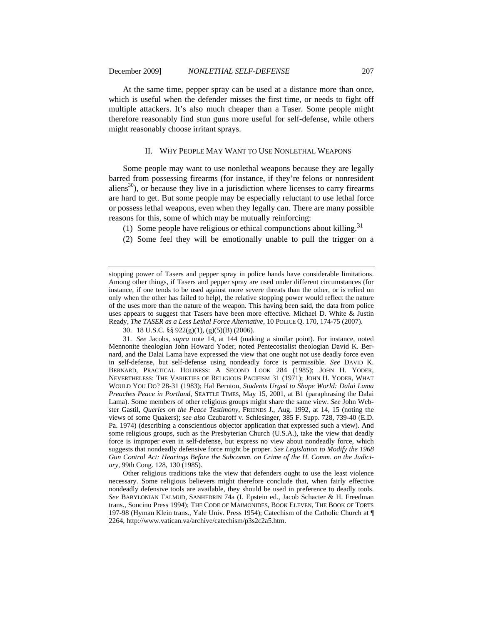At the same time, pepper spray can be used at a distance more than once, which is useful when the defender misses the first time, or needs to fight off multiple attackers. It's also much cheaper than a Taser. Some people might therefore reasonably find stun guns more useful for self-defense, while others might reasonably choose irritant sprays.

# II. WHY PEOPLE MAY WANT TO USE NONLETHAL WEAPONS

Some people may want to use nonlethal weapons because they are legally barred from possessing firearms (for instance, if they're felons or nonresident aliens<sup>30</sup>), or because they live in a jurisdiction where licenses to carry firearms are hard to get. But some people may be especially reluctant to use lethal force or possess lethal weapons, even when they legally can. There are many possible reasons for this, some of which may be mutually reinforcing:

- (1) Some people have religious or ethical compunctions about killing.<sup>31</sup>
- (2) Some feel they will be emotionally unable to pull the trigger on a

stopping power of Tasers and pepper spray in police hands have considerable limitations. Among other things, if Tasers and pepper spray are used under different circumstances (for instance, if one tends to be used against more severe threats than the other, or is relied on only when the other has failed to help), the relative stopping power would reflect the nature of the uses more than the nature of the weapon. This having been said, the data from police uses appears to suggest that Tasers have been more effective. Michael D. White & Justin Ready, *The TASER as a Less Lethal Force Alternative*, 10 POLICE Q. 170, 174-75 (2007).

30. 18 U.S.C. §§ 922(g)(1), (g)(5)(B) (2006).

31. *See* Jacobs, *supra* note 14, at 144 (making a similar point). For instance, noted Mennonite theologian John Howard Yoder, noted Pentecostalist theologian David K. Bernard, and the Dalai Lama have expressed the view that one ought not use deadly force even in self-defense, but self-defense using nondeadly force is permissible. *See* DAVID K. BERNARD, PRACTICAL HOLINESS: A SECOND LOOK 284 (1985); JOHN H. YODER, NEVERTHELESS: THE VARIETIES OF RELIGIOUS PACIFISM 31 (1971); JOHN H. YODER, WHAT WOULD YOU DO? 28-31 (1983); Hal Bernton, *Students Urged to Shape World: Dalai Lama Preaches Peace in Portland*, SEATTLE TIMES, May 15, 2001, at B1 (paraphrasing the Dalai Lama). Some members of other religious groups might share the same view. *See* John Webster Gastil, *Queries on the Peace Testimony*, FRIENDS J., Aug. 1992, at 14, 15 (noting the views of some Quakers); *see also* Czubaroff v. Schlesinger, 385 F. Supp. 728, 739-40 (E.D. Pa. 1974) (describing a conscientious objector application that expressed such a view). And some religious groups, such as the Presbyterian Church (U.S.A.), take the view that deadly force is improper even in self-defense, but express no view about nondeadly force, which suggests that nondeadly defensive force might be proper. *See Legislation to Modify the 1968 Gun Control Act: Hearings Before the Subcomm. on Crime of the H. Comm. on the Judiciary*, 99th Cong. 128, 130 (1985).

 Other religious traditions take the view that defenders ought to use the least violence necessary. Some religious believers might therefore conclude that, when fairly effective nondeadly defensive tools are available, they should be used in preference to deadly tools. *See* BABYLONIAN TALMUD, SANHEDRIN 74a (I. Epstein ed., Jacob Schacter & H. Freedman trans., Soncino Press 1994); THE CODE OF MAIMONIDES, BOOK ELEVEN, THE BOOK OF TORTS 197-98 (Hyman Klein trans., Yale Univ. Press 1954); Catechism of the Catholic Church at ¶ 2264, http://www.vatican.va/archive/catechism/p3s2c2a5.htm.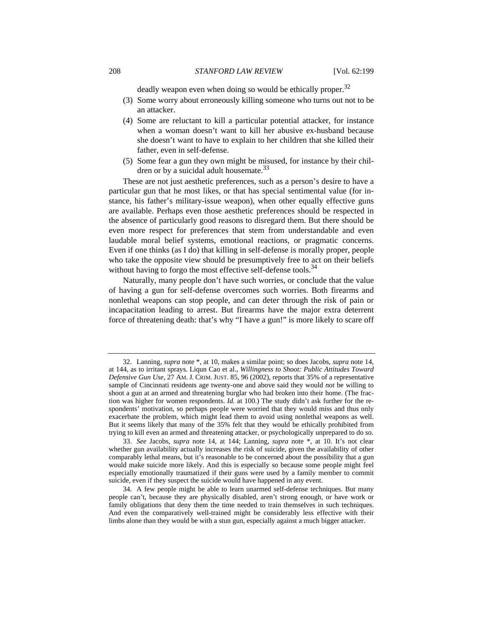deadly weapon even when doing so would be ethically proper.<sup>32</sup>

- (3) Some worry about erroneously killing someone who turns out not to be an attacker.
- (4) Some are reluctant to kill a particular potential attacker, for instance when a woman doesn't want to kill her abusive ex-husband because she doesn't want to have to explain to her children that she killed their father, even in self-defense.
- (5) Some fear a gun they own might be misused, for instance by their children or by a suicidal adult housemate. $33$

These are not just aesthetic preferences, such as a person's desire to have a particular gun that he most likes, or that has special sentimental value (for instance, his father's military-issue weapon), when other equally effective guns are available. Perhaps even those aesthetic preferences should be respected in the absence of particularly good reasons to disregard them. But there should be even more respect for preferences that stem from understandable and even laudable moral belief systems, emotional reactions, or pragmatic concerns. Even if one thinks (as I do) that killing in self-defense is morally proper, people who take the opposite view should be presumptively free to act on their beliefs without having to forgo the most effective self-defense tools.<sup>34</sup>

Naturally, many people don't have such worries, or conclude that the value of having a gun for self-defense overcomes such worries. Both firearms and nonlethal weapons can stop people, and can deter through the risk of pain or incapacitation leading to arrest. But firearms have the major extra deterrent force of threatening death: that's why "I have a gun!" is more likely to scare off

33. *See* Jacobs, *supra* note 14, at 144; Lanning, *supra* note \*, at 10. It's not clear whether gun availability actually increases the risk of suicide, given the availability of other comparably lethal means, but it's reasonable to be concerned about the possibility that a gun would make suicide more likely. And this is especially so because some people might feel especially emotionally traumatized if their guns were used by a family member to commit suicide, even if they suspect the suicide would have happened in any event.

34. A few people might be able to learn unarmed self-defense techniques. But many people can't, because they are physically disabled, aren't strong enough, or have work or family obligations that deny them the time needed to train themselves in such techniques. And even the comparatively well-trained might be considerably less effective with their limbs alone than they would be with a stun gun, especially against a much bigger attacker.

<sup>32.</sup> Lanning, *supra* note \*, at 10, makes a similar point; so does Jacobs, *supra* note 14, at 144, as to irritant sprays. Liqun Cao et al., *Willingness to Shoot: Public Attitudes Toward Defensive Gun Use*, 27 AM. J. CRIM. JUST. 85, 96 (2002), reports that 35% of a representative sample of Cincinnati residents age twenty-one and above said they would *not* be willing to shoot a gun at an armed and threatening burglar who had broken into their home. (The fraction was higher for women respondents. *Id.* at 100.) The study didn't ask further for the respondents' motivation, so perhaps people were worried that they would miss and thus only exacerbate the problem, which might lead them to avoid using nonlethal weapons as well. But it seems likely that many of the 35% felt that they would be ethically prohibited from trying to kill even an armed and threatening attacker, or psychologically unprepared to do so.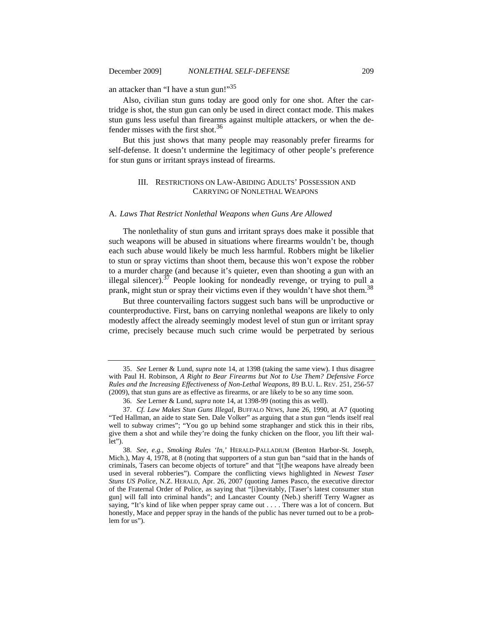an attacker than "I have a stun gun!"<sup>35</sup>

Also, civilian stun guns today are good only for one shot. After the cartridge is shot, the stun gun can only be used in direct contact mode. This makes stun guns less useful than firearms against multiple attackers, or when the defender misses with the first shot.<sup>36</sup>

But this just shows that many people may reasonably prefer firearms for self-defense. It doesn't undermine the legitimacy of other people's preference for stun guns or irritant sprays instead of firearms.

# III. RESTRICTIONS ON LAW-ABIDING ADULTS' POSSESSION AND CARRYING OF NONLETHAL WEAPONS

#### A. *Laws That Restrict Nonlethal Weapons when Guns Are Allowed*

The nonlethality of stun guns and irritant sprays does make it possible that such weapons will be abused in situations where firearms wouldn't be, though each such abuse would likely be much less harmful. Robbers might be likelier to stun or spray victims than shoot them, because this won't expose the robber to a murder charge (and because it's quieter, even than shooting a gun with an illegal silencer).<sup>37</sup> People looking for nondeadly revenge, or trying to pull a prank, might stun or spray their victims even if they wouldn't have shot them.<sup>38</sup>

But three countervailing factors suggest such bans will be unproductive or counterproductive. First, bans on carrying nonlethal weapons are likely to only modestly affect the already seemingly modest level of stun gun or irritant spray crime, precisely because much such crime would be perpetrated by serious

<sup>35.</sup> *See* Lerner & Lund, *supra* note 14, at 1398 (taking the same view). I thus disagree with Paul H. Robinson, *A Right to Bear Firearms but Not to Use Them? Defensive Force Rules and the Increasing Effectiveness of Non-Lethal Weapons*, 89 B.U. L. REV. 251, 256-57 (2009), that stun guns are as effective as firearms, or are likely to be so any time soon.

<sup>36.</sup> *See* Lerner & Lund, *supra* note 14, at 1398-99 (noting this as well).

<sup>37.</sup> *Cf. Law Makes Stun Guns Illegal*, BUFFALO NEWS, June 26, 1990, at A7 (quoting "Ted Hallman, an aide to state Sen. Dale Volker" as arguing that a stun gun "lends itself real well to subway crimes"; "You go up behind some straphanger and stick this in their ribs, give them a shot and while they're doing the funky chicken on the floor, you lift their wallet").

<sup>38.</sup> *See, e.g.*, *Smoking Rules 'In*,*'* HERALD-PALLADIUM (Benton Harbor-St. Joseph, Mich.), May 4, 1978, at 8 (noting that supporters of a stun gun ban "said that in the hands of criminals, Tasers can become objects of torture" and that "[t]he weapons have already been used in several robberies"). Compare the conflicting views highlighted in *Newest Taser Stuns US Police*, N.Z. HERALD, Apr. 26, 2007 (quoting James Pasco, the executive director of the Fraternal Order of Police, as saying that "[i]nevitably, [Taser's latest consumer stun gun] will fall into criminal hands"; and Lancaster County (Neb.) sheriff Terry Wagner as saying, "It's kind of like when pepper spray came out . . . . There was a lot of concern. But honestly, Mace and pepper spray in the hands of the public has never turned out to be a problem for us").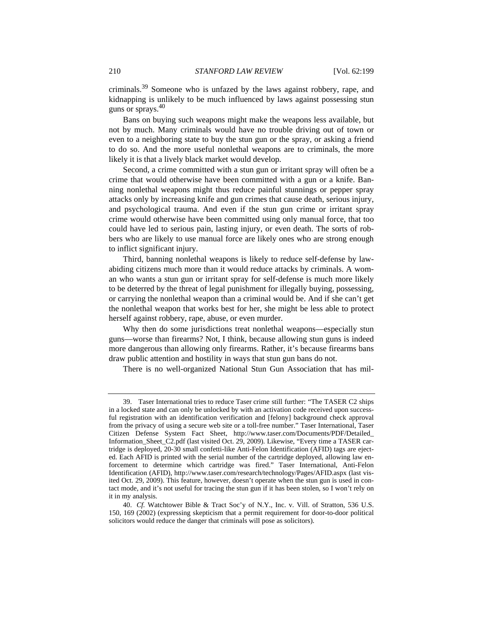criminals.39 Someone who is unfazed by the laws against robbery, rape, and kidnapping is unlikely to be much influenced by laws against possessing stun guns or sprays.<sup>40</sup>

Bans on buying such weapons might make the weapons less available, but not by much. Many criminals would have no trouble driving out of town or even to a neighboring state to buy the stun gun or the spray, or asking a friend to do so. And the more useful nonlethal weapons are to criminals, the more likely it is that a lively black market would develop.

Second, a crime committed with a stun gun or irritant spray will often be a crime that would otherwise have been committed with a gun or a knife. Banning nonlethal weapons might thus reduce painful stunnings or pepper spray attacks only by increasing knife and gun crimes that cause death, serious injury, and psychological trauma. And even if the stun gun crime or irritant spray crime would otherwise have been committed using only manual force, that too could have led to serious pain, lasting injury, or even death. The sorts of robbers who are likely to use manual force are likely ones who are strong enough to inflict significant injury.

Third, banning nonlethal weapons is likely to reduce self-defense by lawabiding citizens much more than it would reduce attacks by criminals. A woman who wants a stun gun or irritant spray for self-defense is much more likely to be deterred by the threat of legal punishment for illegally buying, possessing, or carrying the nonlethal weapon than a criminal would be. And if she can't get the nonlethal weapon that works best for her, she might be less able to protect herself against robbery, rape, abuse, or even murder.

Why then do some jurisdictions treat nonlethal weapons—especially stun guns—worse than firearms? Not, I think, because allowing stun guns is indeed more dangerous than allowing only firearms. Rather, it's because firearms bans draw public attention and hostility in ways that stun gun bans do not.

There is no well-organized National Stun Gun Association that has mil-

<sup>39.</sup> Taser International tries to reduce Taser crime still further: "The TASER C2 ships in a locked state and can only be unlocked by with an activation code received upon successful registration with an identification verification and [felony] background check approval from the privacy of using a secure web site or a toll-free number." Taser International, Taser Citizen Defense System Fact Sheet, http://www.taser.com/Documents/PDF/Detailed\_ Information\_Sheet\_C2.pdf (last visited Oct. 29, 2009). Likewise, "Every time a TASER cartridge is deployed, 20-30 small confetti-like Anti-Felon Identification (AFID) tags are ejected. Each AFID is printed with the serial number of the cartridge deployed, allowing law enforcement to determine which cartridge was fired." Taser International, Anti-Felon Identification (AFID), http://www.taser.com/research/technology/Pages/AFID.aspx (last visited Oct. 29, 2009). This feature, however, doesn't operate when the stun gun is used in contact mode, and it's not useful for tracing the stun gun if it has been stolen, so I won't rely on it in my analysis.

<sup>40.</sup> *Cf.* Watchtower Bible & Tract Soc'y of N.Y., Inc. v. Vill. of Stratton, 536 U.S. 150, 169 (2002) (expressing skepticism that a permit requirement for door-to-door political solicitors would reduce the danger that criminals will pose as solicitors).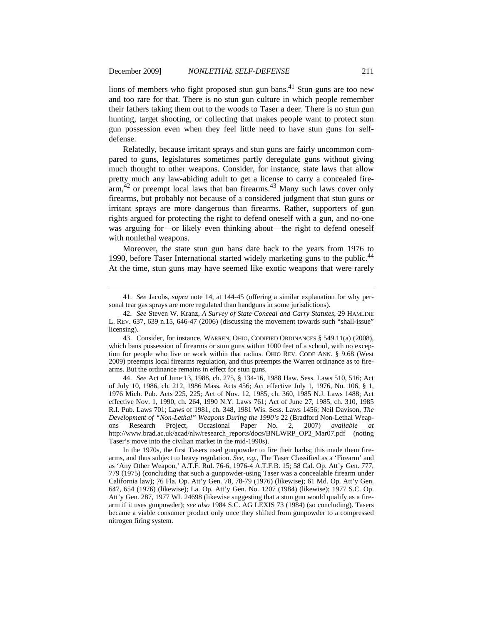lions of members who fight proposed stun gun bans.<sup>41</sup> Stun guns are too new and too rare for that. There is no stun gun culture in which people remember their fathers taking them out to the woods to Taser a deer. There is no stun gun hunting, target shooting, or collecting that makes people want to protect stun gun possession even when they feel little need to have stun guns for selfdefense.

Relatedly, because irritant sprays and stun guns are fairly uncommon compared to guns, legislatures sometimes partly deregulate guns without giving much thought to other weapons. Consider, for instance, state laws that allow pretty much any law-abiding adult to get a license to carry a concealed fire- $\lim_{x \to 4^2}$  or preempt local laws that ban firearms.<sup>43</sup> Many such laws cover only firearms, but probably not because of a considered judgment that stun guns or irritant sprays are more dangerous than firearms. Rather, supporters of gun rights argued for protecting the right to defend oneself with a gun, and no-one was arguing for—or likely even thinking about—the right to defend oneself with nonlethal weapons.

Moreover, the state stun gun bans date back to the years from 1976 to 1990, before Taser International started widely marketing guns to the public.<sup>44</sup> At the time, stun guns may have seemed like exotic weapons that were rarely

44. *See* Act of June 13, 1988, ch. 275, § 134-16, 1988 Haw. Sess. Laws 510, 516; Act of July 10, 1986, ch. 212, 1986 Mass. Acts 456; Act effective July 1, 1976, No. 106, § 1, 1976 Mich. Pub. Acts 225, 225; Act of Nov. 12, 1985, ch. 360, 1985 N.J. Laws 1488; Act effective Nov. 1, 1990, ch. 264, 1990 N.Y. Laws 761; Act of June 27, 1985, ch. 310, 1985 R.I. Pub. Laws 701; Laws of 1981, ch. 348, 1981 Wis. Sess. Laws 1456; Neil Davison, *The Development of "Non-Lethal" Weapons During the 1990's* 22 (Bradford Non-Lethal Weapons Research Project, Occasional Paper No. 2, 2007) *available at* http://www.brad.ac.uk/acad/nlw/research\_reports/docs/BNLWRP\_OP2\_Mar07.pdf (noting Taser's move into the civilian market in the mid-1990s).

In the 1970s, the first Tasers used gunpowder to fire their barbs; this made them firearms, and thus subject to heavy regulation. *See, e*.*g.*, The Taser Classified as a 'Firearm' and as 'Any Other Weapon,' A.T.F. Rul. 76-6, 1976-4 A.T.F.B. 15; 58 Cal. Op. Att'y Gen. 777, 779 (1975) (concluding that such a gunpowder-using Taser was a concealable firearm under California law); 76 Fla. Op. Att'y Gen. 78, 78-79 (1976) (likewise); 61 Md. Op. Att'y Gen. 647, 654 (1976) (likewise); La. Op. Att'y Gen. No. 1207 (1984) (likewise); 1977 S.C. Op. Att'y Gen. 287, 1977 WL 24698 (likewise suggesting that a stun gun would qualify as a firearm if it uses gunpowder); *see also* 1984 S.C. AG LEXIS 73 (1984) (so concluding). Tasers became a viable consumer product only once they shifted from gunpowder to a compressed nitrogen firing system.

<sup>41.</sup> *See* Jacobs, *supra* note 14, at 144-45 (offering a similar explanation for why personal tear gas sprays are more regulated than handguns in some jurisdictions).

<sup>42.</sup> *See* Steven W. Kranz, *A Survey of State Conceal and Carry Statutes*, 29 HAMLINE L. REV. 637, 639 n.15, 646-47 (2006) (discussing the movement towards such "shall-issue" licensing).

<sup>43.</sup> Consider, for instance, WARREN, OHIO, CODIFIED ORDINANCES § 549.11(a) (2008), which bans possession of firearms or stun guns within 1000 feet of a school, with no exception for people who live or work within that radius. OHIO REV. CODE ANN. § 9.68 (West 2009) preempts local firearms regulation, and thus preempts the Warren ordinance as to firearms. But the ordinance remains in effect for stun guns.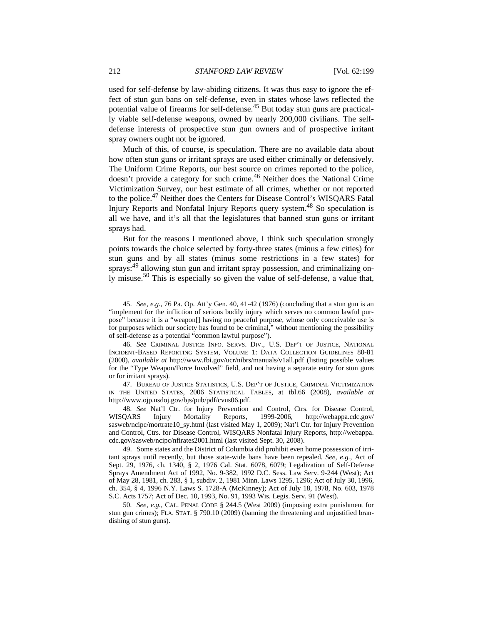used for self-defense by law-abiding citizens. It was thus easy to ignore the effect of stun gun bans on self-defense, even in states whose laws reflected the potential value of firearms for self-defense.45 But today stun guns are practically viable self-defense weapons, owned by nearly 200,000 civilians. The selfdefense interests of prospective stun gun owners and of prospective irritant spray owners ought not be ignored.

Much of this, of course, is speculation. There are no available data about how often stun guns or irritant sprays are used either criminally or defensively. The Uniform Crime Reports, our best source on crimes reported to the police, doesn't provide a category for such crime.<sup>46</sup> Neither does the National Crime Victimization Survey, our best estimate of all crimes, whether or not reported to the police.47 Neither does the Centers for Disease Control's WISQARS Fatal Injury Reports and Nonfatal Injury Reports query system.<sup>48</sup> So speculation is all we have, and it's all that the legislatures that banned stun guns or irritant sprays had.

But for the reasons I mentioned above, I think such speculation strongly points towards the choice selected by forty-three states (minus a few cities) for stun guns and by all states (minus some restrictions in a few states) for sprays:<sup>49</sup> allowing stun gun and irritant spray possession, and criminalizing only misuse.50 This is especially so given the value of self-defense, a value that,

47. BUREAU OF JUSTICE STATISTICS, U.S. DEP'T OF JUSTICE, CRIMINAL VICTIMIZATION IN THE UNITED STATES, 2006 STATISTICAL TABLES, at tbl.66 (2008), *available at*  http://www.ojp.usdoj.gov/bjs/pub/pdf/cvus06.pdf.

48. *See* Nat'l Ctr. for Injury Prevention and Control, Ctrs. for Disease Control, WISQARS Injury Mortality Reports, 1999-2006, http://webappa.cdc.gov/ sasweb/ncipc/mortrate10\_sy.html (last visited May 1, 2009); Nat'l Ctr. for Injury Prevention and Control, Ctrs. for Disease Control, WISQARS Nonfatal Injury Reports, http://webappa. cdc.gov/sasweb/ncipc/ nfirates2001.html (last visited Sept. 30, 2008).

49. Some states and the District of Columbia did prohibit even home possession of irritant sprays until recently, but those state-wide bans have been repealed. *See, e*.*g.*, Act of Sept. 29, 1976, ch. 1340, § 2, 1976 Cal. Stat. 6078, 6079; Legalization of Self-Defense Sprays Amendment Act of 1992, No. 9-382, 1992 D.C. Sess. Law Serv. 9-244 (West); Act of May 28, 1981, ch. 283, § 1, subdiv. 2, 1981 Minn. Laws 1295, 1296; Act of July 30, 1996, ch. 354, § 4, 1996 N.Y. Laws S. 1728-A (McKinney); Act of July 18, 1978, No. 603, 1978 S.C. Acts 1757; Act of Dec. 10, 1993, No. 91, 1993 Wis. Legis. Serv. 91 (West).

50. *See, e*.*g.*, CAL. PENAL CODE § 244.5 (West 2009) (imposing extra punishment for stun gun crimes); FLA. STAT. § 790.10 (2009) (banning the threatening and unjustified brandishing of stun guns).

<sup>45.</sup> *See, e*.*g.*, 76 Pa. Op. Att'y Gen. 40, 41-42 (1976) (concluding that a stun gun is an "implement for the infliction of serious bodily injury which serves no common lawful purpose" because it is a "weapon[] having no peaceful purpose, whose only conceivable use is for purposes which our society has found to be criminal," without mentioning the possibility of self-defense as a potential "common lawful purpose").

<sup>46.</sup> *See* CRIMINAL JUSTICE INFO. SERVS. DIV., U.S. DEP'T OF JUSTICE, NATIONAL INCIDENT-BASED REPORTING SYSTEM, VOLUME 1: DATA COLLECTION GUIDELINES 80-81 (2000), *available at* http://www.fbi.gov/ucr/nibrs/manuals/v1all.pdf (listing possible values for the "Type Weapon/Force Involved" field, and not having a separate entry for stun guns or for irritant sprays).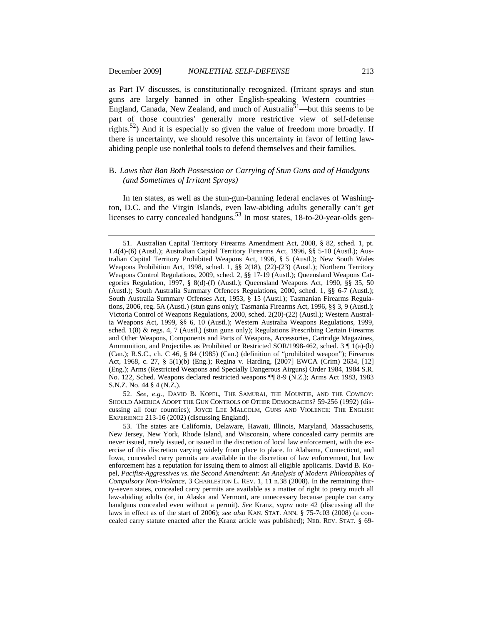as Part IV discusses, is constitutionally recognized. (Irritant sprays and stun guns are largely banned in other English-speaking Western countries— England, Canada, New Zealand, and much of Australia<sup>51</sup>—but this seems to be part of those countries' generally more restrictive view of self-defense rights.<sup>52</sup>) And it is especially so given the value of freedom more broadly. If there is uncertainty, we should resolve this uncertainty in favor of letting lawabiding people use nonlethal tools to defend themselves and their families.

# B. *Laws that Ban Both Possession or Carrying of Stun Guns and of Handguns (and Sometimes of Irritant Sprays)*

In ten states, as well as the stun-gun-banning federal enclaves of Washington, D.C. and the Virgin Islands, even law-abiding adults generally can't get licenses to carry concealed handguns.<sup>53</sup> In most states, 18-to-20-year-olds gen-

53. The states are California, Delaware, Hawaii, Illinois, Maryland, Massachusetts, New Jersey, New York, Rhode Island, and Wisconsin, where concealed carry permits are never issued, rarely issued, or issued in the discretion of local law enforcement, with the exercise of this discretion varying widely from place to place. In Alabama, Connecticut, and Iowa, concealed carry permits are available in the discretion of law enforcement, but law enforcement has a reputation for issuing them to almost all eligible applicants. David B. Kopel, *Pacifist-Aggressives vs*. *the Second Amendment: An Analysis of Modern Philosophies of Compulsory Non-Violence*, 3 CHARLESTON L. REV. 1, 11 n.38 (2008). In the remaining thirty-seven states, concealed carry permits are available as a matter of right to pretty much all law-abiding adults (or, in Alaska and Vermont, are unnecessary because people can carry handguns concealed even without a permit). *See* Kranz, *supra* note 42 (discussing all the laws in effect as of the start of 2006); *see also* KAN. STAT. ANN. § 75-7c03 (2008) (a concealed carry statute enacted after the Kranz article was published); NEB. REV. STAT. § 69-

<sup>51.</sup> Australian Capital Territory Firearms Amendment Act, 2008, § 82, sched. 1, pt. 1.4(4)-(6) (Austl.); Australian Capital Territory Firearms Act, 1996, §§ 5-10 (Austl.); Australian Capital Territory Prohibited Weapons Act, 1996, § 5 (Austl.); New South Wales Weapons Prohibition Act, 1998, sched. 1, §§ 2(18), (22)-(23) (Austl.); Northern Territory Weapons Control Regulations, 2009, sched. 2, §§ 17-19 (Austl.); Queensland Weapons Categories Regulation, 1997, § 8(d)-(f) (Austl.); Queensland Weapons Act, 1990, §§ 35, 50 (Austl.); South Australia Summary Offences Regulations, 2000, sched. 1, §§ 6-7 (Austl.); South Australia Summary Offenses Act, 1953, § 15 (Austl.); Tasmanian Firearms Regulations, 2006, reg. 5A (Austl.) (stun guns only); Tasmania Firearms Act, 1996, §§ 3, 9 (Austl.); Victoria Control of Weapons Regulations, 2000, sched. 2(20)-(22) (Austl.); Western Australia Weapons Act, 1999, §§ 6, 10 (Austl.); Western Australia Weapons Regulations, 1999, sched.  $1(8)$  & regs. 4, 7 (Austl.) (stun guns only); Regulations Prescribing Certain Firearms and Other Weapons, Components and Parts of Weapons, Accessories, Cartridge Magazines, Ammunition, and Projectiles as Prohibited or Restricted SOR/1998-462, sched.  $3 \nparallel 1(a)$ -(b) (Can.); R.S.C., ch. C 46, § 84 (1985) (Can.) (definition of "prohibited weapon"); Firearms Act, 1968, c. 27, § 5(1)(b) (Eng.); Regina v. Harding, [2007] EWCA (Crim) 2634, [12] (Eng.); Arms (Restricted Weapons and Specially Dangerous Airguns) Order 1984, 1984 S.R. No. 122, Sched. Weapons declared restricted weapons ¶¶ 8-9 (N.Z.); Arms Act 1983, 1983 S.N.Z. No. 44 § 4 (N.Z.).

<sup>52.</sup> *See, e*.*g.*, DAVID B. KOPEL, THE SAMURAI, THE MOUNTIE, AND THE COWBOY: SHOULD AMERICA ADOPT THE GUN CONTROLS OF OTHER DEMOCRACIES? 59-256 (1992) (discussing all four countries); JOYCE LEE MALCOLM, GUNS AND VIOLENCE: THE ENGLISH EXPERIENCE 213-16 (2002) (discussing England).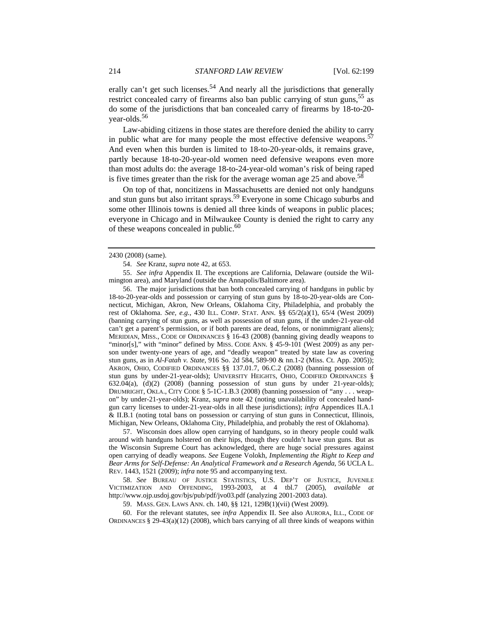erally can't get such licenses.<sup>54</sup> And nearly all the jurisdictions that generally restrict concealed carry of firearms also ban public carrying of stun guns,  $55$  as do some of the jurisdictions that ban concealed carry of firearms by 18-to-20 year-olds.56

Law-abiding citizens in those states are therefore denied the ability to carry in public what are for many people the most effective defensive weapons.<sup>57</sup> And even when this burden is limited to 18-to-20-year-olds, it remains grave, partly because 18-to-20-year-old women need defensive weapons even more than most adults do: the average 18-to-24-year-old woman's risk of being raped is five times greater than the risk for the average woman age  $25$  and above.<sup>58</sup>

On top of that, noncitizens in Massachusetts are denied not only handguns and stun guns but also irritant sprays.59 Everyone in some Chicago suburbs and some other Illinois towns is denied all three kinds of weapons in public places; everyone in Chicago and in Milwaukee County is denied the right to carry any of these weapons concealed in public.<sup>60</sup>

2430 (2008) (same).

54. *See* Kranz, *supra* note 42, at 653.

55. *See infra* Appendix II. The exceptions are California, Delaware (outside the Wilmington area), and Maryland (outside the Annapolis/Baltimore area).

56. The major jurisdictions that ban both concealed carrying of handguns in public by 18-to-20-year-olds and possession or carrying of stun guns by 18-to-20-year-olds are Connecticut, Michigan, Akron, New Orleans, Oklahoma City, Philadelphia, and probably the rest of Oklahoma. *See, e.g.*, 430 ILL. COMP. STAT. ANN. §§ 65/2(a)(1), 65/4 (West 2009) (banning carrying of stun guns, as well as possession of stun guns, if the under-21-year-old can't get a parent's permission, or if both parents are dead, felons, or nonimmigrant aliens); MERIDIAN, MISS., CODE OF ORDINANCES § 16-43 (2008) (banning giving deadly weapons to "minor[s]," with "minor" defined by MISS. CODE ANN.  $\S$  45-9-101 (West 2009) as any person under twenty-one years of age, and "deadly weapon" treated by state law as covering stun guns, as in *Al-Fatah v. State*, 916 So. 2d 584, 589-90 & nn.1-2 (Miss. Ct. App. 2005)); AKRON, OHIO, CODIFIED ORDINANCES §§ 137.01.7, 06.C.2 (2008) (banning possession of stun guns by under-21-year-olds); UNIVERSITY HEIGHTS, OHIO, CODIFIED ORDINANCES § 632.04(a), (d)(2) (2008) (banning possession of stun guns by under 21-year-olds); DRUMRIGHT, OKLA., CITY CODE § 5-1C-1.B.3 (2008) (banning possession of "any . . . weapon" by under-21-year-olds); Kranz, *supra* note 42 (noting unavailability of concealed handgun carry licenses to under-21-year-olds in all these jurisdictions); *infra* Appendices II.A.1 & II.B.1 (noting total bans on possession or carrying of stun guns in Connecticut, Illinois, Michigan, New Orleans, Oklahoma City, Philadelphia, and probably the rest of Oklahoma).

57. Wisconsin does allow open carrying of handguns, so in theory people could walk around with handguns holstered on their hips, though they couldn't have stun guns. But as the Wisconsin Supreme Court has acknowledged, there are huge social pressures against open carrying of deadly weapons. *See* Eugene Volokh, *Implementing the Right to Keep and Bear Arms for Self-Defense: An Analytical Framework and a Research Agenda*, 56 UCLA L. REV. 1443, 1521 (2009); *infra* note 95 and accompanying text.

58. *See* BUREAU OF JUSTICE STATISTICS, U.S. DEP'T OF JUSTICE, JUVENILE VICTIMIZATION AND OFFENDING, 1993-2003, at 4 tbl.7 (2005), *available at*  http://www.ojp.usdoj.gov/bjs/pub/pdf/jvo03.pdf (analyzing 2001-2003 data).

59. MASS. GEN. LAWS ANN. ch. 140, §§ 121, 129B(1)(vii) (West 2009).

60. For the relevant statutes, see *infra* Appendix II. See also AURORA, ILL., CODE OF ORDINANCES  $\S 29-43(a)(12)$  (2008), which bars carrying of all three kinds of weapons within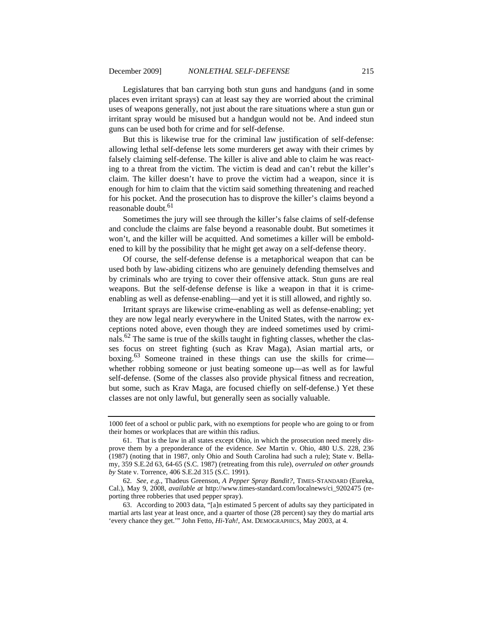Legislatures that ban carrying both stun guns and handguns (and in some places even irritant sprays) can at least say they are worried about the criminal uses of weapons generally, not just about the rare situations where a stun gun or irritant spray would be misused but a handgun would not be. And indeed stun guns can be used both for crime and for self-defense.

But this is likewise true for the criminal law justification of self-defense: allowing lethal self-defense lets some murderers get away with their crimes by falsely claiming self-defense. The killer is alive and able to claim he was reacting to a threat from the victim. The victim is dead and can't rebut the killer's claim. The killer doesn't have to prove the victim had a weapon, since it is enough for him to claim that the victim said something threatening and reached for his pocket. And the prosecution has to disprove the killer's claims beyond a reasonable doubt.<sup>61</sup>

Sometimes the jury will see through the killer's false claims of self-defense and conclude the claims are false beyond a reasonable doubt. But sometimes it won't, and the killer will be acquitted. And sometimes a killer will be emboldened to kill by the possibility that he might get away on a self-defense theory.

Of course, the self-defense defense is a metaphorical weapon that can be used both by law-abiding citizens who are genuinely defending themselves and by criminals who are trying to cover their offensive attack. Stun guns are real weapons. But the self-defense defense is like a weapon in that it is crimeenabling as well as defense-enabling—and yet it is still allowed, and rightly so.

Irritant sprays are likewise crime-enabling as well as defense-enabling; yet they are now legal nearly everywhere in the United States, with the narrow exceptions noted above, even though they are indeed sometimes used by criminals.<sup>62</sup> The same is true of the skills taught in fighting classes, whether the classes focus on street fighting (such as Krav Maga), Asian martial arts, or boxing.63 Someone trained in these things can use the skills for crime whether robbing someone or just beating someone up—as well as for lawful self-defense. (Some of the classes also provide physical fitness and recreation, but some, such as Krav Maga, are focused chiefly on self-defense.) Yet these classes are not only lawful, but generally seen as socially valuable.

<sup>1000</sup> feet of a school or public park, with no exemptions for people who are going to or from their homes or workplaces that are within this radius.

<sup>61.</sup> That is the law in all states except Ohio, in which the prosecution need merely disprove them by a preponderance of the evidence. *See* Martin v. Ohio, 480 U.S. 228, 236 (1987) (noting that in 1987, only Ohio and South Carolina had such a rule); State v. Bellamy, 359 S.E.2d 63, 64-65 (S.C. 1987) (retreating from this rule), *overruled on other grounds by* State v. Torrence, 406 S.E.2d 315 (S.C. 1991).

<sup>62.</sup> *See, e.g.*, Thadeus Greenson, *A Pepper Spray Bandit?*, TIMES-STANDARD (Eureka, Cal.), May 9, 2008, *available at* http://www.times-standard.com/localnews/ci\_9202475 (reporting three robberies that used pepper spray).

<sup>63.</sup> According to 2003 data, "[a]n estimated 5 percent of adults say they participated in martial arts last year at least once, and a quarter of those (28 percent) say they do martial arts 'every chance they get.'" John Fetto, *Hi-Yah!*, AM. DEMOGRAPHICS, May 2003, at 4.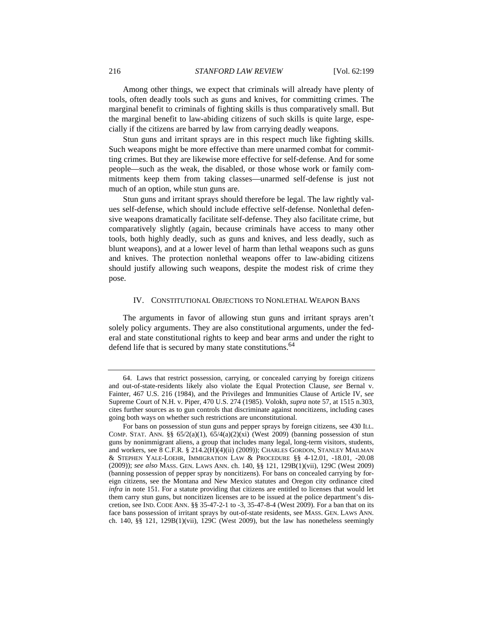Among other things, we expect that criminals will already have plenty of tools, often deadly tools such as guns and knives, for committing crimes. The marginal benefit to criminals of fighting skills is thus comparatively small. But the marginal benefit to law-abiding citizens of such skills is quite large, especially if the citizens are barred by law from carrying deadly weapons.

Stun guns and irritant sprays are in this respect much like fighting skills. Such weapons might be more effective than mere unarmed combat for committing crimes. But they are likewise more effective for self-defense. And for some people—such as the weak, the disabled, or those whose work or family commitments keep them from taking classes—unarmed self-defense is just not much of an option, while stun guns are.

Stun guns and irritant sprays should therefore be legal. The law rightly values self-defense, which should include effective self-defense. Nonlethal defensive weapons dramatically facilitate self-defense. They also facilitate crime, but comparatively slightly (again, because criminals have access to many other tools, both highly deadly, such as guns and knives, and less deadly, such as blunt weapons), and at a lower level of harm than lethal weapons such as guns and knives. The protection nonlethal weapons offer to law-abiding citizens should justify allowing such weapons, despite the modest risk of crime they pose.

# IV. CONSTITUTIONAL OBJECTIONS TO NONLETHAL WEAPON BANS

The arguments in favor of allowing stun guns and irritant sprays aren't solely policy arguments. They are also constitutional arguments, under the federal and state constitutional rights to keep and bear arms and under the right to defend life that is secured by many state constitutions.<sup>64</sup>

<sup>64.</sup> Laws that restrict possession, carrying, or concealed carrying by foreign citizens and out-of-state-residents likely also violate the Equal Protection Clause, *see* Bernal v. Fainter, 467 U.S. 216 (1984), and the Privileges and Immunities Clause of Article IV, s*ee*  Supreme Court of N.H. v. Piper, 470 U.S. 274 (1985). Volokh, *supra* note 57, at 1515 n.303, cites further sources as to gun controls that discriminate against noncitizens, including cases going both ways on whether such restrictions are unconstitutional.

For bans on possession of stun guns and pepper sprays by foreign citizens, see 430 ILL. COMP. STAT. ANN. §§  $65/2(a)(1)$ ,  $65/4(a)(2)(xi)$  (West 2009) (banning possession of stun guns by nonimmigrant aliens, a group that includes many legal, long-term visitors, students, and workers, see 8 C.F.R. § 214.2(H)(4)(ii) (2009)); CHARLES GORDON, STANLEY MAILMAN & STEPHEN YALE-LOEHR, IMMIGRATION LAW & PROCEDURE §§ 4-12.01, -18.01, -20.08 (2009)); *see also* MASS. GEN. LAWS ANN. ch. 140, §§ 121, 129B(1)(vii), 129C (West 2009) (banning possession of pepper spray by noncitizens). For bans on concealed carrying by foreign citizens, see the Montana and New Mexico statutes and Oregon city ordinance cited *infra* in note 151. For a statute providing that citizens are entitled to licenses that would let them carry stun guns, but noncitizen licenses are to be issued at the police department's discretion, see IND. CODE ANN. §§ 35-47-2-1 to -3, 35-47-8-4 (West 2009). For a ban that on its face bans possession of irritant sprays by out-of-state residents, see MASS. GEN. LAWS ANN. ch. 140,  $\S$ § 121, 129B(1)(vii), 129C (West 2009), but the law has nonetheless seemingly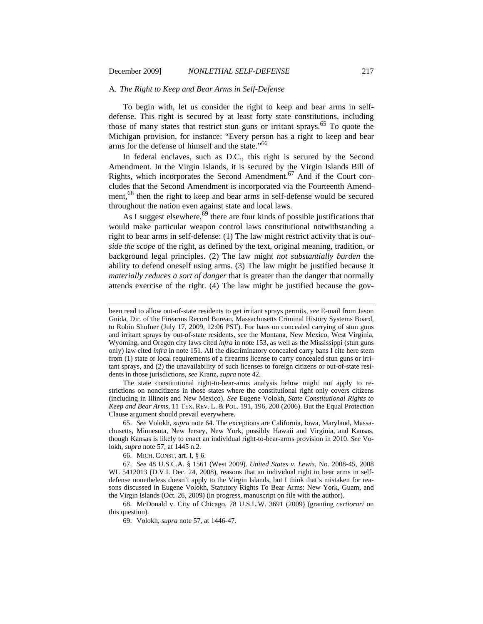# A. *The Right to Keep and Bear Arms in Self-Defense*

To begin with, let us consider the right to keep and bear arms in selfdefense. This right is secured by at least forty state constitutions, including those of many states that restrict stun guns or irritant sprays.<sup>65</sup> To quote the Michigan provision, for instance: "Every person has a right to keep and bear arms for the defense of himself and the state."66

In federal enclaves, such as D.C., this right is secured by the Second Amendment. In the Virgin Islands, it is secured by the Virgin Islands Bill of Rights, which incorporates the Second Amendment.<sup>67</sup> And if the Court concludes that the Second Amendment is incorporated via the Fourteenth Amendment,<sup>68</sup> then the right to keep and bear arms in self-defense would be secured throughout the nation even against state and local laws.

As I suggest elsewhere,<sup>69</sup> there are four kinds of possible justifications that would make particular weapon control laws constitutional notwithstanding a right to bear arms in self-defense: (1) The law might restrict activity that is *outside the scope* of the right, as defined by the text, original meaning, tradition, or background legal principles. (2) The law might *not substantially burden* the ability to defend oneself using arms. (3) The law might be justified because it *materially reduces a sort of danger* that is greater than the danger that normally attends exercise of the right. (4) The law might be justified because the gov-

The state constitutional right-to-bear-arms analysis below might not apply to restrictions on noncitizens in those states where the constitutional right only covers citizens (including in Illinois and New Mexico). *See* Eugene Volokh, *State Constitutional Rights to Keep and Bear Arms*, 11 TEX. REV. L. & POL. 191, 196, 200 (2006). But the Equal Protection Clause argument should prevail everywhere.

65. *See* Volokh, *supra* note 64. The exceptions are California, Iowa, Maryland, Massachusetts, Minnesota, New Jersey, New York, possibly Hawaii and Virginia, and Kansas, though Kansas is likely to enact an individual right-to-bear-arms provision in 2010. *See* Volokh, *supra* note 57, at 1445 n.2.

66. MICH. CONST. art. I, § 6.

67. *See* 48 U.S.C.A. § 1561 (West 2009). *United States v*. *Lewis*, No. 2008-45, 2008 WL 5412013 (D.V.I. Dec. 24, 2008), reasons that an individual right to bear arms in selfdefense nonetheless doesn't apply to the Virgin Islands, but I think that's mistaken for reasons discussed in Eugene Volokh, Statutory Rights To Bear Arms: New York, Guam, and the Virgin Islands (Oct. 26, 2009) (in progress, manuscript on file with the author).

68. McDonald v. City of Chicago, 78 U.S.L.W. 3691 (2009) (granting *certiorari* on this question).

69. Volokh, *supra* note 57, at 1446-47.

been read to allow out-of-state residents to get irritant sprays permits, *see* E-mail from Jason Guida, Dir. of the Firearms Record Bureau, Massachusetts Criminal History Systems Board, to Robin Shofner (July 17, 2009, 12:06 PST). For bans on concealed carrying of stun guns and irritant sprays by out-of-state residents, see the Montana, New Mexico, West Virginia, Wyoming, and Oregon city laws cited *infra* in note 153, as well as the Mississippi (stun guns only) law cited *infra* in note 151. All the discriminatory concealed carry bans I cite here stem from (1) state or local requirements of a firearms license to carry concealed stun guns or irritant sprays, and (2) the unavailability of such licenses to foreign citizens or out-of-state residents in those jurisdictions, *see* Kranz, *supra* note 42.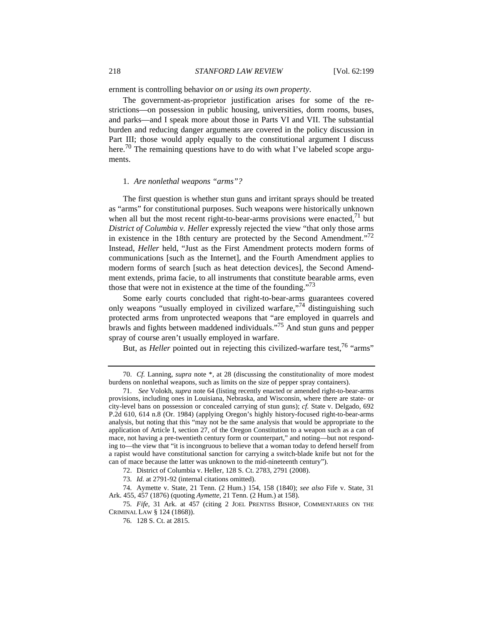ernment is controlling behavior *on or using its own property*.

The government-as-proprietor justification arises for some of the restrictions—on possession in public housing, universities, dorm rooms, buses, and parks—and I speak more about those in Parts VI and VII. The substantial burden and reducing danger arguments are covered in the policy discussion in Part III; those would apply equally to the constitutional argument I discuss here.<sup>70</sup> The remaining questions have to do with what I've labeled scope arguments.

#### 1. *Are nonlethal weapons "arms"?*

The first question is whether stun guns and irritant sprays should be treated as "arms" for constitutional purposes. Such weapons were historically unknown when all but the most recent right-to-bear-arms provisions were enacted, $^{71}$  but *District of Columbia v. Heller* expressly rejected the view "that only those arms in existence in the 18th century are protected by the Second Amendment.<sup> $2$ </sup> Instead, *Heller* held, "Just as the First Amendment protects modern forms of communications [such as the Internet], and the Fourth Amendment applies to modern forms of search [such as heat detection devices], the Second Amendment extends, prima facie, to all instruments that constitute bearable arms, even those that were not in existence at the time of the founding."<sup>73</sup>

Some early courts concluded that right-to-bear-arms guarantees covered only weapons "usually employed in civilized warfare,"<sup>74</sup> distinguishing such protected arms from unprotected weapons that "are employed in quarrels and brawls and fights between maddened individuals."75 And stun guns and pepper spray of course aren't usually employed in warfare.

But, as *Heller* pointed out in rejecting this civilized-warfare test,<sup>76</sup> "arms"

<sup>70.</sup> *Cf.* Lanning, *supra* note \*, at 28 (discussing the constitutionality of more modest burdens on nonlethal weapons, such as limits on the size of pepper spray containers).

<sup>71.</sup> *See* Volokh, *supra* note 64 (listing recently enacted or amended right-to-bear-arms provisions, including ones in Louisiana, Nebraska, and Wisconsin, where there are state- or city-level bans on possession or concealed carrying of stun guns); *cf.* State v. Delgado, 692 P.2d 610, 614 n.8 (Or. 1984) (applying Oregon's highly history-focused right-to-bear-arms analysis, but noting that this "may not be the same analysis that would be appropriate to the application of Article I, section 27, of the Oregon Constitution to a weapon such as a can of mace, not having a pre-twentieth century form or counterpart," and noting—but not responding to—the view that "it is incongruous to believe that a woman today to defend herself from a rapist would have constitutional sanction for carrying a switch-blade knife but not for the can of mace because the latter was unknown to the mid-nineteenth century").

<sup>72.</sup> District of Columbia v. Heller, 128 S. Ct. 2783, 2791 (2008).

<sup>73.</sup> *Id.* at 2791-92 (internal citations omitted).

<sup>74.</sup> Aymette v. State, 21 Tenn. (2 Hum.) 154, 158 (1840); *see also* Fife v. State, 31 Ark. 455, 457 (1876) (quoting *Aymette*, 21 Tenn. (2 Hum.) at 158).

<sup>75.</sup> *Fife*, 31 Ark. at 457 (citing 2 JOEL PRENTISS BISHOP, COMMENTARIES ON THE CRIMINAL LAW § 124 (1868)).

<sup>76. 128</sup> S. Ct. at 2815.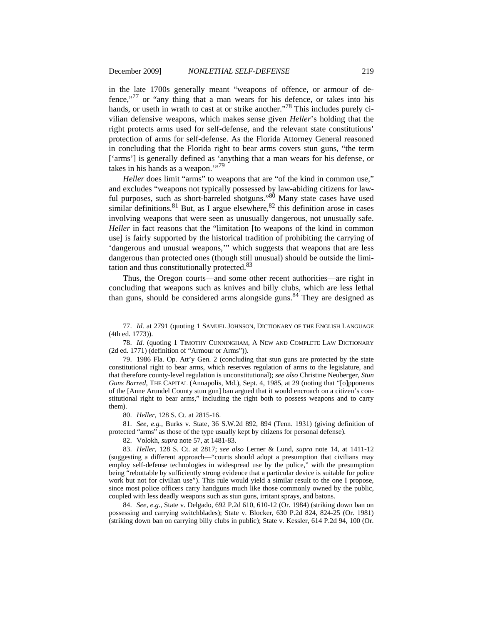in the late 1700s generally meant "weapons of offence, or armour of defence,"<sup>77</sup> or "any thing that a man wears for his defence, or takes into his hands, or useth in wrath to cast at or strike another.<sup>778</sup> This includes purely civilian defensive weapons, which makes sense given *Heller*'s holding that the right protects arms used for self-defense, and the relevant state constitutions' protection of arms for self-defense. As the Florida Attorney General reasoned in concluding that the Florida right to bear arms covers stun guns, "the term ['arms'] is generally defined as 'anything that a man wears for his defense, or takes in his hands as a weapon."<sup>79</sup>

*Heller* does limit "arms" to weapons that are "of the kind in common use," and excludes "weapons not typically possessed by law-abiding citizens for lawful purposes, such as short-barreled shotguns."<sup>80</sup> Many state cases have used  $\frac{1}{\pi}$  similar definitions.<sup>81</sup> But, as I argue elsewhere,<sup>82</sup> this definition arose in cases involving weapons that were seen as unusually dangerous, not unusually safe. *Heller* in fact reasons that the "limitation [to weapons of the kind in common use] is fairly supported by the historical tradition of prohibiting the carrying of 'dangerous and unusual weapons,'" which suggests that weapons that are less dangerous than protected ones (though still unusual) should be outside the limitation and thus constitutionally protected.83

Thus, the Oregon courts—and some other recent authorities—are right in concluding that weapons such as knives and billy clubs, which are less lethal than guns, should be considered arms alongside guns.<sup>84</sup> They are designed as

<sup>77.</sup> *Id.* at 2791 (quoting 1 SAMUEL JOHNSON, DICTIONARY OF THE ENGLISH LANGUAGE (4th ed. 1773)).

<sup>78.</sup> *Id.* (quoting 1 TIMOTHY CUNNINGHAM, A NEW AND COMPLETE LAW DICTIONARY (2d ed. 1771) (definition of "Armour or Arms")).

<sup>79. 1986</sup> Fla. Op. Att'y Gen. 2 (concluding that stun guns are protected by the state constitutional right to bear arms, which reserves regulation of arms to the legislature, and that therefore county-level regulation is unconstitutional); *see also* Christine Neuberger, *Stun Guns Barred*, THE CAPITAL (Annapolis, Md.), Sept. 4, 1985, at 29 (noting that "[o]pponents of the [Anne Arundel County stun gun] ban argued that it would encroach on a citizen's constitutional right to bear arms," including the right both to possess weapons and to carry them).

<sup>80.</sup> *Heller*, 128 S. Ct. at 2815-16.

<sup>81.</sup> *See, e*.*g.*, Burks v. State, 36 S.W.2d 892, 894 (Tenn. 1931) (giving definition of protected "arms" as those of the type usually kept by citizens for personal defense).

<sup>82.</sup> Volokh, *supra* note 57, at 1481-83.

<sup>83.</sup> *Heller*, 128 S. Ct. at 2817; *see also* Lerner & Lund, *supra* note 14, at 1411-12 (suggesting a different approach—"courts should adopt a presumption that civilians may employ self-defense technologies in widespread use by the police," with the presumption being "rebuttable by sufficiently strong evidence that a particular device is suitable for police work but not for civilian use"). This rule would yield a similar result to the one I propose, since most police officers carry handguns much like those commonly owned by the public, coupled with less deadly weapons such as stun guns, irritant sprays, and batons.

<sup>84.</sup> *See, e*.*g*., State v. Delgado, 692 P.2d 610, 610-12 (Or. 1984) (striking down ban on possessing and carrying switchblades); State v. Blocker, 630 P.2d 824, 824-25 (Or. 1981) (striking down ban on carrying billy clubs in public); State v. Kessler, 614 P.2d 94, 100 (Or.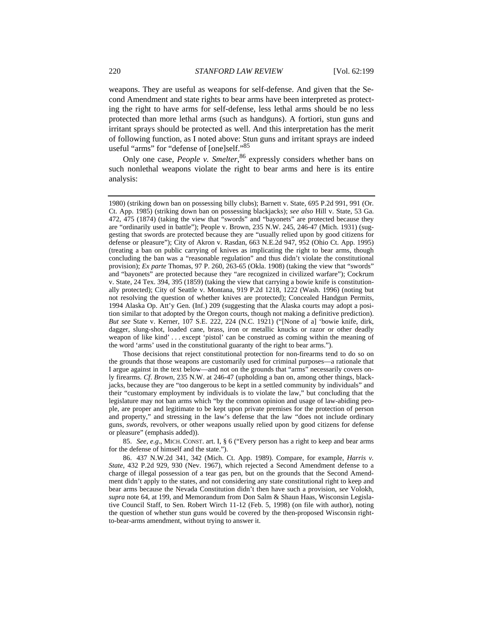weapons. They are useful as weapons for self-defense. And given that the Second Amendment and state rights to bear arms have been interpreted as protecting the right to have arms for self-defense, less lethal arms should be no less protected than more lethal arms (such as handguns). A fortiori, stun guns and irritant sprays should be protected as well. And this interpretation has the merit of following function, as I noted above: Stun guns and irritant sprays are indeed useful "arms" for "defense of [one]self."85

Only one case, *People v. Smelter*,<sup>86</sup> expressly considers whether bans on such nonlethal weapons violate the right to bear arms and here is its entire analysis:

1980) (striking down ban on possessing billy clubs); Barnett v. State, 695 P.2d 991, 991 (Or. Ct. App. 1985) (striking down ban on possessing blackjacks); *see also* Hill v. State, 53 Ga. 472, 475 (1874) (taking the view that "swords" and "bayonets" are protected because they are "ordinarily used in battle"); People v. Brown, 235 N.W. 245, 246-47 (Mich. 1931) (suggesting that swords are protected because they are "usually relied upon by good citizens for defense or pleasure"); City of Akron v. Rasdan, 663 N.E.2d 947, 952 (Ohio Ct. App. 1995) (treating a ban on public carrying of knives as implicating the right to bear arms, though concluding the ban was a "reasonable regulation" and thus didn't violate the constitutional provision); *Ex parte* Thomas, 97 P. 260, 263-65 (Okla. 1908) (taking the view that "swords" and "bayonets" are protected because they "are recognized in civilized warfare"); Cockrum v. State, 24 Tex. 394, 395 (1859) (taking the view that carrying a bowie knife is constitutionally protected); City of Seattle v. Montana, 919 P.2d 1218, 1222 (Wash. 1996) (noting but not resolving the question of whether knives are protected); Concealed Handgun Permits, 1994 Alaska Op. Att'y Gen. (Inf.) 209 (suggesting that the Alaska courts may adopt a position similar to that adopted by the Oregon courts, though not making a definitive prediction). *But see* State v. Kerner, 107 S.E. 222, 224 (N.C. 1921) ("[None of a] 'bowie knife, dirk, dagger, slung-shot, loaded cane, brass, iron or metallic knucks or razor or other deadly weapon of like kind' . . . except 'pistol' can be construed as coming within the meaning of the word 'arms' used in the constitutional guaranty of the right to bear arms.").

Those decisions that reject constitutional protection for non-firearms tend to do so on the grounds that those weapons are customarily used for criminal purposes—a rationale that I argue against in the text below—and not on the grounds that "arms" necessarily covers only firearms. *Cf*. *Brown*, 235 N.W. at 246-47 (upholding a ban on, among other things, blackjacks, because they are "too dangerous to be kept in a settled community by individuals" and their "customary employment by individuals is to violate the law," but concluding that the legislature may not ban arms which "by the common opinion and usage of law-abiding people, are proper and legitimate to be kept upon private premises for the protection of person and property," and stressing in the law's defense that the law "does not include ordinary guns, *swords*, revolvers, or other weapons usually relied upon by good citizens for defense or pleasure" (emphasis added)).

85. *See, e*.*g*., MICH. CONST. art. I, § 6 ("Every person has a right to keep and bear arms for the defense of himself and the state.").

86. 437 N.W.2d 341, 342 (Mich. Ct. App. 1989). Compare, for example, *Harris v. State*, 432 P.2d 929, 930 (Nev. 1967), which rejected a Second Amendment defense to a charge of illegal possession of a tear gas pen, but on the grounds that the Second Amendment didn't apply to the states, and not considering any state constitutional right to keep and bear arms because the Nevada Constitution didn't then have such a provision, *see* Volokh, *supra* note 64, at 199, and Memorandum from Don Salm & Shaun Haas, Wisconsin Legislative Council Staff, to Sen. Robert Wirch 11-12 (Feb. 5, 1998) (on file with author), noting the question of whether stun guns would be covered by the then-proposed Wisconsin rightto-bear-arms amendment, without trying to answer it.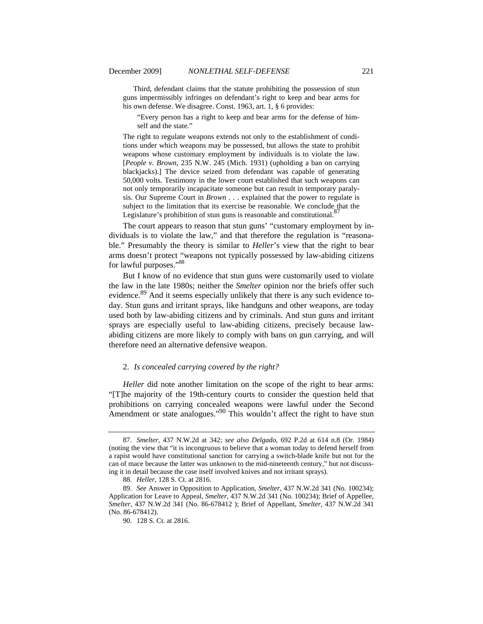Third, defendant claims that the statute prohibiting the possession of stun guns impermissibly infringes on defendant's right to keep and bear arms for his own defense. We disagree. Const. 1963, art. 1, § 6 provides:

"Every person has a right to keep and bear arms for the defense of himself and the state."

The right to regulate weapons extends not only to the establishment of conditions under which weapons may be possessed, but allows the state to prohibit weapons whose customary employment by individuals is to violate the law. [*People v. Brown*, 235 N.W. 245 (Mich. 1931) (upholding a ban on carrying blackjacks).] The device seized from defendant was capable of generating 50,000 volts. Testimony in the lower court established that such weapons can not only temporarily incapacitate someone but can result in temporary paralysis. Our Supreme Court in *Brown . . .* explained that the power to regulate is subject to the limitation that its exercise be reasonable. We conclude that the Legislature's prohibition of stun guns is reasonable and constitutional.<sup>87</sup>

The court appears to reason that stun guns' "customary employment by individuals is to violate the law," and that therefore the regulation is "reasonable." Presumably the theory is similar to *Heller*'s view that the right to bear arms doesn't protect "weapons not typically possessed by law-abiding citizens for lawful purposes."<sup>88</sup>

But I know of no evidence that stun guns were customarily used to violate the law in the late 1980s; neither the *Smelter* opinion nor the briefs offer such evidence.<sup>89</sup> And it seems especially unlikely that there is any such evidence today. Stun guns and irritant sprays, like handguns and other weapons, are today used both by law-abiding citizens and by criminals. And stun guns and irritant sprays are especially useful to law-abiding citizens, precisely because lawabiding citizens are more likely to comply with bans on gun carrying, and will therefore need an alternative defensive weapon.

#### 2. *Is concealed carrying covered by the right?*

*Heller* did note another limitation on the scope of the right to bear arms: "[T]he majority of the 19th-century courts to consider the question held that prohibitions on carrying concealed weapons were lawful under the Second Amendment or state analogues."<sup>90</sup> This wouldn't affect the right to have stun

<sup>87.</sup> *Smelter*, 437 N.W.2d at 342; *see also Delgado*, 692 P.2d at 614 n.8 (Or. 1984) (noting the view that "it is incongruous to believe that a woman today to defend herself from a rapist would have constitutional sanction for carrying a switch-blade knife but not for the can of mace because the latter was unknown to the mid-nineteenth century," but not discussing it in detail because the case itself involved knives and not irritant sprays).

<sup>88.</sup> *Heller*, 128 S. Ct. at 2816.

<sup>89.</sup> *See* Answer in Opposition to Application, *Smelter*, 437 N.W.2d 341 (No. 100234); Application for Leave to Appeal, *Smelter*, 437 N.W.2d 341 (No. 100234); Brief of Appellee, *Smelter*, 437 N.W.2d 341 (No. 86-678412 ); Brief of Appellant, *Smelter*, 437 N.W.2d 341 (No. 86-678412).

<sup>90. 128</sup> S. Ct. at 2816.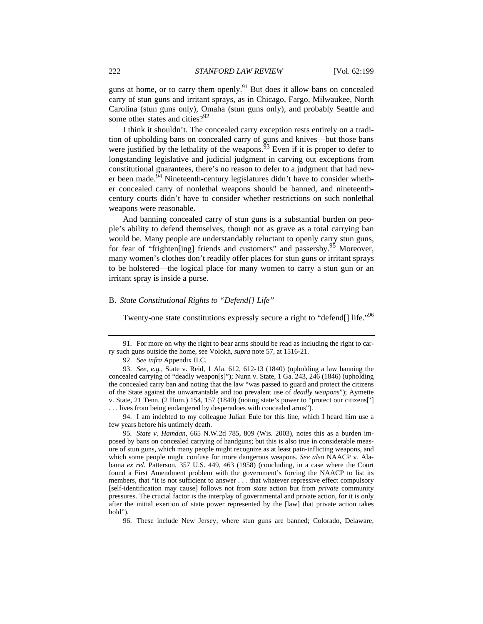guns at home, or to carry them openly.<sup>91</sup> But does it allow bans on concealed carry of stun guns and irritant sprays, as in Chicago, Fargo, Milwaukee, North Carolina (stun guns only), Omaha (stun guns only), and probably Seattle and some other states and cities? $92$ 

I think it shouldn't. The concealed carry exception rests entirely on a tradition of upholding bans on concealed carry of guns and knives—but those bans were justified by the lethality of the weapons.<sup>93</sup> Even if it is proper to defer to longstanding legislative and judicial judgment in carving out exceptions from constitutional guarantees, there's no reason to defer to a judgment that had never been made.<sup>94</sup> Nineteenth-century legislatures didn't have to consider whether concealed carry of nonlethal weapons should be banned, and nineteenthcentury courts didn't have to consider whether restrictions on such nonlethal weapons were reasonable.

And banning concealed carry of stun guns is a substantial burden on people's ability to defend themselves, though not as grave as a total carrying ban would be. Many people are understandably reluctant to openly carry stun guns, for fear of "frighten[ing] friends and customers" and passersby.<sup>95</sup> Moreover, many women's clothes don't readily offer places for stun guns or irritant sprays to be holstered—the logical place for many women to carry a stun gun or an irritant spray is inside a purse.

# B. *State Constitutional Rights to "Defend[] Life"*

Twenty-one state constitutions expressly secure a right to "defend[] life."<sup>96</sup>

94. I am indebted to my colleague Julian Eule for this line, which I heard him use a few years before his untimely death.

95. *State v. Hamdan*, 665 N.W.2d 785, 809 (Wis. 2003), notes this as a burden imposed by bans on concealed carrying of handguns; but this is also true in considerable measure of stun guns, which many people might recognize as at least pain-inflicting weapons, and which some people might confuse for more dangerous weapons. *See also* NAACP v. Alabama *ex rel.* Patterson, 357 U.S. 449, 463 (1958) (concluding, in a case where the Court found a First Amendment problem with the government's forcing the NAACP to list its members, that "it is not sufficient to answer . . . that whatever repressive effect compulsory [self-identification may cause] follows not from *state* action but from *private* community pressures. The crucial factor is the interplay of governmental and private action, for it is only after the initial exertion of state power represented by the [law] that private action takes hold").

96. These include New Jersey, where stun guns are banned; Colorado, Delaware,

<sup>91.</sup> For more on why the right to bear arms should be read as including the right to carry such guns outside the home, see Volokh, *supra* note 57, at 1516-21.

<sup>92.</sup> *See infra* Appendix II.C.

<sup>93.</sup> *See, e.g.*, State v. Reid, 1 Ala. 612, 612-13 (1840) (upholding a law banning the concealed carrying of "deadly weapon[s]"); Nunn v. State, 1 Ga. 243, 246 (1846) (upholding the concealed carry ban and noting that the law "was passed to guard and protect the citizens of the State against the unwarrantable and too prevalent use of *deadly weapons*"); Aymette v. State, 21 Tenn. (2 Hum.) 154, 157 (1840) (noting state's power to "protect our citizens['] . . . lives from being endangered by desperadoes with concealed arms").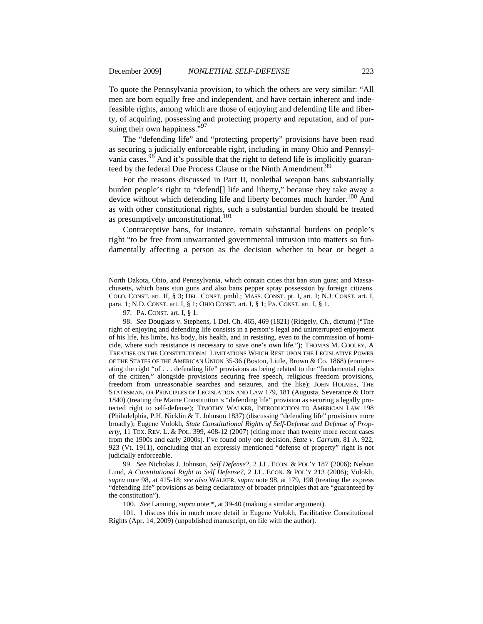To quote the Pennsylvania provision, to which the others are very similar: "All men are born equally free and independent, and have certain inherent and indefeasible rights, among which are those of enjoying and defending life and liberty, of acquiring, possessing and protecting property and reputation, and of pursuing their own happiness."<sup>97</sup>

The "defending life" and "protecting property" provisions have been read as securing a judicially enforceable right, including in many Ohio and Pennsylvania cases.<sup>98</sup> And it's possible that the right to defend life is implicitly guaranteed by the federal Due Process Clause or the Ninth Amendment.<sup>99</sup>

For the reasons discussed in Part II, nonlethal weapon bans substantially burden people's right to "defend[] life and liberty," because they take away a device without which defending life and liberty becomes much harder.<sup>100</sup> And as with other constitutional rights, such a substantial burden should be treated as presumptively unconstitutional.<sup>101</sup>

Contraceptive bans, for instance, remain substantial burdens on people's right "to be free from unwarranted governmental intrusion into matters so fundamentally affecting a person as the decision whether to bear or beget a

98. *See* Douglass v. Stephens, 1 Del. Ch. 465, 469 (1821) (Ridgely, Ch., dictum) ("The right of enjoying and defending life consists in a person's legal and uninterrupted enjoyment of his life, his limbs, his body, his health, and in resisting, even to the commission of homicide, where such resistance is necessary to save one's own life."); THOMAS M. COOLEY, A TREATISE ON THE CONSTITUTIONAL LIMITATIONS WHICH REST UPON THE LEGISLATIVE POWER OF THE STATES OF THE AMERICAN UNION 35-36 (Boston, Little, Brown & Co. 1868) (enumerating the right "of . . . defending life" provisions as being related to the "fundamental rights of the citizen," alongside provisions securing free speech, religious freedom provisions, freedom from unreasonable searches and seizures, and the like); JOHN HOLMES, THE STATESMAN, OR PRINCIPLES OF LEGISLATION AND LAW 179, 181 (Augusta, Severance & Dorr 1840) (treating the Maine Constitution's "defending life" provision as securing a legally protected right to self-defense); TIMOTHY WALKER, INTRODUCTION TO AMERICAN LAW 198 (Philadelphia, P.H. Nicklin & T. Johnson 1837) (discussing "defending life" provisions more broadly); Eugene Volokh, *State Constitutional Rights of Self-Defense and Defense of Property*, 11 TEX. REV. L. & POL. 399, 408-12 (2007) (citing more than twenty more recent cases from the 1900s and early 2000s). I've found only one decision, *State v. Carruth*, 81 A. 922, 923 (Vt. 1911), concluding that an expressly mentioned "defense of property" right is not judicially enforceable.

99. *See* Nicholas J. Johnson, *Self Defense?*, 2 J.L. ECON. & POL'Y 187 (2006); Nelson Lund, *A Constitutional Right to Self Defense?*, 2 J.L. ECON. & POL'Y 213 (2006); Volokh, *supra* note 98, at 415-18; *see also* WALKER, *supra* note 98, at 179, 198 (treating the express "defending life" provisions as being declaratory of broader principles that are "guaranteed by the constitution").

100. *See* Lanning, *supra* note \*, at 39-40 (making a similar argument).

101. I discuss this in much more detail in Eugene Volokh, Facilitative Constitutional Rights (Apr. 14, 2009) (unpublished manuscript, on file with the author).

North Dakota, Ohio, and Pennsylvania, which contain cities that ban stun guns; and Massachusetts, which bans stun guns and also bans pepper spray possession by foreign citizens. COLO. CONST. art. II, § 3; DEL. CONST. pmbl.; MASS. CONST. pt. I, art. I; N.J. CONST. art. I, para. 1; N.D. CONST. art. I, § 1; OHIO CONST. art. I, § 1; PA. CONST. art. I, § 1.

<sup>97.</sup> PA. CONST. art. I, § 1.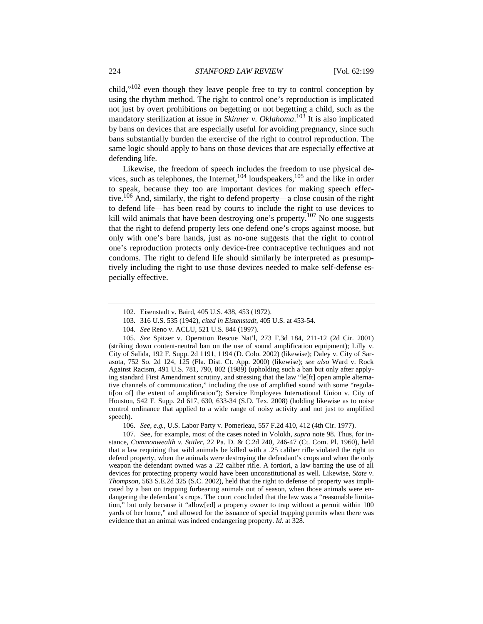child,"<sup>102</sup> even though they leave people free to try to control conception by using the rhythm method. The right to control one's reproduction is implicated not just by overt prohibitions on begetting or not begetting a child, such as the mandatory sterilization at issue in *Skinner v. Oklahoma*. 103 It is also implicated by bans on devices that are especially useful for avoiding pregnancy, since such bans substantially burden the exercise of the right to control reproduction. The same logic should apply to bans on those devices that are especially effective at defending life.

Likewise, the freedom of speech includes the freedom to use physical devices, such as telephones, the Internet,  $104$  loudspeakers,  $105$  and the like in order to speak, because they too are important devices for making speech effective.<sup>106</sup> And, similarly, the right to defend property—a close cousin of the right to defend life—has been read by courts to include the right to use devices to kill wild animals that have been destroying one's property.<sup>107</sup> No one suggests that the right to defend property lets one defend one's crops against moose, but only with one's bare hands, just as no-one suggests that the right to control one's reproduction protects only device-free contraceptive techniques and not condoms. The right to defend life should similarly be interpreted as presumptively including the right to use those devices needed to make self-defense especially effective.

- 103. 316 U.S. 535 (1942), *cited in Eistenstadt*, 405 U.S. at 453-54.
- 104. *See* Reno v. ACLU, 521 U.S. 844 (1997).

105. *See* Spitzer v. Operation Rescue Nat'l, 273 F.3d 184, 211-12 (2d Cir. 2001) (striking down content-neutral ban on the use of sound amplification equipment); Lilly v. City of Salida, 192 F. Supp. 2d 1191, 1194 (D. Colo. 2002) (likewise); Daley v. City of Sarasota, 752 So. 2d 124, 125 (Fla. Dist. Ct. App. 2000) (likewise); *see also* Ward v. Rock Against Racism, 491 U.S. 781, 790, 802 (1989) (upholding such a ban but only after applying standard First Amendment scrutiny, and stressing that the law "le[ft] open ample alternative channels of communication," including the use of amplified sound with some "regulati[on of] the extent of amplification"); Service Employees International Union v. City of Houston, 542 F. Supp. 2d 617, 630, 633-34 (S.D. Tex. 2008) (holding likewise as to noise control ordinance that applied to a wide range of noisy activity and not just to amplified speech).

106. *See, e.g.*, U.S. Labor Party v. Pomerleau, 557 F.2d 410, 412 (4th Cir. 1977).

107. See, for example, most of the cases noted in Volokh, *supra* note 98. Thus, for instance, *Commonwealth v. Stitler*, 22 Pa. D. & C.2d 240, 246-47 (Ct. Com. Pl. 1960), held that a law requiring that wild animals be killed with a .25 caliber rifle violated the right to defend property, when the animals were destroying the defendant's crops and when the only weapon the defendant owned was a .22 caliber rifle. A fortiori, a law barring the use of all devices for protecting property would have been unconstitutional as well. Likewise, *State v*. *Thompson*, 563 S.E.2d 325 (S.C. 2002), held that the right to defense of property was implicated by a ban on trapping furbearing animals out of season, when those animals were endangering the defendant's crops. The court concluded that the law was a "reasonable limitation," but only because it "allow[ed] a property owner to trap without a permit within 100 yards of her home," and allowed for the issuance of special trapping permits when there was evidence that an animal was indeed endangering property. *Id.* at 328.

<sup>102.</sup> Eisenstadt v. Baird, 405 U.S. 438, 453 (1972).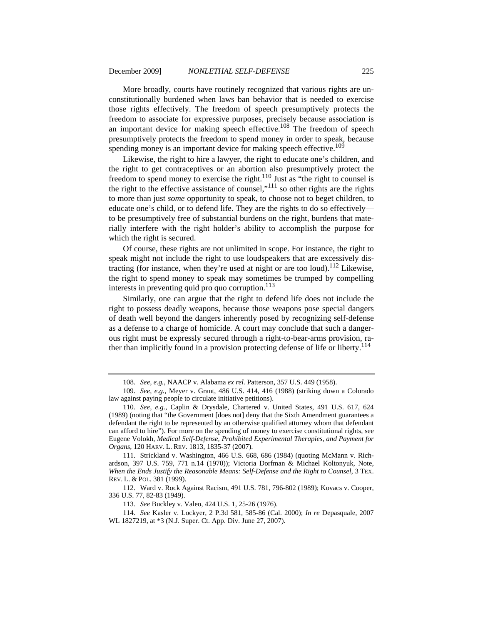More broadly, courts have routinely recognized that various rights are unconstitutionally burdened when laws ban behavior that is needed to exercise those rights effectively. The freedom of speech presumptively protects the freedom to associate for expressive purposes, precisely because association is an important device for making speech effective.<sup>108</sup> The freedom of speech presumptively protects the freedom to spend money in order to speak, because spending money is an important device for making speech effective.<sup>109</sup>

Likewise, the right to hire a lawyer, the right to educate one's children, and the right to get contraceptives or an abortion also presumptively protect the freedom to spend money to exercise the right.<sup>110</sup> Just as "the right to counsel is the right to the effective assistance of counsel,"111 so other rights are the rights to more than just *some* opportunity to speak, to choose not to beget children, to educate one's child, or to defend life. They are the rights to do so effectively to be presumptively free of substantial burdens on the right, burdens that materially interfere with the right holder's ability to accomplish the purpose for which the right is secured.

Of course, these rights are not unlimited in scope. For instance, the right to speak might not include the right to use loudspeakers that are excessively distracting (for instance, when they're used at night or are too loud).<sup>112</sup> Likewise, the right to spend money to speak may sometimes be trumped by compelling interests in preventing quid pro quo corruption.<sup>113</sup>

Similarly, one can argue that the right to defend life does not include the right to possess deadly weapons, because those weapons pose special dangers of death well beyond the dangers inherently posed by recognizing self-defense as a defense to a charge of homicide. A court may conclude that such a dangerous right must be expressly secured through a right-to-bear-arms provision, rather than implicitly found in a provision protecting defense of life or liberty.<sup>114</sup>

111. Strickland v. Washington, 466 U.S. 668, 686 (1984) (quoting McMann v. Richardson, 397 U.S. 759, 771 n.14 (1970)); Victoria Dorfman & Michael Koltonyuk, Note, *When the Ends Justify the Reasonable Means: Self-Defense and the Right to Counsel*, 3 TEX. REV. L. & POL. 381 (1999).

<sup>108.</sup> *See, e.g.*, NAACP v. Alabama *ex rel.* Patterson, 357 U.S. 449 (1958).

<sup>109.</sup> *See, e.g.*, Meyer v. Grant, 486 U.S. 414, 416 (1988) (striking down a Colorado law against paying people to circulate initiative petitions).

<sup>110.</sup> *See, e.g.*, Caplin & Drysdale, Chartered v. United States, 491 U.S. 617, 624 (1989) (noting that "the Government [does not] deny that the Sixth Amendment guarantees a defendant the right to be represented by an otherwise qualified attorney whom that defendant can afford to hire"). For more on the spending of money to exercise constitutional rights, see Eugene Volokh, *Medical Self-Defense, Prohibited Experimental Therapies, and Payment for Organs*, 120 HARV. L. REV. 1813, 1835-37 (2007).

<sup>112.</sup> Ward v. Rock Against Racism, 491 U.S. 781, 796-802 (1989); Kovacs v. Cooper, 336 U.S. 77, 82-83 (1949).

<sup>113.</sup> *See* Buckley v. Valeo, 424 U.S. 1, 25-26 (1976).

<sup>114.</sup> *See* Kasler v. Lockyer, 2 P.3d 581, 585-86 (Cal. 2000); *In re* Depasquale, 2007 WL 1827219, at \*3 (N.J. Super. Ct. App. Div. June 27, 2007).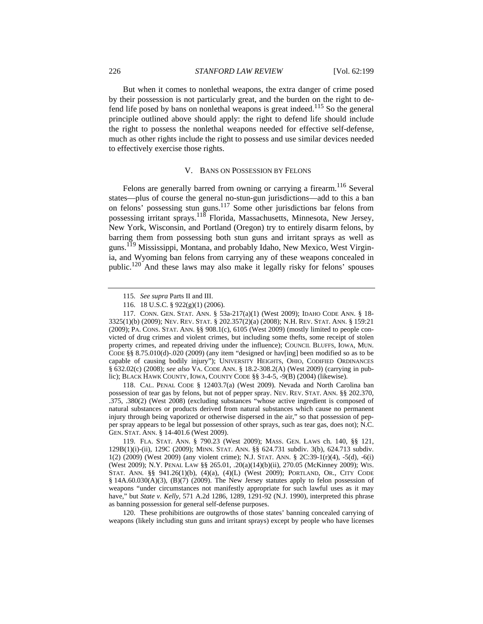But when it comes to nonlethal weapons, the extra danger of crime posed by their possession is not particularly great, and the burden on the right to defend life posed by bans on nonlethal weapons is great indeed.<sup>115</sup> So the general principle outlined above should apply: the right to defend life should include the right to possess the nonlethal weapons needed for effective self-defense, much as other rights include the right to possess and use similar devices needed to effectively exercise those rights.

#### V. BANS ON POSSESSION BY FELONS

Felons are generally barred from owning or carrying a firearm.<sup>116</sup> Several states—plus of course the general no-stun-gun jurisdictions—add to this a ban on felons' possessing stun guns.117 Some other jurisdictions bar felons from possessing irritant sprays.<sup>118</sup> Florida, Massachusetts, Minnesota, New Jersey, New York, Wisconsin, and Portland (Oregon) try to entirely disarm felons, by barring them from possessing both stun guns and irritant sprays as well as guns.<sup>119</sup> Mississippi, Montana, and probably Idaho, New Mexico, West Virginia, and Wyoming ban felons from carrying any of these weapons concealed in public.<sup>120</sup> And these laws may also make it legally risky for felons' spouses

117. CONN. GEN. STAT. ANN. § 53a-217(a)(1) (West 2009); IDAHO CODE ANN. § 18- 3325(1)(b) (2009); NEV. REV. STAT. § 202.357(2)(a) (2008); N.H. REV. STAT. ANN. § 159:21 (2009); PA. CONS. STAT. ANN. §§ 908.1(c), 6105 (West 2009) (mostly limited to people convicted of drug crimes and violent crimes, but including some thefts, some receipt of stolen property crimes, and repeated driving under the influence); COUNCIL BLUFFS, IOWA, MUN. CODE §§ 8.75.010(d)-.020 (2009) (any item "designed or hav[ing] been modified so as to be capable of causing bodily injury"); UNIVERSITY HEIGHTS, OHIO, CODIFIED ORDINANCES § 632.02(c) (2008); *see also* VA. CODE ANN. § 18.2-308.2(A) (West 2009) (carrying in public); BLACK HAWK COUNTY, IOWA, COUNTY CODE §§ 3-4-5, -9(B) (2004) (likewise).

118. CAL. PENAL CODE § 12403.7(a) (West 2009). Nevada and North Carolina ban possession of tear gas by felons, but not of pepper spray. NEV. REV. STAT. ANN. §§ 202.370, .375, .380(2) (West 2008) (excluding substances "whose active ingredient is composed of natural substances or products derived from natural substances which cause no permanent injury through being vaporized or otherwise dispersed in the air," so that possession of pepper spray appears to be legal but possession of other sprays, such as tear gas, does not); N.C. GEN. STAT. ANN. § 14-401.6 (West 2009).

119. FLA. STAT. ANN. § 790.23 (West 2009); MASS. GEN. LAWS ch. 140, §§ 121, 129B(1)(i)-(ii), 129C (2009); MINN. STAT. ANN. §§ 624.731 subdiv. 3(b), 624.713 subdiv. 1(2) (2009) (West 2009) (any violent crime); N.J. STAT. ANN. § 2C:39-1(r)(4), -5(d), -6(i) (West 2009); N.Y. PENAL LAW §§ 265.01, .20(a)(14)(b)(ii), 270.05 (McKinney 2009); WIS. STAT. ANN. §§ 941.26(1)(b), (4)(a), (4)(L) (West 2009); PORTLAND, OR., CITY CODE  $§$  14A.60.030(A)(3), (B)(7) (2009). The New Jersey statutes apply to felon possession of weapons "under circumstances not manifestly appropriate for such lawful uses as it may have," but *State v. Kelly*, 571 A.2d 1286, 1289, 1291-92 (N.J. 1990), interpreted this phrase as banning possession for general self-defense purposes.

120. These prohibitions are outgrowths of those states' banning concealed carrying of weapons (likely including stun guns and irritant sprays) except by people who have licenses

<sup>115.</sup> *See supra* Parts II and III.

<sup>116. 18</sup> U.S.C. § 922(g)(1) (2006).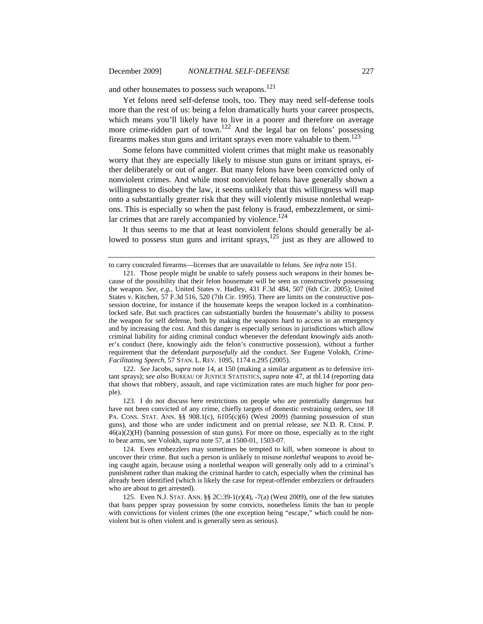and other housemates to possess such weapons.<sup>121</sup>

Yet felons need self-defense tools, too. They may need self-defense tools more than the rest of us: being a felon dramatically hurts your career prospects, which means you'll likely have to live in a poorer and therefore on average more crime-ridden part of town.<sup>122</sup> And the legal bar on felons' possessing firearms makes stun guns and irritant sprays even more valuable to them.<sup>123</sup>

Some felons have committed violent crimes that might make us reasonably worry that they are especially likely to misuse stun guns or irritant sprays, either deliberately or out of anger. But many felons have been convicted only of nonviolent crimes. And while most nonviolent felons have generally shown a willingness to disobey the law, it seems unlikely that this willingness will map onto a substantially greater risk that they will violently misuse nonlethal weapons. This is especially so when the past felony is fraud, embezzlement, or similar crimes that are rarely accompanied by violence.<sup>124</sup>

It thus seems to me that at least nonviolent felons should generally be allowed to possess stun guns and irritant sprays,  $125$  just as they are allowed to

122. *See* Jacobs, *supra* note 14, at 150 (making a similar argument as to defensive irritant sprays); *see also* BUREAU OF JUSTICE STATISTICS, *supra* note 47, at tbl.14 (reporting data that shows that robbery, assault, and rape victimization rates are much higher for poor people).

123. I do not discuss here restrictions on people who are potentially dangerous but have not been convicted of any crime, chiefly targets of domestic restraining orders, *see* 18 PA. CONS. STAT. ANN.  $\S$ § 908.1(c), 6105(c)(6) (West 2009) (banning possession of stun guns), and those who are under indictment and on pretrial release, *see* N.D. R. CRIM. P.  $46(a)(2)(H)$  (banning possession of stun guns). For more on those, especially as to the right to bear arms, see Volokh, *supra* note 57, at 1500-01, 1503-07.

124. Even embezzlers may sometimes be tempted to kill, when someone is about to uncover their crime. But such a person is unlikely to misuse *nonlethal* weapons to avoid being caught again, because using a nonlethal weapon will generally only add to a criminal's punishment rather than making the criminal harder to catch, especially when the criminal has already been identified (which is likely the case for repeat-offender embezzlers or defrauders who are about to get arrested).

125. Even N.J. STAT. ANN. §§ 2C:39-1(r)(4), -7(a) (West 2009), one of the few statutes that bans pepper spray possession by some convicts, nonetheless limits the ban to people with convictions for violent crimes (the one exception being "escape," which could be nonviolent but is often violent and is generally seen as serious).

to carry concealed firearms—licenses that are unavailable to felons. *See infra* note 151.

<sup>121.</sup> Those people might be unable to safely possess such weapons in their homes because of the possibility that their felon housemate will be seen as constructively possessing the weapon. *See, e*.*g.*, United States v. Hadley, 431 F.3d 484, 507 (6th Cir. 2005); United States v. Kitchen, 57 F.3d 516, 520 (7th Cir. 1995). There are limits on the constructive possession doctrine, for instance if the housemate keeps the weapon locked in a combinationlocked safe. But such practices can substantially burden the housemate's ability to possess the weapon for self defense, both by making the weapons hard to access in an emergency and by increasing the cost. And this danger is especially serious in jurisdictions which allow criminal liability for aiding criminal conduct whenever the defendant *knowingly* aids another's conduct (here, knowingly aids the felon's constructive possession), without a further requirement that the defendant *purposefully* aid the conduct. *See* Eugene Volokh, *Crime-Facilitating Speech*, 57 STAN. L. REV. 1095, 1174 n.295 (2005).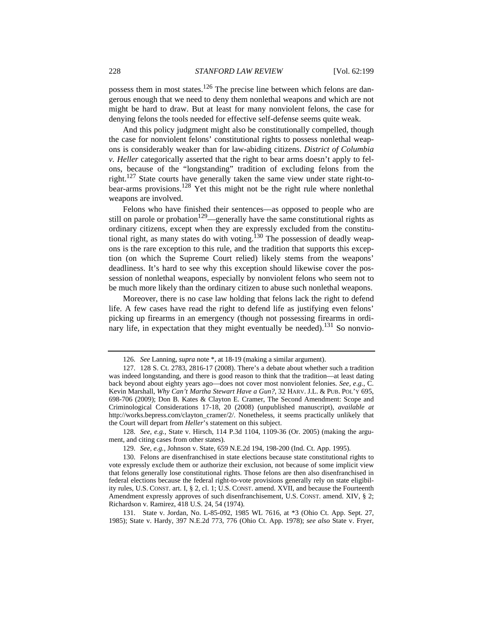possess them in most states.<sup>126</sup> The precise line between which felons are dangerous enough that we need to deny them nonlethal weapons and which are not might be hard to draw. But at least for many nonviolent felons, the case for denying felons the tools needed for effective self-defense seems quite weak.

And this policy judgment might also be constitutionally compelled, though the case for nonviolent felons' constitutional rights to possess nonlethal weapons is considerably weaker than for law-abiding citizens. *District of Columbia v. Heller* categorically asserted that the right to bear arms doesn't apply to felons, because of the "longstanding" tradition of excluding felons from the right.<sup>127</sup> State courts have generally taken the same view under state right-tobear-arms provisions.<sup>128</sup> Yet this might not be the right rule where nonlethal weapons are involved.

Felons who have finished their sentences—as opposed to people who are still on parole or probation<sup>129</sup>—generally have the same constitutional rights as ordinary citizens, except when they are expressly excluded from the constitutional right, as many states do with voting.<sup>130</sup> The possession of deadly weapons is the rare exception to this rule, and the tradition that supports this exception (on which the Supreme Court relied) likely stems from the weapons' deadliness. It's hard to see why this exception should likewise cover the possession of nonlethal weapons, especially by nonviolent felons who seem not to be much more likely than the ordinary citizen to abuse such nonlethal weapons.

Moreover, there is no case law holding that felons lack the right to defend life. A few cases have read the right to defend life as justifying even felons' picking up firearms in an emergency (though not possessing firearms in ordinary life, in expectation that they might eventually be needed).<sup>131</sup> So nonvio-

128. *See, e.g.*, State v. Hirsch, 114 P.3d 1104, 1109-36 (Or. 2005) (making the argument, and citing cases from other states).

129. *See, e.g.*, Johnson v. State, 659 N.E.2d 194, 198-200 (Ind. Ct. App. 1995).

130. Felons are disenfranchised in state elections because state constitutional rights to vote expressly exclude them or authorize their exclusion, not because of some implicit view that felons generally lose constitutional rights. Those felons are then also disenfranchised in federal elections because the federal right-to-vote provisions generally rely on state eligibility rules, U.S. CONST. art. I, § 2, cl. 1; U.S. CONST. amend. XVII, and because the Fourteenth Amendment expressly approves of such disenfranchisement, U.S. CONST. amend. XIV, § 2; Richardson v. Ramirez, 418 U.S. 24, 54 (1974).

131. State v. Jordan, No. L-85-092, 1985 WL 7616, at \*3 (Ohio Ct. App. Sept. 27, 1985); State v. Hardy, 397 N.E.2d 773, 776 (Ohio Ct. App. 1978); *see also* State v. Fryer,

<sup>126.</sup> *See* Lanning, *supra* note \*, at 18-19 (making a similar argument).

<sup>127. 128</sup> S. Ct. 2783, 2816-17 (2008). There's a debate about whether such a tradition was indeed longstanding, and there is good reason to think that the tradition—at least dating back beyond about eighty years ago—does not cover most nonviolent felonies. *See, e*.*g.*, C. Kevin Marshall, *Why Can't Martha Stewart Have a Gun?*, 32 HARV. J.L. & PUB. POL'Y 695, 698-706 (2009); Don B. Kates & Clayton E. Cramer, The Second Amendment: Scope and Criminological Considerations 17-18, 20 (2008) (unpublished manuscript), *available at* http://works.bepress.com/clayton\_cramer/2/. Nonetheless, it seems practically unlikely that the Court will depart from *Heller*'s statement on this subject.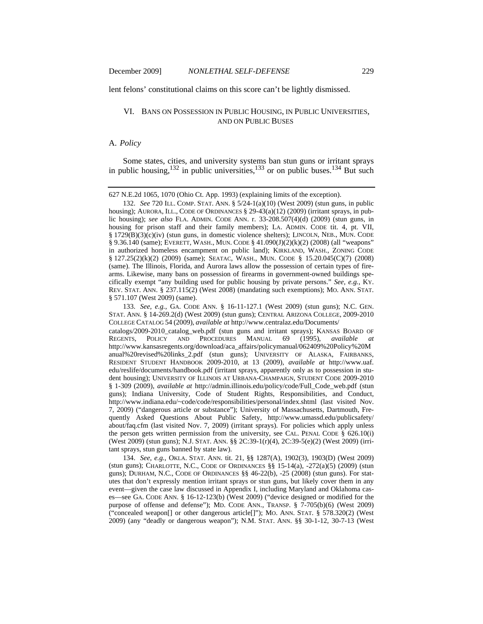lent felons' constitutional claims on this score can't be lightly dismissed.

# VI. BANS ON POSSESSION IN PUBLIC HOUSING, IN PUBLIC UNIVERSITIES, AND ON PUBLIC BUSES

# A. *Policy*

Some states, cities, and university systems ban stun guns or irritant sprays in public housing,<sup>132</sup> in public universities,<sup>133</sup> or on public buses.<sup>134</sup> But such

627 N.E.2d 1065, 1070 (Ohio Ct. App. 1993) (explaining limits of the exception).

132. *See* 720 ILL. COMP. STAT. ANN. § 5/24-1(a)(10) (West 2009) (stun guns, in public housing); AURORA, ILL., CODE OF ORDINANCES  $\S$  29-43(a)(12) (2009) (irritant sprays, in public housing); *see also* FLA. ADMIN. CODE ANN. r. 33-208.507(4)(d) (2009) (stun guns, in housing for prison staff and their family members); LA. ADMIN. CODE tit. 4, pt. VII, § 1729(B)(3)(c)(iv) (stun guns, in domestic violence shelters); LINCOLN, NEB., MUN. CODE § 9.36.140 (same); EVERETT, WASH., MUN. CODE § 41.090(J)(2)(k)(2) (2008) (all "weapons" in authorized homeless encampment on public land); KIRKLAND, WASH., ZONING CODE § 127.25(2)(k)(2) (2009) (same); SEATAC, WASH., MUN. CODE § 15.20.045(C)(7) (2008) (same). The Illinois, Florida, and Aurora laws allow the possession of certain types of firearms. Likewise, many bans on possession of firearms in government-owned buildings specifically exempt "any building used for public housing by private persons." *See, e.g.*, KY. REV. STAT. ANN. § 237.115(2) (West 2008) (mandating such exemptions); MO. ANN. STAT. § 571.107 (West 2009) (same).

133. *See, e.g.*, GA. CODE ANN. § 16-11-127.1 (West 2009) (stun guns); N.C. GEN. STAT. ANN. § 14-269.2(d) (West 2009) (stun guns); CENTRAL ARIZONA COLLEGE, 2009-2010 COLLEGE CATALOG 54 (2009), *available at* http://www.centralaz.edu/Documents/ catalogs/2009-2010\_catalog\_web.pdf (stun guns and irritant sprays); KANSAS BOARD OF REGENTS, POLICY AND PROCEDURES MANUAL 69 (1995), *available at* http://www.kansasregents.org/download/aca\_affairs/policymanual/062409%20Policy%20M anual%20revised%20links\_2.pdf (stun guns); UNIVERSITY OF ALASKA, FAIRBANKS, RESIDENT STUDENT HANDBOOK 2009-2010, at 13 (2009), *available at* http://www.uaf. edu/reslife/documents/handbook.pdf (irritant sprays, apparently only as to possession in student housing); UNIVERSITY OF ILLINOIS AT URBANA-CHAMPAIGN, STUDENT CODE 2009-2010 § 1-309 (2009), *available at* http://admin.illinois.edu/policy/code/Full\_Code\_web.pdf (stun guns); Indiana University, Code of Student Rights, Responsibilities, and Conduct, http://www.indiana.edu/~code/code/responsibilities/personal/index.shtml (last visited Nov. 7, 2009) ("dangerous article or substance"); University of Massachusetts, Dartmouth, Frequently Asked Questions About Public Safety, http://www.umassd.edu/publicsafety/ about/faq.cfm (last visited Nov. 7, 2009) (irritant sprays). For policies which apply unless the person gets written permission from the university, see CAL. PENAL CODE  $\S$  626.10(i) (West 2009) (stun guns); N.J. STAT. ANN. §§ 2C:39-1(r)(4), 2C:39-5(e)(2) (West 2009) (irritant sprays, stun guns banned by state law).

134. *See, e.g.*, OKLA. STAT. ANN. tit. 21, §§ 1287(A), 1902(3), 1903(D) (West 2009) (stun guns); CHARLOTTE, N.C., CODE OF ORDINANCES  $\S$ § 15-14(a), -272(a)(5) (2009) (stun guns); DURHAM, N.C., CODE OF ORDINANCES §§ 46-22(b), -25 (2008) (stun guns). For statutes that don't expressly mention irritant sprays or stun guns, but likely cover them in any event—given the case law discussed in Appendix I, including Maryland and Oklahoma cases—see GA. CODE ANN. § 16-12-123(b) (West 2009) ("device designed or modified for the purpose of offense and defense"); MD. CODE ANN., TRANSP. § 7-705(b)(6) (West 2009) ("concealed weapon[] or other dangerous article[]"); MO. ANN. STAT. § 578.320(2) (West 2009) (any "deadly or dangerous weapon"); N.M. STAT. ANN. §§ 30-1-12, 30-7-13 (West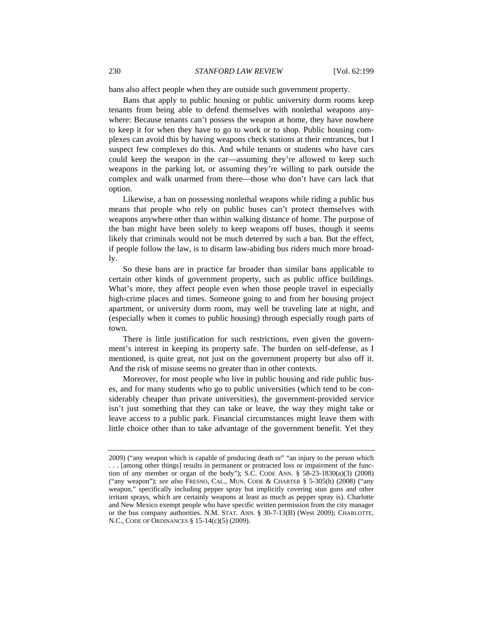bans also affect people when they are outside such government property.

Bans that apply to public housing or public university dorm rooms keep tenants from being able to defend themselves with nonlethal weapons anywhere: Because tenants can't possess the weapon at home, they have nowhere to keep it for when they have to go to work or to shop. Public housing complexes can avoid this by having weapons check stations at their entrances, but I suspect few complexes do this. And while tenants or students who have cars could keep the weapon in the car—assuming they're allowed to keep such weapons in the parking lot, or assuming they're willing to park outside the complex and walk unarmed from there—those who don't have cars lack that option.

Likewise, a ban on possessing nonlethal weapons while riding a public bus means that people who rely on public buses can't protect themselves with weapons anywhere other than within walking distance of home. The purpose of the ban might have been solely to keep weapons off buses, though it seems likely that criminals would not be much deterred by such a ban. But the effect, if people follow the law, is to disarm law-abiding bus riders much more broadly.

So these bans are in practice far broader than similar bans applicable to certain other kinds of government property, such as public office buildings. What's more, they affect people even when those people travel in especially high-crime places and times. Someone going to and from her housing project apartment, or university dorm room, may well be traveling late at night, and (especially when it comes to public housing) through especially rough parts of town.

There is little justification for such restrictions, even given the government's interest in keeping its property safe. The burden on self-defense, as I mentioned, is quite great, not just on the government property but also off it. And the risk of misuse seems no greater than in other contexts.

Moreover, for most people who live in public housing and ride public buses, and for many students who go to public universities (which tend to be considerably cheaper than private universities), the government-provided service isn't just something that they can take or leave, the way they might take or leave access to a public park. Financial circumstances might leave them with little choice other than to take advantage of the government benefit. Yet they

<sup>2009) (&</sup>quot;any weapon which is capable of producing death or" "an injury to the person which . . . [among other things] results in permanent or protracted loss or impairment of the function of any member or organ of the body"); S.C. CODE ANN.  $\S$  58-23-1830(a)(3) (2008) ("any weapon"); *see also* FRESNO, CAL., MUN. CODE & CHARTER § 5-305(h) (2008) ("any weapon," specifically including pepper spray but implicitly covering stun guns and other irritant sprays, which are certainly weapons at least as much as pepper spray is). Charlotte and New Mexico exempt people who have specific written permission from the city manager or the bus company authorities. N.M. STAT. ANN. § 30-7-13(B) (West 2009); CHARLOTTE, N.C., CODE OF ORDINANCES § 15-14(c)(5) (2009).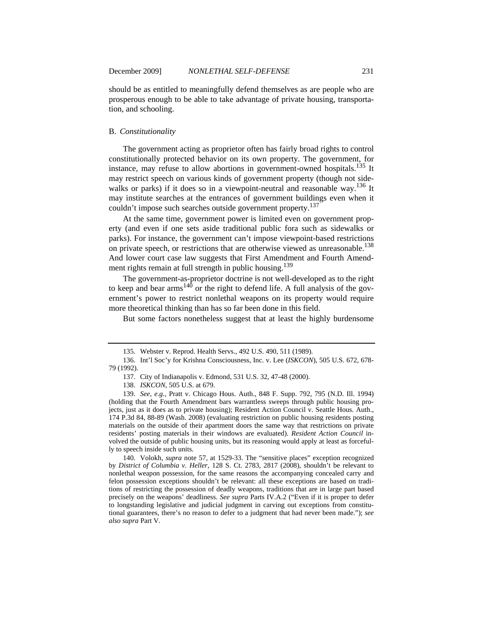should be as entitled to meaningfully defend themselves as are people who are prosperous enough to be able to take advantage of private housing, transportation, and schooling.

# B. *Constitutionality*

The government acting as proprietor often has fairly broad rights to control constitutionally protected behavior on its own property. The government, for instance, may refuse to allow abortions in government-owned hospitals.<sup>135</sup> It may restrict speech on various kinds of government property (though not sidewalks or parks) if it does so in a viewpoint-neutral and reasonable way.<sup>136</sup> It may institute searches at the entrances of government buildings even when it couldn't impose such searches outside government property.<sup>137</sup>

At the same time, government power is limited even on government property (and even if one sets aside traditional public fora such as sidewalks or parks). For instance, the government can't impose viewpoint-based restrictions on private speech, or restrictions that are otherwise viewed as unreasonable.<sup>138</sup> And lower court case law suggests that First Amendment and Fourth Amendment rights remain at full strength in public housing.<sup>139</sup>

The government-as-proprietor doctrine is not well-developed as to the right to keep and bear arms<sup>140</sup> or the right to defend life. A full analysis of the government's power to restrict nonlethal weapons on its property would require more theoretical thinking than has so far been done in this field.

But some factors nonetheless suggest that at least the highly burdensome

140. Volokh, *supra* note 57, at 1529-33. The "sensitive places" exception recognized by *District of Columbia v. Heller*, 128 S. Ct. 2783, 2817 (2008), shouldn't be relevant to nonlethal weapon possession, for the same reasons the accompanying concealed carry and felon possession exceptions shouldn't be relevant: all these exceptions are based on traditions of restricting the possession of deadly weapons, traditions that are in large part based precisely on the weapons' deadliness. *See supra* Parts IV.A.2 ("Even if it is proper to defer to longstanding legislative and judicial judgment in carving out exceptions from constitutional guarantees, there's no reason to defer to a judgment that had never been made."); *see also supra* Part V.

<sup>135.</sup> Webster v. Reprod. Health Servs., 492 U.S. 490, 511 (1989).

<sup>136.</sup> Int'l Soc'y for Krishna Consciousness, Inc. v. Lee (*ISKCON*), 505 U.S. 672, 678- 79 (1992).

<sup>137.</sup> City of Indianapolis v. Edmond, 531 U.S. 32, 47-48 (2000).

<sup>138.</sup> *ISKCON*, 505 U.S. at 679.

<sup>139.</sup> *See, e.g.*, Pratt v. Chicago Hous. Auth., 848 F. Supp. 792, 795 (N.D. Ill. 1994) (holding that the Fourth Amendment bars warrantless sweeps through public housing projects, just as it does as to private housing); Resident Action Council v. Seattle Hous. Auth., 174 P.3d 84, 88-89 (Wash. 2008) (evaluating restriction on public housing residents posting materials on the outside of their apartment doors the same way that restrictions on private residents' posting materials in their windows are evaluated). *Resident Action Council* involved the outside of public housing units, but its reasoning would apply at least as forcefully to speech inside such units.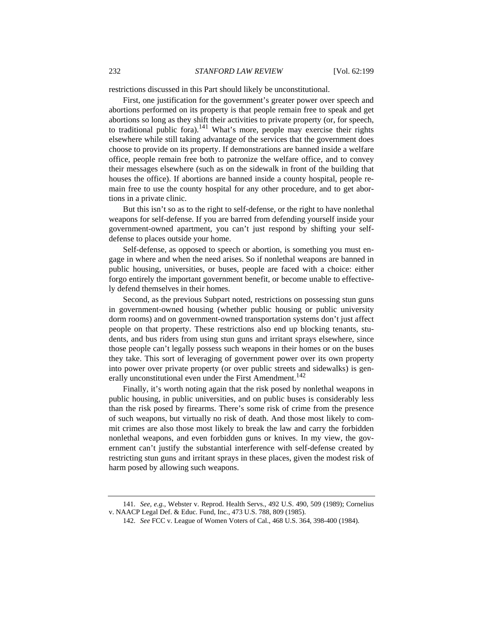restrictions discussed in this Part should likely be unconstitutional.

First, one justification for the government's greater power over speech and abortions performed on its property is that people remain free to speak and get abortions so long as they shift their activities to private property (or, for speech, to traditional public fora).<sup>141</sup> What's more, people may exercise their rights elsewhere while still taking advantage of the services that the government does choose to provide on its property. If demonstrations are banned inside a welfare office, people remain free both to patronize the welfare office, and to convey their messages elsewhere (such as on the sidewalk in front of the building that houses the office). If abortions are banned inside a county hospital, people remain free to use the county hospital for any other procedure, and to get abortions in a private clinic.

But this isn't so as to the right to self-defense, or the right to have nonlethal weapons for self-defense. If you are barred from defending yourself inside your government-owned apartment, you can't just respond by shifting your selfdefense to places outside your home.

Self-defense, as opposed to speech or abortion, is something you must engage in where and when the need arises. So if nonlethal weapons are banned in public housing, universities, or buses, people are faced with a choice: either forgo entirely the important government benefit, or become unable to effectively defend themselves in their homes.

Second, as the previous Subpart noted, restrictions on possessing stun guns in government-owned housing (whether public housing or public university dorm rooms) and on government-owned transportation systems don't just affect people on that property. These restrictions also end up blocking tenants, students, and bus riders from using stun guns and irritant sprays elsewhere, since those people can't legally possess such weapons in their homes or on the buses they take. This sort of leveraging of government power over its own property into power over private property (or over public streets and sidewalks) is generally unconstitutional even under the First Amendment.<sup>142</sup>

Finally, it's worth noting again that the risk posed by nonlethal weapons in public housing, in public universities, and on public buses is considerably less than the risk posed by firearms. There's some risk of crime from the presence of such weapons, but virtually no risk of death. And those most likely to commit crimes are also those most likely to break the law and carry the forbidden nonlethal weapons, and even forbidden guns or knives. In my view, the government can't justify the substantial interference with self-defense created by restricting stun guns and irritant sprays in these places, given the modest risk of harm posed by allowing such weapons.

<sup>141.</sup> *See, e.g.*, Webster v. Reprod. Health Servs., 492 U.S. 490, 509 (1989); Cornelius v. NAACP Legal Def. & Educ. Fund, Inc., 473 U.S. 788, 809 (1985).

<sup>142.</sup> *See* FCC v. League of Women Voters of Cal., 468 U.S. 364, 398-400 (1984).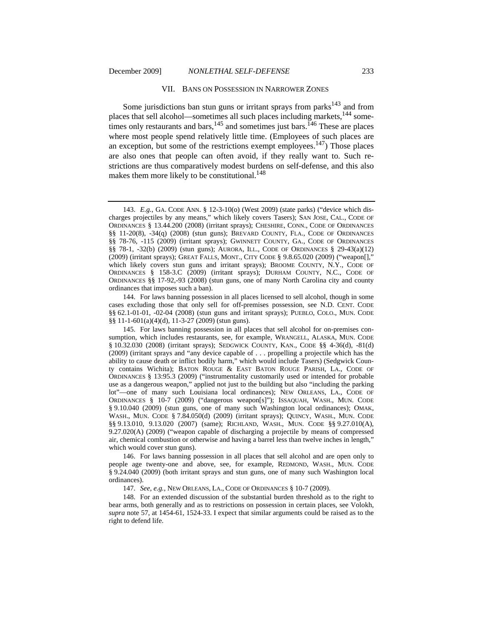#### VII. BANS ON POSSESSION IN NARROWER ZONES

Some jurisdictions ban stun guns or irritant sprays from parks<sup>143</sup> and from places that sell alcohol—sometimes all such places including markets,<sup>144</sup> sometimes only restaurants and bars,  $^{145}$  and sometimes just bars.  $^{146}$  These are places where most people spend relatively little time. (Employees of such places are an exception, but some of the restrictions exempt employees.<sup>147</sup>) Those places are also ones that people can often avoid, if they really want to. Such restrictions are thus comparatively modest burdens on self-defense, and this also makes them more likely to be constitutional.  $148$ 

144. For laws banning possession in all places licensed to sell alcohol, though in some cases excluding those that only sell for off-premises possession, see N.D. CENT. CODE §§ 62.1-01-01, -02-04 (2008) (stun guns and irritant sprays); PUEBLO, COLO., MUN. CODE §§ 11-1-601(a)(4)(d), 11-3-27 (2009) (stun guns).

145. For laws banning possession in all places that sell alcohol for on-premises consumption, which includes restaurants, see, for example, WRANGELL, ALASKA, MUN. CODE § 10.32.030 (2008) (irritant sprays); SEDGWICK COUNTY, KAN., CODE §§ 4-36(d), -81(d) (2009) (irritant sprays and "any device capable of . . . propelling a projectile which has the ability to cause death or inflict bodily harm," which would include Tasers) (Sedgwick County contains Wichita); BATON ROUGE & EAST BATON ROUGE PARISH, LA., CODE OF ORDINANCES § 13:95.3 (2009) ("instrumentality customarily used or intended for probable use as a dangerous weapon," applied not just to the building but also "including the parking lot"—one of many such Louisiana local ordinances); NEW ORLEANS, LA., CODE OF ORDINANCES § 10-7 (2009) ("dangerous weapon[s]"); ISSAQUAH, WASH., MUN. CODE § 9.10.040 (2009) (stun guns, one of many such Washington local ordinances); OMAK, WASH., MUN. CODE § 7.84.050(d) (2009) (irritant sprays); QUINCY, WASH., MUN. CODE §§ 9.13.010, 9.13.020 (2007) (same); RICHLAND, WASH., MUN. CODE §§ 9.27.010(A), 9.27.020(A) (2009) ("weapon capable of discharging a projectile by means of compressed air, chemical combustion or otherwise and having a barrel less than twelve inches in length," which would cover stun guns).

146. For laws banning possession in all places that sell alcohol and are open only to people age twenty-one and above, see, for example, REDMOND, WASH., MUN. CODE § 9.24.040 (2009) (both irritant sprays and stun guns, one of many such Washington local ordinances).

147. *See, e.g.*, NEW ORLEANS, LA., CODE OF ORDINANCES § 10-7 (2009).

148. For an extended discussion of the substantial burden threshold as to the right to bear arms, both generally and as to restrictions on possession in certain places, see Volokh, *supra* note 57, at 1454-61, 1524-33. I expect that similar arguments could be raised as to the right to defend life.

<sup>143.</sup> *E.g.*, GA. CODE ANN. § 12-3-10(o) (West 2009) (state parks) ("device which discharges projectiles by any means," which likely covers Tasers); SAN JOSE, CAL., CODE OF ORDINANCES § 13.44.200 (2008) (irritant sprays); CHESHIRE, CONN., CODE OF ORDINANCES §§ 11-20(8), -34(q) (2008) (stun guns); BREVARD COUNTY, FLA., CODE OF ORDINANCES §§ 78-76, -115 (2009) (irritant sprays); GWINNETT COUNTY, GA., CODE OF ORDINANCES §§ 78-1, -32(b) (2009) (stun guns); AURORA, ILL., CODE OF ORDINANCES § 29-43(a)(12) (2009) (irritant sprays); GREAT FALLS, MONT., CITY CODE § 9.8.65.020 (2009) ("weapon[]," which likely covers stun guns and irritant sprays); BROOME COUNTY, N.Y., CODE OF ORDINANCES § 158-3.C (2009) (irritant sprays); DURHAM COUNTY, N.C., CODE OF ORDINANCES §§ 17-92,-93 (2008) (stun guns, one of many North Carolina city and county ordinances that imposes such a ban).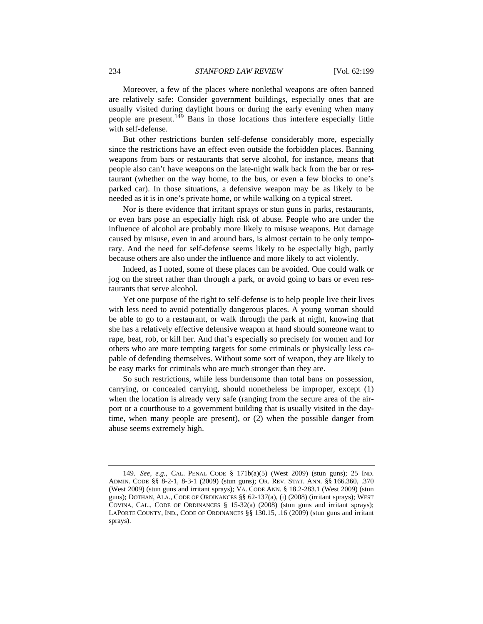Moreover, a few of the places where nonlethal weapons are often banned are relatively safe: Consider government buildings, especially ones that are usually visited during daylight hours or during the early evening when many people are present.149 Bans in those locations thus interfere especially little with self-defense.

But other restrictions burden self-defense considerably more, especially since the restrictions have an effect even outside the forbidden places. Banning weapons from bars or restaurants that serve alcohol, for instance, means that people also can't have weapons on the late-night walk back from the bar or restaurant (whether on the way home, to the bus, or even a few blocks to one's parked car). In those situations, a defensive weapon may be as likely to be needed as it is in one's private home, or while walking on a typical street.

Nor is there evidence that irritant sprays or stun guns in parks, restaurants, or even bars pose an especially high risk of abuse. People who are under the influence of alcohol are probably more likely to misuse weapons. But damage caused by misuse, even in and around bars, is almost certain to be only temporary. And the need for self-defense seems likely to be especially high, partly because others are also under the influence and more likely to act violently.

Indeed, as I noted, some of these places can be avoided. One could walk or jog on the street rather than through a park, or avoid going to bars or even restaurants that serve alcohol.

Yet one purpose of the right to self-defense is to help people live their lives with less need to avoid potentially dangerous places. A young woman should be able to go to a restaurant, or walk through the park at night, knowing that she has a relatively effective defensive weapon at hand should someone want to rape, beat, rob, or kill her. And that's especially so precisely for women and for others who are more tempting targets for some criminals or physically less capable of defending themselves. Without some sort of weapon, they are likely to be easy marks for criminals who are much stronger than they are.

So such restrictions, while less burdensome than total bans on possession, carrying, or concealed carrying, should nonetheless be improper, except (1) when the location is already very safe (ranging from the secure area of the airport or a courthouse to a government building that is usually visited in the daytime, when many people are present), or (2) when the possible danger from abuse seems extremely high.

<sup>149.</sup> *See, e.g.*, CAL. PENAL CODE § 171b(a)(5) (West 2009) (stun guns); 25 IND. ADMIN. CODE §§ 8-2-1, 8-3-1 (2009) (stun guns); OR. REV. STAT. ANN. §§ 166.360, .370 (West 2009) (stun guns and irritant sprays); VA. CODE ANN. § 18.2-283.1 (West 2009) (stun guns); DOTHAN, ALA., CODE OF ORDINANCES §§ 62-137(a), (i) (2008) (irritant sprays); WEST COVINA, CAL., CODE OF ORDINANCES  $\S$  15-32(a) (2008) (stun guns and irritant sprays); LAPORTE COUNTY, IND., CODE OF ORDINANCES §§ 130.15, .16 (2009) (stun guns and irritant sprays).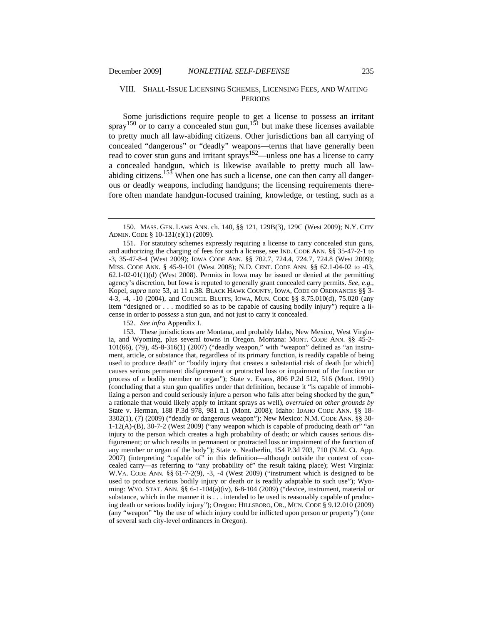# VIII. SHALL-ISSUE LICENSING SCHEMES, LICENSING FEES, AND WAITING **PERIODS**

Some jurisdictions require people to get a license to possess an irritant spray<sup>150</sup> or to carry a concealed stun gun,<sup>151</sup> but make these licenses available to pretty much all law-abiding citizens. Other jurisdictions ban all carrying of concealed "dangerous" or "deadly" weapons—terms that have generally been read to cover stun guns and irritant sprays<sup>152</sup>—unless one has a license to carry a concealed handgun, which is likewise available to pretty much all lawabiding citizens.<sup>153</sup> When one has such a license, one can then carry all dangerous or deadly weapons, including handguns; the licensing requirements therefore often mandate handgun-focused training, knowledge, or testing, such as a

152. *See infra* Appendix I.

153. These jurisdictions are Montana, and probably Idaho, New Mexico, West Virginia, and Wyoming, plus several towns in Oregon. Montana: MONT. CODE ANN. §§ 45-2- 101(66), (79), 45-8-316(1) (2007) ("deadly weapon," with "weapon" defined as "an instrument, article, or substance that, regardless of its primary function, is readily capable of being used to produce death" or "bodily injury that creates a substantial risk of death [or which] causes serious permanent disfigurement or protracted loss or impairment of the function or process of a bodily member or organ"); State v. Evans, 806 P.2d 512, 516 (Mont. 1991) (concluding that a stun gun qualifies under that definition, because it "is capable of immobilizing a person and could seriously injure a person who falls after being shocked by the gun," a rationale that would likely apply to irritant sprays as well), *overruled on other grounds by* State v. Herman, 188 P.3d 978, 981 n.1 (Mont. 2008); Idaho: IDAHO CODE ANN. §§ 18- 3302(1), (7) (2009) ("deadly or dangerous weapon"); New Mexico: N.M. CODE ANN. §§ 30- 1-12(A)-(B), 30-7-2 (West 2009) ("any weapon which is capable of producing death or" "an injury to the person which creates a high probability of death; or which causes serious disfigurement; or which results in permanent or protracted loss or impairment of the function of any member or organ of the body"); State v. Neatherlin, 154 P.3d 703, 710 (N.M. Ct. App. 2007) (interpreting "capable of" in this definition—although outside the context of concealed carry—as referring to "any probability of" the result taking place); West Virginia: W.VA. CODE ANN. §§ 61-7-2(9), -3, -4 (West 2009) ("instrument which is designed to be used to produce serious bodily injury or death or is readily adaptable to such use"); Wyoming: WYO. STAT. ANN. §§ 6-1-104(a)(iv), 6-8-104 (2009) ("device, instrument, material or substance, which in the manner it is . . . intended to be used is reasonably capable of producing death or serious bodily injury"); Oregon: HILLSBORO, OR., MUN. CODE § 9.12.010 (2009) (any "weapon" "by the use of which injury could be inflicted upon person or property") (one of several such city-level ordinances in Oregon).

<sup>150.</sup> MASS. GEN. LAWS ANN. ch. 140, §§ 121, 129B(3), 129C (West 2009); N.Y. CITY ADMIN. CODE § 10-131(e)(1) (2009).

<sup>151.</sup> For statutory schemes expressly requiring a license to carry concealed stun guns, and authorizing the charging of fees for such a license, see IND. CODE ANN. §§ 35-47-2-1 to -3, 35-47-8-4 (West 2009); IOWA CODE ANN. §§ 702.7, 724.4, 724.7, 724.8 (West 2009); MISS. CODE ANN. § 45-9-101 (West 2008); N.D. CENT. CODE ANN. §§ 62.1-04-02 to -03, 62.1-02-01(1)(d) (West 2008). Permits in Iowa may be issued or denied at the permitting agency's discretion, but Iowa is reputed to generally grant concealed carry permits. *See, e*.*g*., Kopel, *supra* note 53, at 11 n.38. BLACK HAWK COUNTY, IOWA, CODE OF ORDINANCES §§ 3- 4-3, -4, -10 (2004), and COUNCIL BLUFFS, IOWA, MUN. CODE §§ 8.75.010(d), 75.020 (any item "designed or . . . modified so as to be capable of causing bodily injury") require a license in order to *possess* a stun gun, and not just to carry it concealed.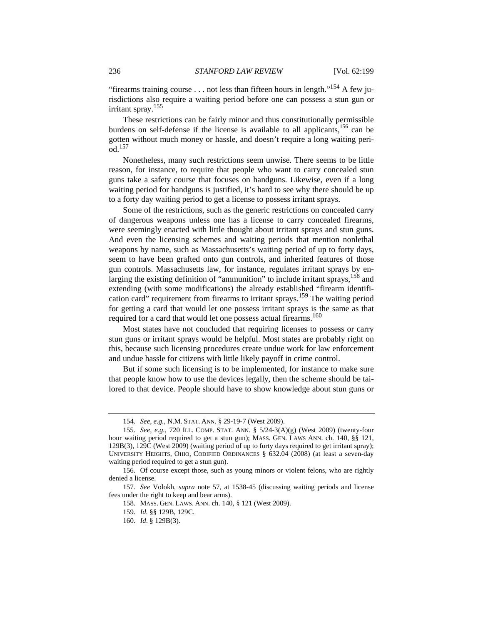"firearms training course . . . not less than fifteen hours in length."<sup>154</sup> A few jurisdictions also require a waiting period before one can possess a stun gun or irritant spray.<sup>155</sup>

These restrictions can be fairly minor and thus constitutionally permissible burdens on self-defense if the license is available to all applicants,<sup>156</sup> can be gotten without much money or hassle, and doesn't require a long waiting peri- $\overline{od}$ <sup>157</sup>

Nonetheless, many such restrictions seem unwise. There seems to be little reason, for instance, to require that people who want to carry concealed stun guns take a safety course that focuses on handguns. Likewise, even if a long waiting period for handguns is justified, it's hard to see why there should be up to a forty day waiting period to get a license to possess irritant sprays.

Some of the restrictions, such as the generic restrictions on concealed carry of dangerous weapons unless one has a license to carry concealed firearms, were seemingly enacted with little thought about irritant sprays and stun guns. And even the licensing schemes and waiting periods that mention nonlethal weapons by name, such as Massachusetts's waiting period of up to forty days, seem to have been grafted onto gun controls, and inherited features of those gun controls. Massachusetts law, for instance, regulates irritant sprays by enlarging the existing definition of "ammunition" to include irritant sprays,  $158$  and extending (with some modifications) the already established "firearm identification card" requirement from firearms to irritant sprays.159 The waiting period for getting a card that would let one possess irritant sprays is the same as that required for a card that would let one possess actual firearms.<sup>160</sup>

Most states have not concluded that requiring licenses to possess or carry stun guns or irritant sprays would be helpful. Most states are probably right on this, because such licensing procedures create undue work for law enforcement and undue hassle for citizens with little likely payoff in crime control.

But if some such licensing is to be implemented, for instance to make sure that people know how to use the devices legally, then the scheme should be tailored to that device. People should have to show knowledge about stun guns or

- 158. MASS. GEN. LAWS. ANN. ch. 140, § 121 (West 2009).
- 159. *Id.* §§ 129B, 129C.
- 160. *Id*. § 129B(3).

<sup>154.</sup> *See, e*.*g*., N.M. STAT. ANN. § 29-19-7 (West 2009).

<sup>155.</sup> *See, e*.*g*., 720 ILL. COMP. STAT. ANN. § 5/24-3(A)(g) (West 2009) (twenty-four hour waiting period required to get a stun gun); MASS. GEN. LAWS ANN. ch. 140, §§ 121, 129B(3), 129C (West 2009) (waiting period of up to forty days required to get irritant spray); UNIVERSITY HEIGHTS, OHIO, CODIFIED ORDINANCES § 632.04 (2008) (at least a seven-day waiting period required to get a stun gun).

<sup>156</sup>*.* Of course except those, such as young minors or violent felons, who are rightly denied a license.

<sup>157.</sup> *See* Volokh, *supra* note 57, at 1538-45 (discussing waiting periods and license fees under the right to keep and bear arms).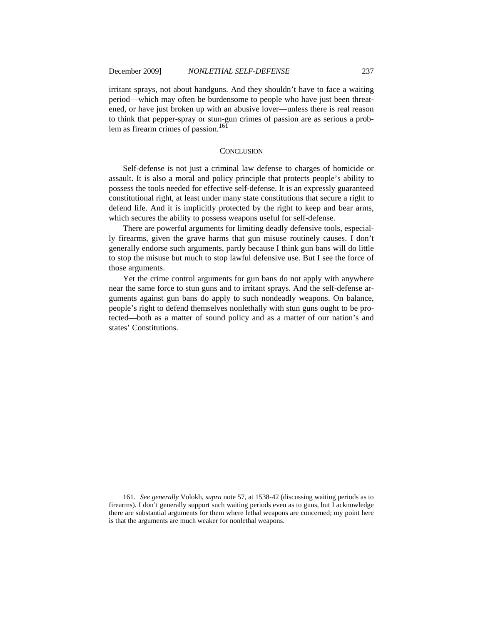irritant sprays, not about handguns. And they shouldn't have to face a waiting period—which may often be burdensome to people who have just been threatened, or have just broken up with an abusive lover—unless there is real reason to think that pepper-spray or stun-gun crimes of passion are as serious a problem as firearm crimes of passion.<sup>161</sup>

#### **CONCLUSION**

Self-defense is not just a criminal law defense to charges of homicide or assault. It is also a moral and policy principle that protects people's ability to possess the tools needed for effective self-defense. It is an expressly guaranteed constitutional right, at least under many state constitutions that secure a right to defend life. And it is implicitly protected by the right to keep and bear arms, which secures the ability to possess weapons useful for self-defense.

There are powerful arguments for limiting deadly defensive tools, especially firearms, given the grave harms that gun misuse routinely causes. I don't generally endorse such arguments, partly because I think gun bans will do little to stop the misuse but much to stop lawful defensive use. But I see the force of those arguments.

Yet the crime control arguments for gun bans do not apply with anywhere near the same force to stun guns and to irritant sprays. And the self-defense arguments against gun bans do apply to such nondeadly weapons. On balance, people's right to defend themselves nonlethally with stun guns ought to be protected—both as a matter of sound policy and as a matter of our nation's and states' Constitutions.

<sup>161.</sup> *See generally* Volokh, *supra* note 57, at 1538-42 (discussing waiting periods as to firearms). I don't generally support such waiting periods even as to guns, but I acknowledge there are substantial arguments for them where lethal weapons are concerned; my point here is that the arguments are much weaker for nonlethal weapons.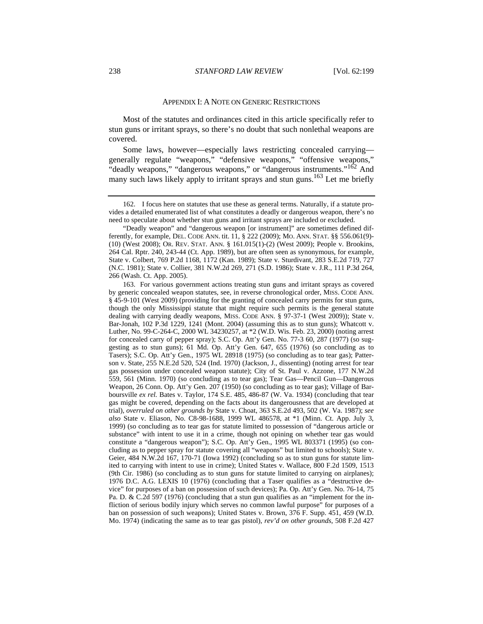#### APPENDIX I: A NOTE ON GENERIC RESTRICTIONS

Most of the statutes and ordinances cited in this article specifically refer to stun guns or irritant sprays, so there's no doubt that such nonlethal weapons are covered.

Some laws, however—especially laws restricting concealed carrying generally regulate "weapons," "defensive weapons," "offensive weapons," "deadly weapons," "dangerous weapons," or "dangerous instruments."<sup>162</sup> And many such laws likely apply to irritant sprays and stun guns.<sup>163</sup> Let me briefly

162. I focus here on statutes that use these as general terms. Naturally, if a statute provides a detailed enumerated list of what constitutes a deadly or dangerous weapon, there's no need to speculate about whether stun guns and irritant sprays are included or excluded.

"Deadly weapon" and "dangerous weapon [or instrument]" are sometimes defined differently, for example, DEL. CODE ANN. tit. 11, § 222 (2009); MO. ANN. STAT. §§ 556.061(9)- (10) (West 2008); OR. REV. STAT. ANN. § 161.015(1)-(2) (West 2009); People v. Brookins, 264 Cal. Rptr. 240, 243-44 (Ct. App. 1989), but are often seen as synonymous, for example, State v. Colbert, 769 P.2d 1168, 1172 (Kan. 1989); State v. Sturdivant, 283 S.E.2d 719, 727 (N.C. 1981); State v. Collier, 381 N.W.2d 269, 271 (S.D. 1986); State v. J.R., 111 P.3d 264, 266 (Wash. Ct. App. 2005).

163. For various government actions treating stun guns and irritant sprays as covered by generic concealed weapon statutes, see, in reverse chronological order, MISS. CODE ANN. § 45-9-101 (West 2009) (providing for the granting of concealed carry permits for stun guns, though the only Mississippi statute that might require such permits is the general statute dealing with carrying deadly weapons, MISS. CODE ANN. § 97-37-1 (West 2009)); State v. Bar-Jonah, 102 P.3d 1229, 1241 (Mont. 2004) (assuming this as to stun guns); Whatcott v. Luther, No. 99-C-264-C, 2000 WL 34230257, at \*2 (W.D. Wis. Feb. 23, 2000) (noting arrest for concealed carry of pepper spray); S.C. Op. Att'y Gen. No. 77-3 60, 287 (1977) (so suggesting as to stun guns); 61 Md. Op. Att'y Gen. 647, 655 (1976) (so concluding as to Tasers); S.C. Op. Att'y Gen., 1975 WL 28918 (1975) (so concluding as to tear gas); Patterson v. State, 255 N.E.2d 520, 524 (Ind. 1970) (Jackson, J., dissenting) (noting arrest for tear gas possession under concealed weapon statute); City of St. Paul v. Azzone, 177 N.W.2d 559, 561 (Minn. 1970) (so concluding as to tear gas); Tear Gas—Pencil Gun—Dangerous Weapon, 26 Conn. Op. Att'y Gen. 207 (1950) (so concluding as to tear gas); Village of Barboursville *ex rel.* Bates v. Taylor, 174 S.E. 485, 486-87 (W. Va. 1934) (concluding that tear gas might be covered, depending on the facts about its dangerousness that are developed at trial), *overruled on other grounds by* State v. Choat, 363 S.E.2d 493, 502 (W. Va. 1987); *see also* State v. Eliason, No. C8-98-1688, 1999 WL 486578, at \*1 (Minn. Ct. App. July 3, 1999) (so concluding as to tear gas for statute limited to possession of "dangerous article or substance" with intent to use it in a crime, though not opining on whether tear gas would constitute a "dangerous weapon"); S.C. Op. Att'y Gen., 1995 WL 803371 (1995) (so concluding as to pepper spray for statute covering all "weapons" but limited to schools); State v. Geier, 484 N.W.2d 167, 170-71 (Iowa 1992) (concluding so as to stun guns for statute limited to carrying with intent to use in crime); United States v. Wallace, 800 F.2d 1509, 1513 (9th Cir. 1986) (so concluding as to stun guns for statute limited to carrying on airplanes); 1976 D.C. A.G. LEXIS 10 (1976) (concluding that a Taser qualifies as a "destructive device" for purposes of a ban on possession of such devices); Pa. Op. Att'y Gen. No. 76-14, 75 Pa. D. & C.2d 597 (1976) (concluding that a stun gun qualifies as an "implement for the infliction of serious bodily injury which serves no common lawful purpose" for purposes of a ban on possession of such weapons); United States v. Brown, 376 F. Supp. 451, 459 (W.D. Mo. 1974) (indicating the same as to tear gas pistol), *rev'd on other grounds*, 508 F.2d 427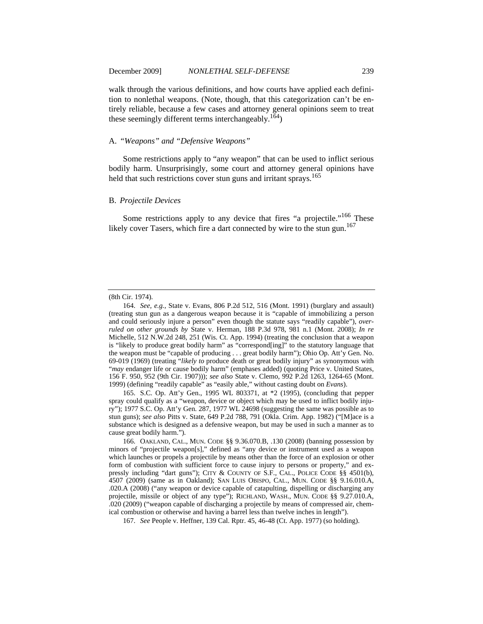walk through the various definitions, and how courts have applied each definition to nonlethal weapons. (Note, though, that this categorization can't be entirely reliable, because a few cases and attorney general opinions seem to treat these seemingly different terms interchangeably.<sup>164</sup>)

#### A. *"Weapons" and "Defensive Weapons"*

Some restrictions apply to "any weapon" that can be used to inflict serious bodily harm. Unsurprisingly, some court and attorney general opinions have held that such restrictions cover stun guns and irritant sprays.<sup>165</sup>

#### B. *Projectile Devices*

Some restrictions apply to any device that fires "a projectile."<sup>166</sup> These likely cover Tasers, which fire a dart connected by wire to the stun gun.<sup>167</sup>

164. *See, e.g.*, State v. Evans, 806 P.2d 512, 516 (Mont. 1991) (burglary and assault) (treating stun gun as a dangerous weapon because it is "capable of immobilizing a person and could seriously injure a person" even though the statute says "readily capable"), *overruled on other grounds by* State v. Herman, 188 P.3d 978, 981 n.1 (Mont. 2008); *In re*  Michelle, 512 N.W.2d 248, 251 (Wis. Ct. App. 1994) (treating the conclusion that a weapon is "likely to produce great bodily harm" as "correspond[ing]" to the statutory language that the weapon must be "capable of producing . . . great bodily harm"); Ohio Op. Att'y Gen. No. 69-019 (1969) (treating "*likely to* produce death or great bodily injury" as synonymous with "*may* endanger life or cause bodily harm" (emphases added) (quoting Price v. United States, 156 F. 950, 952 (9th Cir. 1907))); *see also* State v. Clemo, 992 P.2d 1263, 1264-65 (Mont. 1999) (defining "readily capable" as "easily able," without casting doubt on *Evans*).

165. S.C. Op. Att'y Gen., 1995 WL 803371, at \*2 (1995), (concluding that pepper spray could qualify as a "weapon, device or object which may be used to inflict bodily injury"); 1977 S.C. Op. Att'y Gen. 287, 1977 WL 24698 (suggesting the same was possible as to stun guns); *see also* Pitts v. State, 649 P.2d 788, 791 (Okla. Crim. App. 1982) ("[M]ace is a substance which is designed as a defensive weapon, but may be used in such a manner as to cause great bodily harm.").

166. OAKLAND, CAL., MUN. CODE §§ 9.36.070.B, .130 (2008) (banning possession by minors of "projectile weapon[s]," defined as "any device or instrument used as a weapon which launches or propels a projectile by means other than the force of an explosion or other form of combustion with sufficient force to cause injury to persons or property," and expressly including "dart guns"); CITY & COUNTY OF S.F., CAL., POLICE CODE §§ 4501(b), 4507 (2009) (same as in Oakland); SAN LUIS OBISPO, CAL., MUN. CODE §§ 9.16.010.A, .020.A (2008) ("any weapon or device capable of catapulting, dispelling or discharging any projectile, missile or object of any type"); RICHLAND, WASH., MUN. CODE §§ 9.27.010.A, .020 (2009) ("weapon capable of discharging a projectile by means of compressed air, chemical combustion or otherwise and having a barrel less than twelve inches in length").

167. *See* People v. Heffner, 139 Cal. Rptr. 45, 46-48 (Ct. App. 1977) (so holding).

<sup>(8</sup>th Cir. 1974).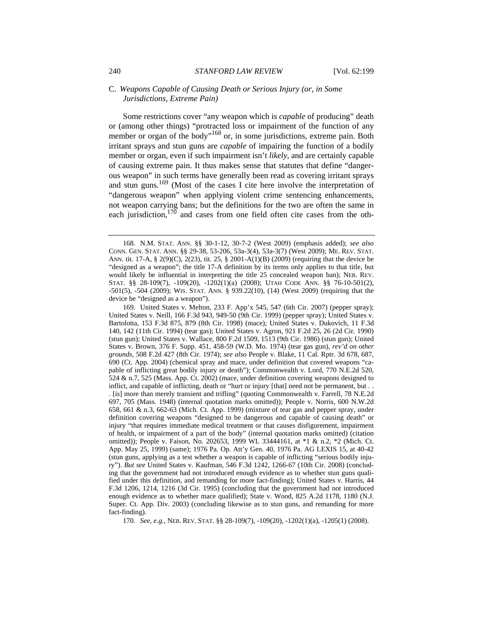# C. *Weapons Capable of Causing Death or Serious Injury (or, in Some Jurisdictions, Extreme Pain)*

Some restrictions cover "any weapon which is *capable* of producing" death or (among other things) "protracted loss or impairment of the function of any member or organ of the body"<sup>168</sup> or, in some jurisdictions, extreme pain. Both irritant sprays and stun guns are *capable* of impairing the function of a bodily member or organ, even if such impairment isn't *likely*, and are certainly capable of causing extreme pain. It thus makes sense that statutes that define "dangerous weapon" in such terms have generally been read as covering irritant sprays and stun guns.169 (Most of the cases I cite here involve the interpretation of "dangerous weapon" when applying violent crime sentencing enhancements, not weapon carrying bans; but the definitions for the two are often the same in each jurisdiction,<sup>170</sup> and cases from one field often cite cases from the oth-

169. United States v. Melton, 233 F. App'x 545, 547 (6th Cir. 2007) (pepper spray); United States v. Neill, 166 F.3d 943, 949-50 (9th Cir. 1999) (pepper spray); United States v. Bartolotta, 153 F.3d 875, 879 (8th Cir. 1998) (mace); United States v. Dukovich, 11 F.3d 140, 142 (11th Cir. 1994) (tear gas); United States v. Agron, 921 F.2d 25, 26 (2d Cir. 1990) (stun gun); United States v. Wallace, 800 F.2d 1509, 1513 (9th Cir. 1986) (stun gun); United States v. Brown, 376 F. Supp. 451, 458-59 (W.D. Mo. 1974) (tear gas gun), *rev'd on other grounds*, 508 F.2d 427 (8th Cir. 1974); *see also* People v. Blake, 11 Cal. Rptr. 3d 678, 687, 690 (Ct. App. 2004) (chemical spray and mace, under definition that covered weapons "capable of inflicting great bodily injury or death"); Commonwealth v. Lord, 770 N.E.2d 520, 524 & n.7, 525 (Mass. App. Ct. 2002) (mace, under definition covering weapons designed to inflict, and capable of inflicting, death or "hurt or injury [that] need not be permanent, but . . . [is] more than merely transient and trifling" (quoting Commonwealth v. Farrell, 78 N.E.2d 697, 705 (Mass. 1948) (internal quotation marks omitted)); People v. Norris, 600 N.W.2d 658, 661 & n.3, 662-63 (Mich. Ct. App. 1999) (mixture of tear gas and pepper spray, under definition covering weapons "designed to be dangerous and capable of causing death" or injury "that requires immediate medical treatment or that causes disfigurement, impairment of health, or impairment of a part of the body" (internal quotation marks omitted) (citation omitted)); People v. Faison, No. 202653, 1999 WL 33444161, at \*1 & n.2, \*2 (Mich. Ct. App. May 25, 1999) (same); 1976 Pa. Op. Att'y Gen. 40, 1976 Pa. AG LEXIS 15, at 40-42 (stun guns, applying as a test whether a weapon is capable of inflicting "serious bodily injury"). *But see* United States v. Kaufman, 546 F.3d 1242, 1266-67 (10th Cir. 2008) (concluding that the government had not introduced enough evidence as to whether stun guns qualified under this definition, and remanding for more fact-finding); United States v. Harris, 44 F.3d 1206, 1214, 1216 (3d Cir. 1995) (concluding that the government had not introduced enough evidence as to whether mace qualified); State v. Wood, 825 A.2d 1178, 1180 (N.J. Super. Ct. App. Div. 2003) (concluding likewise as to stun guns, and remanding for more fact-finding).

170. *See, e.g.*, NEB. REV. STAT. §§ 28-109(7), -109(20), -1202(1)(a), -1205(1) (2008).

<sup>168.</sup> N.M. STAT. ANN. §§ 30-1-12, 30-7-2 (West 2009) (emphasis added); *see also*  CONN. GEN. STAT. ANN. §§ 29-38, 53-206, 53a-3(4), 53a-3(7) (West 2009); ME. REV. STAT. ANN. tit. 17-A, § 2(9)(C), 2(23), tit. 25, § 2001-A(1)(B) (2009) (requiring that the device be "designed as a weapon"; the title 17-A definition by its terms only applies to that title, but would likely be influential in interpreting the title 25 concealed weapon ban); NEB. REV. STAT. §§ 28-109(7), -109(20), -1202(1)(a) (2008); UTAH CODE ANN. §§ 76-10-501(2), -501(5), -504 (2009); WIS. STAT. ANN. § 939.22(10), (14) (West 2009) (requiring that the device be "designed as a weapon").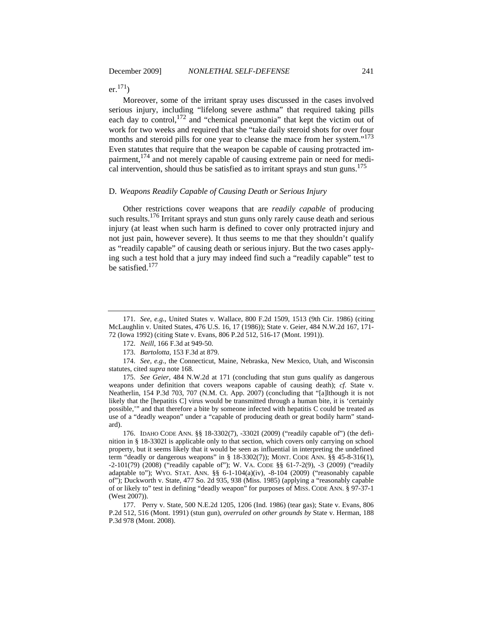$er.<sup>171</sup>$ )

Moreover, some of the irritant spray uses discussed in the cases involved serious injury, including "lifelong severe asthma" that required taking pills each day to control,  $^{172}$  and "chemical pneumonia" that kept the victim out of work for two weeks and required that she "take daily steroid shots for over four months and steroid pills for one year to cleanse the mace from her system."<sup>173</sup> Even statutes that require that the weapon be capable of causing protracted impairment,<sup>174</sup> and not merely capable of causing extreme pain or need for medical intervention, should thus be satisfied as to irritant sprays and stun guns.<sup>175</sup>

# D. *Weapons Readily Capable of Causing Death or Serious Injury*

Other restrictions cover weapons that are *readily capable* of producing such results.<sup>176</sup> Irritant sprays and stun guns only rarely cause death and serious injury (at least when such harm is defined to cover only protracted injury and not just pain, however severe). It thus seems to me that they shouldn't qualify as "readily capable" of causing death or serious injury. But the two cases applying such a test hold that a jury may indeed find such a "readily capable" test to be satisfied.177

175. *See Geier*, 484 N.W.2d at 171 (concluding that stun guns qualify as dangerous weapons under definition that covers weapons capable of causing death); *cf*. State v. Neatherlin, 154 P.3d 703, 707 (N.M. Ct. App. 2007) (concluding that "[a]lthough it is not likely that the [hepatitis C] virus would be transmitted through a human bite, it is 'certainly possible,'" and that therefore a bite by someone infected with hepatitis C could be treated as use of a "deadly weapon" under a "capable of producing death or great bodily harm" standard).

176. IDAHO CODE ANN. §§ 18-3302(7), -3302I (2009) ("readily capable of") (the definition in § 18-3302I is applicable only to that section, which covers only carrying on school property, but it seems likely that it would be seen as influential in interpreting the undefined term "deadly or dangerous weapons" in § 18-3302(7)); MONT. CODE ANN. §§ 45-8-316(1), -2-101(79) (2008) ("readily capable of"); W. VA. CODE §§ 61-7-2(9), -3 (2009) ("readily adaptable to"); WYO. STAT. ANN.  $\S$ § 6-1-104(a)(iv), -8-104 (2009) ("reasonably capable of"); Duckworth v. State, 477 So. 2d 935, 938 (Miss. 1985) (applying a "reasonably capable of or likely to" test in defining "deadly weapon" for purposes of MISS. CODE ANN. § 97-37-1 (West 2007)).

177. Perry v. State, 500 N.E.2d 1205, 1206 (Ind. 1986) (tear gas); State v. Evans, 806 P.2d 512, 516 (Mont. 1991) (stun gun), *overruled on other grounds by* State v. Herman, 188 P.3d 978 (Mont. 2008).

<sup>171.</sup> *See, e.g.*, United States v. Wallace, 800 F.2d 1509, 1513 (9th Cir. 1986) (citing McLaughlin v. United States, 476 U.S. 16, 17 (1986)); State v. Geier, 484 N.W.2d 167, 171- 72 (Iowa 1992) (citing State v. Evans, 806 P.2d 512, 516-17 (Mont. 1991)).

<sup>172.</sup> *Neill*, 166 F.3d at 949-50.

<sup>173.</sup> *Bartolotta*, 153 F.3d at 879.

<sup>174.</sup> *See, e.g.*, the Connecticut, Maine, Nebraska, New Mexico, Utah, and Wisconsin statutes, cited *supra* note 168.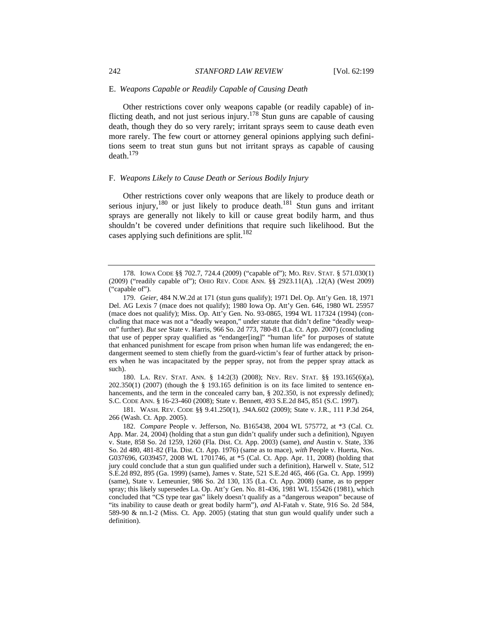# E. *Weapons Capable or Readily Capable of Causing Death*

Other restrictions cover only weapons capable (or readily capable) of inflicting death, and not just serious injury.178 Stun guns are capable of causing death, though they do so very rarely; irritant sprays seem to cause death even more rarely. The few court or attorney general opinions applying such definitions seem to treat stun guns but not irritant sprays as capable of causing  $death.<sup>179</sup>$ 

#### F. *Weapons Likely to Cause Death or Serious Bodily Injury*

Other restrictions cover only weapons that are likely to produce death or serious injury,<sup>180</sup> or just likely to produce death.<sup>181</sup> Stun guns and irritant sprays are generally not likely to kill or cause great bodily harm, and thus shouldn't be covered under definitions that require such likelihood. But the cases applying such definitions are split. $182$ 

180. LA. REV. STAT. ANN. § 14:2(3) (2008); NEV. REV. STAT. §§ 193.165(6)(a), 202.350(1) (2007) (though the § 193.165 definition is on its face limited to sentence enhancements, and the term in the concealed carry ban, § 202.350, is not expressly defined); S.C. CODE ANN. § 16-23-460 (2008); State v. Bennett, 493 S.E.2d 845, 851 (S.C. 1997).

181. WASH. REV. CODE §§ 9.41.250(1), .94A.602 (2009); State v. J.R., 111 P.3d 264, 266 (Wash. Ct. App. 2005).

182. *Compare* People v. Jefferson, No. B165438, 2004 WL 575772, at \*3 (Cal. Ct. App. Mar. 24, 2004) (holding that a stun gun didn't qualify under such a definition), Nguyen v. State, 858 So. 2d 1259, 1260 (Fla. Dist. Ct. App. 2003) (same), *and* Austin v. State, 336 So. 2d 480, 481-82 (Fla. Dist. Ct. App. 1976) (same as to mace), *with* People v. Huerta, Nos. G037696, G039457, 2008 WL 1701746, at \*5 (Cal. Ct. App. Apr. 11, 2008) (holding that jury could conclude that a stun gun qualified under such a definition), Harwell v. State, 512 S.E.2d 892, 895 (Ga. 1999) (same), James v. State, 521 S.E.2d 465, 466 (Ga. Ct. App. 1999) (same), State v. Lemeunier, 986 So. 2d 130, 135 (La. Ct. App. 2008) (same, as to pepper spray; this likely supersedes La. Op. Att'y Gen. No. 81-436, 1981 WL 155426 (1981), which concluded that "CS type tear gas" likely doesn't qualify as a "dangerous weapon" because of "its inability to cause death or great bodily harm"), *and* Al-Fatah v. State, 916 So. 2d 584, 589-90 & nn.1-2 (Miss. Ct. App. 2005) (stating that stun gun would qualify under such a definition).

<sup>178.</sup> IOWA CODE §§ 702.7, 724.4 (2009) ("capable of"); MO. REV. STAT. § 571.030(1) (2009) ("readily capable of"); OHIO REV. CODE ANN. §§ 2923.11(A), .12(A) (West 2009) ("capable of").

<sup>179.</sup> *Geier*, 484 N.W.2d at 171 (stun guns qualify); 1971 Del. Op. Att'y Gen. 18, 1971 Del. AG Lexis 7 (mace does not qualify); 1980 Iowa Op. Att'y Gen. 646, 1980 WL 25957 (mace does not qualify); Miss. Op. Att'y Gen. No. 93-0865, 1994 WL 117324 (1994) (concluding that mace was not a "deadly weapon," under statute that didn't define "deadly weapon" further). *But see* State v. Harris, 966 So. 2d 773, 780-81 (La. Ct. App. 2007) (concluding that use of pepper spray qualified as "endanger[ing]" "human life" for purposes of statute that enhanced punishment for escape from prison when human life was endangered; the endangerment seemed to stem chiefly from the guard-victim's fear of further attack by prisoners when he was incapacitated by the pepper spray, not from the pepper spray attack as such).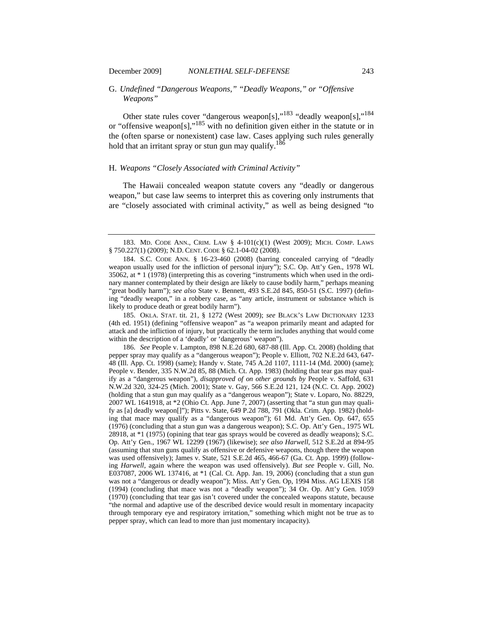# G. *Undefined "Dangerous Weapons," "Deadly Weapons," or "Offensive Weapons"*

Other state rules cover "dangerous weapon[s],"<sup>183</sup> "deadly weapon[s],"<sup>184</sup> or "offensive weapon[s],"185 with no definition given either in the statute or in the (often sparse or nonexistent) case law. Cases applying such rules generally hold that an irritant spray or stun gun may qualify.<sup>186</sup>

#### H. *Weapons "Closely Associated with Criminal Activity"*

The Hawaii concealed weapon statute covers any "deadly or dangerous weapon," but case law seems to interpret this as covering only instruments that are "closely associated with criminal activity," as well as being designed "to

185. OKLA. STAT. tit. 21, § 1272 (West 2009); *see* BLACK'S LAW DICTIONARY 1233 (4th ed. 1951) (defining "offensive weapon" as "a weapon primarily meant and adapted for attack and the infliction of injury, but practically the term includes anything that would come within the description of a 'deadly' or 'dangerous' weapon").

186. *See* People v. Lampton, 898 N.E.2d 680, 687-88 (Ill. App. Ct. 2008) (holding that pepper spray may qualify as a "dangerous weapon"); People v. Elliott, 702 N.E.2d 643, 647- 48 (Ill. App. Ct. 1998) (same); Handy v. State, 745 A.2d 1107, 1111-14 (Md. 2000) (same); People v. Bender, 335 N.W.2d 85, 88 (Mich. Ct. App. 1983) (holding that tear gas may qualify as a "dangerous weapon"), *disapproved of on other grounds by* People v. Saffold, 631 N.W.2d 320, 324-25 (Mich. 2001); State v. Gay, 566 S.E.2d 121, 124 (N.C. Ct. App. 2002) (holding that a stun gun may qualify as a "dangerous weapon"); State v. Loparo, No. 88229, 2007 WL 1641918, at \*2 (Ohio Ct. App. June 7, 2007) (asserting that "a stun gun may qualify as [a] deadly weapon[]"); Pitts v. State, 649 P.2d 788, 791 (Okla. Crim. App. 1982) (holding that mace may qualify as a "dangerous weapon"); 61 Md. Att'y Gen. Op. 647, 655 (1976) (concluding that a stun gun was a dangerous weapon); S.C. Op. Att'y Gen., 1975 WL 28918, at \*1 (1975) (opining that tear gas sprays would be covered as deadly weapons); S.C. Op. Att'y Gen., 1967 WL 12299 (1967) (likewise); *see also Harwell*, 512 S.E.2d at 894-95 (assuming that stun guns qualify as offensive or defensive weapons, though there the weapon was used offensively); James v. State, 521 S.E.2d 465, 466-67 (Ga. Ct. App. 1999) (following *Harwell*, again where the weapon was used offensively). *But see* People v. Gill, No. E037087, 2006 WL 137416, at \*1 (Cal. Ct. App. Jan. 19, 2006) (concluding that a stun gun was not a "dangerous or deadly weapon"); Miss. Att'y Gen. Op, 1994 Miss. AG LEXIS 158 (1994) (concluding that mace was not a "deadly weapon"); 34 Or. Op. Att'y Gen. 1059 (1970) (concluding that tear gas isn't covered under the concealed weapons statute, because "the normal and adaptive use of the described device would result in momentary incapacity through temporary eye and respiratory irritation," something which might not be true as to pepper spray, which can lead to more than just momentary incapacity).

<sup>183.</sup> MD. CODE ANN., CRIM. LAW § 4-101(c)(1) (West 2009); MICH. COMP. LAWS § 750.227(1) (2009); N.D. CENT. CODE § 62.1-04-02 (2008).

<sup>184.</sup> S.C. CODE ANN. § 16-23-460 (2008) (barring concealed carrying of "deadly weapon usually used for the infliction of personal injury"); S.C. Op. Att'y Gen., 1978 WL 35062, at \* 1 (1978) (interpreting this as covering "instruments which when used in the ordinary manner contemplated by their design are likely to cause bodily harm," perhaps meaning "great bodily harm"); *see also* State v. Bennett, 493 S.E.2d 845, 850-51 (S.C. 1997) (defining "deadly weapon," in a robbery case, as "any article, instrument or substance which is likely to produce death or great bodily harm").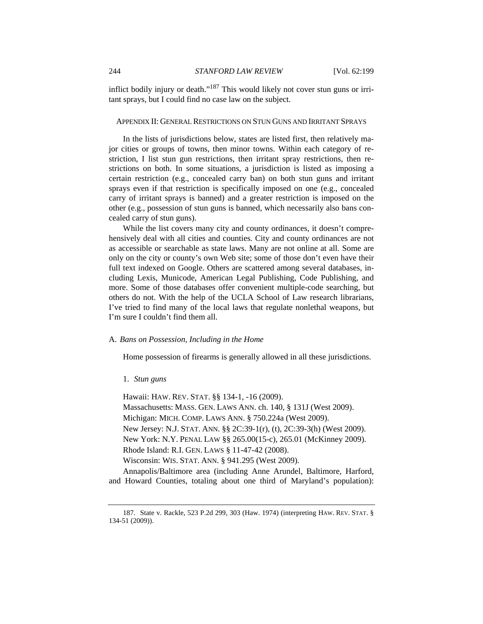inflict bodily injury or death."<sup>187</sup> This would likely not cover stun guns or irritant sprays, but I could find no case law on the subject.

# APPENDIX II: GENERAL RESTRICTIONS ON STUN GUNS AND IRRITANT SPRAYS

In the lists of jurisdictions below, states are listed first, then relatively major cities or groups of towns, then minor towns. Within each category of restriction, I list stun gun restrictions, then irritant spray restrictions, then restrictions on both. In some situations, a jurisdiction is listed as imposing a certain restriction (e.g., concealed carry ban) on both stun guns and irritant sprays even if that restriction is specifically imposed on one (e.g., concealed carry of irritant sprays is banned) and a greater restriction is imposed on the other (e.g., possession of stun guns is banned, which necessarily also bans concealed carry of stun guns).

While the list covers many city and county ordinances, it doesn't comprehensively deal with all cities and counties. City and county ordinances are not as accessible or searchable as state laws. Many are not online at all. Some are only on the city or county's own Web site; some of those don't even have their full text indexed on Google. Others are scattered among several databases, including Lexis, Municode, American Legal Publishing, Code Publishing, and more. Some of those databases offer convenient multiple-code searching, but others do not. With the help of the UCLA School of Law research librarians, I've tried to find many of the local laws that regulate nonlethal weapons, but I'm sure I couldn't find them all.

#### A. *Bans on Possession, Including in the Home*

Home possession of firearms is generally allowed in all these jurisdictions.

#### 1. *Stun guns*

Hawaii: HAW. REV. STAT. §§ 134-1, -16 (2009). Massachusetts: MASS. GEN. LAWS ANN. ch. 140, § 131J (West 2009). Michigan: MICH. COMP. LAWS ANN. § 750.224a (West 2009). New Jersey: N.J. STAT. ANN. §§ 2C:39-1(r), (t), 2C:39-3(h) (West 2009). New York: N.Y. PENAL LAW §§ 265.00(15-c), 265.01 (McKinney 2009). Rhode Island: R.I. GEN. LAWS § 11-47-42 (2008). Wisconsin: WIS. STAT. ANN. § 941.295 (West 2009).

Annapolis/Baltimore area (including Anne Arundel, Baltimore, Harford, and Howard Counties, totaling about one third of Maryland's population):

<sup>187.</sup> State v. Rackle, 523 P.2d 299, 303 (Haw. 1974) (interpreting HAW. REV. STAT. § 134-51 (2009)).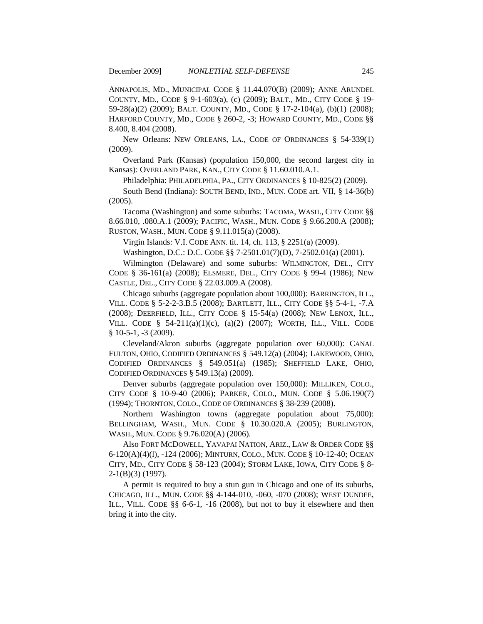ANNAPOLIS, MD., MUNICIPAL CODE § 11.44.070(B) (2009); ANNE ARUNDEL COUNTY, MD., CODE § 9-1-603(a), (c) (2009); BALT., MD., CITY CODE § 19- 59-28(a)(2) (2009); BALT. COUNTY, MD., CODE § 17-2-104(a), (b)(1) (2008); HARFORD COUNTY, MD., CODE § 260-2, -3; HOWARD COUNTY, MD., CODE §§ 8.400, 8.404 (2008).

New Orleans: NEW ORLEANS, LA., CODE OF ORDINANCES § 54-339(1) (2009).

Overland Park (Kansas) (population 150,000, the second largest city in Kansas): OVERLAND PARK, KAN., CITY CODE § 11.60.010.A.1.

Philadelphia: PHILADELPHIA, PA., CITY ORDINANCES § 10-825(2) (2009).

South Bend (Indiana): SOUTH BEND, IND., MUN. CODE art. VII, § 14-36(b) (2005).

Tacoma (Washington) and some suburbs: TACOMA, WASH., CITY CODE §§ 8.66.010, .080.A.1 (2009); PACIFIC, WASH., MUN. CODE § 9.66.200.A (2008); RUSTON, WASH., MUN. CODE § 9.11.015(a) (2008).

Virgin Islands: V.I. CODE ANN. tit. 14, ch. 113, § 2251(a) (2009).

Washington, D.C.: D.C. CODE §§ 7-2501.01(7)(D), 7-2502.01(a) (2001).

Wilmington (Delaware) and some suburbs: WILMINGTON, DEL., CITY CODE § 36-161(a) (2008); ELSMERE, DEL., CITY CODE § 99-4 (1986); NEW CASTLE, DEL., CITY CODE § 22.03.009.A (2008).

Chicago suburbs (aggregate population about 100,000): BARRINGTON, ILL., VILL. CODE § 5-2-2-3.B.5 (2008); BARTLETT, ILL., CITY CODE §§ 5-4-1, -7.A (2008); DEERFIELD, ILL., CITY CODE § 15-54(a) (2008); NEW LENOX, ILL., VILL. CODE § 54-211(a)(1)(c), (a)(2) (2007); WORTH, ILL., VILL. CODE  $§ 10-5-1, -3 (2009).$ 

Cleveland/Akron suburbs (aggregate population over 60,000): CANAL FULTON, OHIO, CODIFIED ORDINANCES § 549.12(a) (2004); LAKEWOOD, OHIO, CODIFIED ORDINANCES § 549.051(a) (1985); SHEFFIELD LAKE, OHIO, CODIFIED ORDINANCES § 549.13(a) (2009).

Denver suburbs (aggregate population over 150,000): MILLIKEN, COLO., CITY CODE § 10-9-40 (2006); PARKER, COLO., MUN. CODE § 5.06.190(7) (1994); THORNTON, COLO., CODE OF ORDINANCES § 38-239 (2008).

Northern Washington towns (aggregate population about 75,000): BELLINGHAM, WASH., MUN. CODE § 10.30.020.A (2005); BURLINGTON, WASH., MUN. CODE § 9.76.020(A) (2006).

Also FORT MCDOWELL, YAVAPAI NATION, ARIZ., LAW & ORDER CODE §§ 6-120(A)(4)(l), -124 (2006); MINTURN, COLO., MUN. CODE § 10-12-40; OCEAN CITY, MD., CITY CODE § 58-123 (2004); STORM LAKE, IOWA, CITY CODE § 8- 2-1(B)(3) (1997).

A permit is required to buy a stun gun in Chicago and one of its suburbs, CHICAGO, ILL., MUN. CODE §§ 4-144-010, -060, -070 (2008); WEST DUNDEE, ILL., VILL. CODE §§ 6-6-1, -16 (2008), but not to buy it elsewhere and then bring it into the city.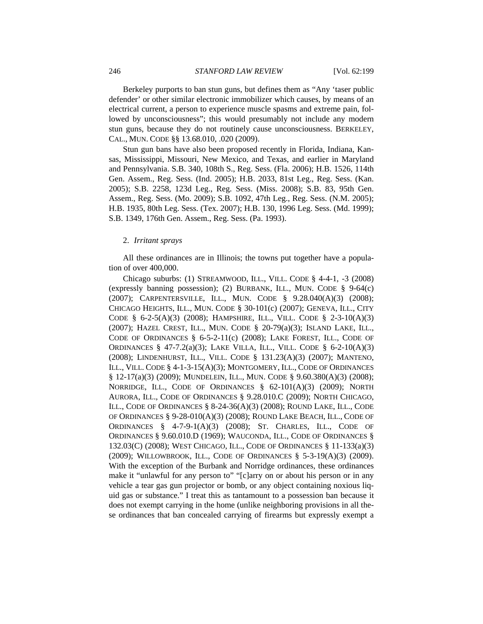Berkeley purports to ban stun guns, but defines them as "Any 'taser public defender' or other similar electronic immobilizer which causes, by means of an electrical current, a person to experience muscle spasms and extreme pain, followed by unconsciousness"; this would presumably not include any modern stun guns, because they do not routinely cause unconsciousness. BERKELEY, CAL., MUN. CODE §§ 13.68.010, .020 (2009).

Stun gun bans have also been proposed recently in Florida, Indiana, Kansas, Mississippi, Missouri, New Mexico, and Texas, and earlier in Maryland and Pennsylvania. S.B. 340, 108th S., Reg. Sess. (Fla. 2006); H.B. 1526, 114th Gen. Assem., Reg. Sess. (Ind. 2005); H.B. 2033, 81st Leg., Reg. Sess. (Kan. 2005); S.B. 2258, 123d Leg., Reg. Sess. (Miss. 2008); S.B. 83, 95th Gen. Assem., Reg. Sess. (Mo. 2009); S.B. 1092, 47th Leg., Reg. Sess. (N.M. 2005); H.B. 1935, 80th Leg. Sess. (Tex. 2007); H.B. 130, 1996 Leg. Sess. (Md. 1999); S.B. 1349, 176th Gen. Assem., Reg. Sess. (Pa. 1993).

#### 2. *Irritant sprays*

All these ordinances are in Illinois; the towns put together have a population of over 400,000.

Chicago suburbs: (1) STREAMWOOD, ILL., VILL. CODE § 4-4-1, -3 (2008) (expressly banning possession); (2) BURBANK, ILL., MUN. CODE § 9-64(c) (2007); CARPENTERSVILLE, ILL., MUN. CODE § 9.28.040(A)(3) (2008); CHICAGO HEIGHTS, ILL., MUN. CODE § 30-101(c) (2007); GENEVA, ILL., CITY CODE §  $6-2-5(A)(3)$  (2008); HAMPSHIRE, ILL., VILL. CODE §  $2-3-10(A)(3)$ (2007); HAZEL CREST, ILL., MUN. CODE § 20-79(a)(3); ISLAND LAKE, ILL., CODE OF ORDINANCES § 6-5-2-11(c) (2008); LAKE FOREST, ILL., CODE OF ORDINANCES § 47-7.2(a)(3); LAKE VILLA, ILL., VILL. CODE § 6-2-10(A)(3) (2008); LINDENHURST, ILL., VILL. CODE § 131.23(A)(3) (2007); MANTENO, ILL., VILL. CODE § 4-1-3-15(A)(3); MONTGOMERY, ILL., CODE OF ORDINANCES § 12-17(a)(3) (2009); MUNDELEIN, ILL., MUN. CODE § 9.60.380(A)(3) (2008); NORRIDGE, ILL., CODE OF ORDINANCES § 62-101(A)(3) (2009); NORTH AURORA, ILL., CODE OF ORDINANCES § 9.28.010.C (2009); NORTH CHICAGO, ILL., CODE OF ORDINANCES § 8-24-36(A)(3) (2008); ROUND LAKE, ILL., CODE OF ORDINANCES § 9-28-010(A)(3) (2008); ROUND LAKE BEACH, ILL., CODE OF ORDINANCES § 4-7-9-1(A)(3) (2008); ST. CHARLES, ILL., CODE OF ORDINANCES § 9.60.010.D (1969); WAUCONDA, ILL., CODE OF ORDINANCES § 132.03(C) (2008); WEST CHICAGO, ILL., CODE OF ORDINANCES § 11-133(a)(3) (2009); WILLOWBROOK, ILL., CODE OF ORDINANCES § 5-3-19(A)(3) (2009). With the exception of the Burbank and Norridge ordinances, these ordinances make it "unlawful for any person to" "[c]arry on or about his person or in any vehicle a tear gas gun projector or bomb, or any object containing noxious liquid gas or substance." I treat this as tantamount to a possession ban because it does not exempt carrying in the home (unlike neighboring provisions in all these ordinances that ban concealed carrying of firearms but expressly exempt a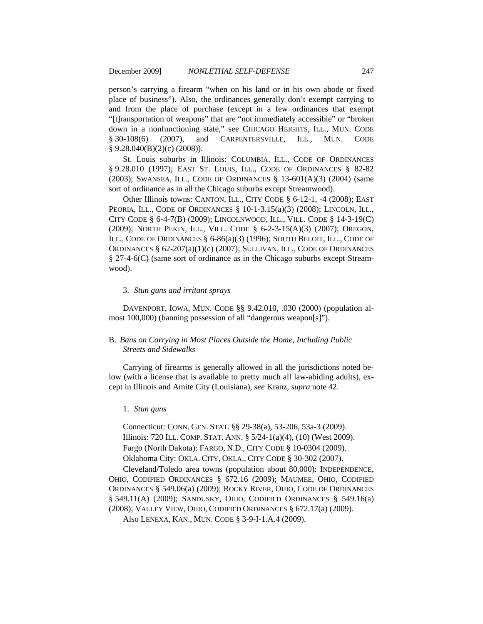person's carrying a firearm "when on his land or in his own abode or fixed place of business"). Also, the ordinances generally don't exempt carrying to and from the place of purchase (except in a few ordinances that exempt "[t]ransportation of weapons" that are "not immediately accessible" or "broken down in a nonfunctioning state," see CHICAGO HEIGHTS, ILL., MUN. CODE § 30-108(6) (2007), and CARPENTERSVILLE, ILL., MUN. CODE § 9.28.040(B)(2)(c) (2008)).

St. Louis suburbs in Illinois: COLUMBIA, ILL., CODE OF ORDINANCES § 9.28.010 (1997); EAST ST. LOUIS, ILL., CODE OF ORDINANCES § 82-82 (2003); SWANSEA, ILL., CODE OF ORDINANCES § 13-601(A)(3) (2004) (same sort of ordinance as in all the Chicago suburbs except Streamwood).

Other Illinois towns: CANTON, ILL., CITY CODE § 6-12-1, -4 (2008); EAST PEORIA, ILL., CODE OF ORDINANCES § 10-1-3.15(a)(3) (2008); LINCOLN, ILL., CITY CODE § 6-4-7(B) (2009); LINCOLNWOOD, ILL., VILL. CODE § 14-3-19(C) (2009); NORTH PEKIN, ILL., VILL. CODE § 6-2-3-15(A)(3) (2007); OREGON, ILL., CODE OF ORDINANCES § 6-86(a)(3) (1996); SOUTH BELOIT, ILL., CODE OF ORDINANCES § 62-207(a)(1)(c) (2007); SULLIVAN, ILL., CODE OF ORDINANCES § 27-4-6(C) (same sort of ordinance as in the Chicago suburbs except Streamwood).

## 3. *Stun guns and irritant sprays*

DAVENPORT, IOWA, MUN. CODE §§ 9.42.010, .030 (2000) (population almost 100,000) (banning possession of all "dangerous weapon[s]").

# B. *Bans on Carrying in Most Places Outside the Home, Including Public Streets and Sidewalks*

Carrying of firearms is generally allowed in all the jurisdictions noted below (with a license that is available to pretty much all law-abiding adults), except in Illinois and Amite City (Louisiana), *see* Kranz, *supra* note 42.

#### 1. *Stun guns*

Connecticut: CONN. GEN. STAT. §§ 29-38(a), 53-206, 53a-3 (2009). Illinois: 720 ILL. COMP. STAT. ANN. § 5/24-1(a)(4), (10) (West 2009). Fargo (North Dakota): FARGO, N.D., CITY CODE § 10-0304 (2009). Oklahoma City: OKLA. CITY, OKLA., CITY CODE § 30-302 (2007).

Cleveland/Toledo area towns (population about 80,000): INDEPENDENCE, OHIO, CODIFIED ORDINANCES § 672.16 (2009); MAUMEE, OHIO, CODIFIED ORDINANCES § 549.06(a) (2009); ROCKY RIVER, OHIO, CODE OF ORDINANCES § 549.11(A) (2009); SANDUSKY, OHIO, CODIFIED ORDINANCES § 549.16(a) (2008); VALLEY VIEW, OHIO, CODIFIED ORDINANCES § 672.17(a) (2009).

Also LENEXA, KAN., MUN. CODE § 3-9-I-1.A.4 (2009).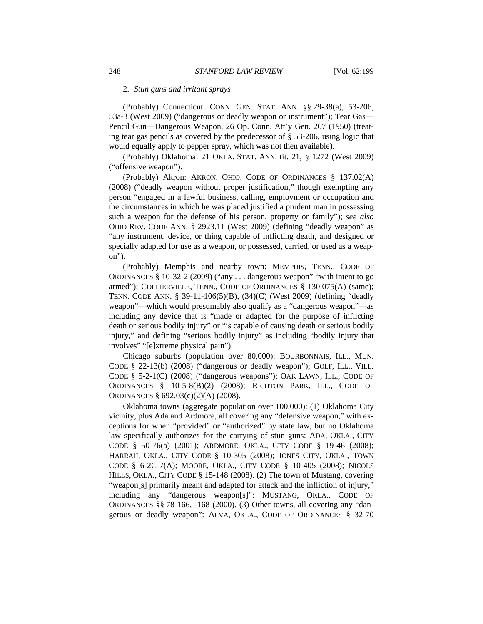#### 2. *Stun guns and irritant sprays*

(Probably) Connecticut: CONN. GEN. STAT. ANN. §§ 29-38(a), 53-206, 53a-3 (West 2009) ("dangerous or deadly weapon or instrument"); Tear Gas— Pencil Gun—Dangerous Weapon, 26 Op. Conn. Att'y Gen. 207 (1950) (treating tear gas pencils as covered by the predecessor of § 53-206, using logic that would equally apply to pepper spray, which was not then available).

(Probably) Oklahoma: 21 OKLA. STAT. ANN. tit. 21, § 1272 (West 2009) ("offensive weapon").

(Probably) Akron: AKRON, OHIO, CODE OF ORDINANCES § 137.02(A) (2008) ("deadly weapon without proper justification," though exempting any person "engaged in a lawful business, calling, employment or occupation and the circumstances in which he was placed justified a prudent man in possessing such a weapon for the defense of his person, property or family"); *see also*  OHIO REV. CODE ANN. § 2923.11 (West 2009) (defining "deadly weapon" as "any instrument, device, or thing capable of inflicting death, and designed or specially adapted for use as a weapon, or possessed, carried, or used as a weapon").

(Probably) Memphis and nearby town: MEMPHIS, TENN., CODE OF ORDINANCES § 10-32-2 (2009) ("any . . . dangerous weapon" "with intent to go armed"); COLLIERVILLE, TENN., CODE OF ORDINANCES § 130.075(A) (same); TENN. CODE ANN. § 39-11-106(5)(B), (34)(C) (West 2009) (defining "deadly weapon"—which would presumably also qualify as a "dangerous weapon"—as including any device that is "made or adapted for the purpose of inflicting death or serious bodily injury" or "is capable of causing death or serious bodily injury," and defining "serious bodily injury" as including "bodily injury that involves" "[e]xtreme physical pain").

Chicago suburbs (population over 80,000): BOURBONNAIS, ILL., MUN. CODE § 22-13(b) (2008) ("dangerous or deadly weapon"); GOLF, ILL., VILL. CODE § 5-2-1(C) (2008) ("dangerous weapons"); OAK LAWN, ILL., CODE OF ORDINANCES § 10-5-8(B)(2) (2008); RICHTON PARK, ILL., CODE OF ORDINANCES § 692.03(c)(2)(A) (2008).

Oklahoma towns (aggregate population over 100,000): (1) Oklahoma City vicinity, plus Ada and Ardmore, all covering any "defensive weapon," with exceptions for when "provided" or "authorized" by state law, but no Oklahoma law specifically authorizes for the carrying of stun guns: ADA, OKLA., CITY CODE § 50-76(a) (2001); ARDMORE, OKLA., CITY CODE § 19-46 (2008); HARRAH, OKLA., CITY CODE § 10-305 (2008); JONES CITY, OKLA., TOWN CODE § 6-2C-7(A); MOORE, OKLA., CITY CODE § 10-405 (2008); NICOLS HILLS, OKLA., CITY CODE § 15-148 (2008). (2) The town of Mustang, covering "weapon[s] primarily meant and adapted for attack and the infliction of injury," including any "dangerous weapon[s]": MUSTANG, OKLA., CODE OF ORDINANCES §§ 78-166, -168 (2000). (3) Other towns, all covering any "dangerous or deadly weapon": ALVA, OKLA., CODE OF ORDINANCES § 32-70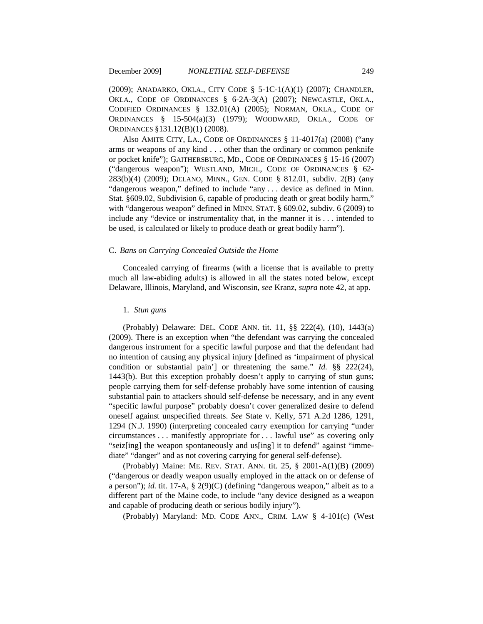(2009); ANADARKO, OKLA., CITY CODE § 5-1C-1(A)(1) (2007); CHANDLER, OKLA., CODE OF ORDINANCES § 6-2A-3(A) (2007); NEWCASTLE, OKLA., CODIFIED ORDINANCES § 132.01(A) (2005); NORMAN, OKLA., CODE OF ORDINANCES § 15-504(a)(3) (1979); WOODWARD, OKLA., CODE OF ORDINANCES §131.12(B)(1) (2008).

Also AMITE CITY, LA., CODE OF ORDINANCES § 11-4017(a) (2008) ("any arms or weapons of any kind . . . other than the ordinary or common penknife or pocket knife"); GAITHERSBURG, MD., CODE OF ORDINANCES § 15-16 (2007) ("dangerous weapon"); WESTLAND, MICH., CODE OF ORDINANCES § 62- 283(b)(4) (2009); DELANO, MINN., GEN. CODE § 812.01, subdiv. 2(B) (any "dangerous weapon," defined to include "any . . . device as defined in Minn. Stat. §609.02, Subdivision 6, capable of producing death or great bodily harm," with "dangerous weapon" defined in MINN. STAT. § 609.02, subdiv. 6 (2009) to include any "device or instrumentality that, in the manner it is . . . intended to be used, is calculated or likely to produce death or great bodily harm").

## C. *Bans on Carrying Concealed Outside the Home*

Concealed carrying of firearms (with a license that is available to pretty much all law-abiding adults) is allowed in all the states noted below, except Delaware, Illinois, Maryland, and Wisconsin, *see* Kranz, *supra* note 42, at app.

#### 1. *Stun guns*

(Probably) Delaware: DEL. CODE ANN. tit. 11, §§ 222(4), (10), 1443(a) (2009). There is an exception when "the defendant was carrying the concealed dangerous instrument for a specific lawful purpose and that the defendant had no intention of causing any physical injury [defined as 'impairment of physical condition or substantial pain'] or threatening the same." *Id.* §§ 222(24), 1443(b). But this exception probably doesn't apply to carrying of stun guns; people carrying them for self-defense probably have some intention of causing substantial pain to attackers should self-defense be necessary, and in any event "specific lawful purpose" probably doesn't cover generalized desire to defend oneself against unspecified threats. *See* State v. Kelly, 571 A.2d 1286, 1291, 1294 (N.J. 1990) (interpreting concealed carry exemption for carrying "under circumstances . . . manifestly appropriate for . . . lawful use" as covering only "seiz[ing] the weapon spontaneously and us[ing] it to defend" against "immediate" "danger" and as not covering carrying for general self-defense).

(Probably) Maine: ME. REV. STAT. ANN. tit. 25, § 2001-A(1)(B) (2009) ("dangerous or deadly weapon usually employed in the attack on or defense of a person"); *id.* tit. 17-A, § 2(9)(C) (defining "dangerous weapon," albeit as to a different part of the Maine code, to include "any device designed as a weapon and capable of producing death or serious bodily injury").

(Probably) Maryland: MD. CODE ANN., CRIM. LAW § 4-101(c) (West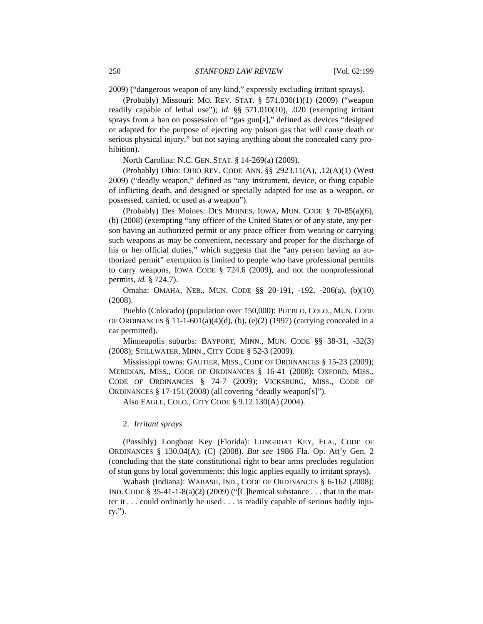2009) ("dangerous weapon of any kind," expressly excluding irritant sprays).

(Probably) Missouri: MO. REV. STAT. § 571.030(1)(1) (2009) ("weapon readily capable of lethal use"); *id.* §§ 571.010(10), .020 (exempting irritant sprays from a ban on possession of "gas gun[s]," defined as devices "designed or adapted for the purpose of ejecting any poison gas that will cause death or serious physical injury," but not saying anything about the concealed carry prohibition).

North Carolina: N.C. GEN. STAT. § 14-269(a) (2009).

(Probably) Ohio: OHIO REV. CODE ANN. §§ 2923.11(A), .12(A)(1) (West 2009) ("deadly weapon," defined as "any instrument, device, or thing capable of inflicting death, and designed or specially adapted for use as a weapon, or possessed, carried, or used as a weapon").

(Probably) Des Moines: DES MOINES, IOWA, MUN. CODE § 70-85(a)(6), (b) (2008) (exempting "any officer of the United States or of any state, any person having an authorized permit or any peace officer from wearing or carrying such weapons as may be convenient, necessary and proper for the discharge of his or her official duties," which suggests that the "any person having an authorized permit" exemption is limited to people who have professional permits to carry weapons, IOWA CODE § 724.6 (2009), and not the nonprofessional permits, *id.* § 724.7).

Omaha: OMAHA, NEB., MUN. CODE §§ 20-191, -192, -206(a), (b)(10) (2008).

Pueblo (Colorado) (population over 150,000): PUEBLO, COLO., MUN. CODE OF ORDINANCES § 11-1-601(a)(4)(d), (b), (e)(2) (1997) (carrying concealed in a car permitted).

Minneapolis suburbs: BAYPORT, MINN., MUN. CODE §§ 38-31, -32(3) (2008); STILLWATER, MINN., CITY CODE § 52-3 (2009).

Mississippi towns: GAUTIER, MISS., CODE OF ORDINANCES § 15-23 (2009); MERIDIAN, MISS., CODE OF ORDINANCES § 16-41 (2008); OXFORD, MISS., CODE OF ORDINANCES § 74-7 (2009); VICKSBURG, MISS., CODE OF ORDINANCES § 17-151 (2008) (all covering "deadly weapon[s]").

Also EAGLE, COLO., CITY CODE § 9.12.130(A) (2004).

# 2. *Irritant sprays*

(Possibly) Longboat Key (Florida): LONGBOAT KEY, FLA., CODE OF ORDINANCES § 130.04(A), (C) (2008). *But see* 1986 Fla. Op. Att'y Gen. 2 (concluding that the state constitutional right to bear arms precludes regulation of stun guns by local governments; this logic applies equally to irritant sprays).

Wabash (Indiana): WABASH, IND., CODE OF ORDINANCES § 6-162 (2008); IND. CODE § 35-41-1-8(a)(2) (2009) ("[C]hemical substance . . . that in the matter it . . . could ordinarily be used . . . is readily capable of serious bodily injury.").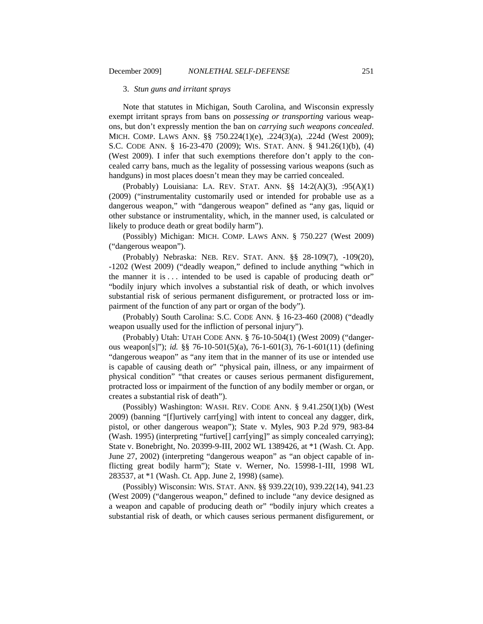#### 3. *Stun guns and irritant sprays*

Note that statutes in Michigan, South Carolina, and Wisconsin expressly exempt irritant sprays from bans on *possessing or transporting* various weapons, but don't expressly mention the ban on *carrying such weapons concealed*. MICH. COMP. LAWS ANN. §§ 750.224(1)(e), .224(3)(a), .224d (West 2009); S.C. CODE ANN. § 16-23-470 (2009); WIS. STAT. ANN. § 941.26(1)(b), (4) (West 2009). I infer that such exemptions therefore don't apply to the concealed carry bans, much as the legality of possessing various weapons (such as handguns) in most places doesn't mean they may be carried concealed.

(Probably) Louisiana: LA. REV. STAT. ANN. §§ 14:2(A)(3), :95(A)(1) (2009) ("instrumentality customarily used or intended for probable use as a dangerous weapon," with "dangerous weapon" defined as "any gas, liquid or other substance or instrumentality, which, in the manner used, is calculated or likely to produce death or great bodily harm").

(Possibly) Michigan: MICH. COMP. LAWS ANN. § 750.227 (West 2009) ("dangerous weapon").

(Probably) Nebraska: NEB. REV. STAT. ANN. §§ 28-109(7), -109(20), -1202 (West 2009) ("deadly weapon," defined to include anything "which in the manner it is  $\dots$  intended to be used is capable of producing death or" "bodily injury which involves a substantial risk of death, or which involves substantial risk of serious permanent disfigurement, or protracted loss or impairment of the function of any part or organ of the body").

(Probably) South Carolina: S.C. CODE ANN. § 16-23-460 (2008) ("deadly weapon usually used for the infliction of personal injury").

(Probably) Utah: UTAH CODE ANN. § 76-10-504(1) (West 2009) ("dangerous weapon[s]"); *id.* §§ 76-10-501(5)(a), 76-1-601(3), 76-1-601(11) (defining "dangerous weapon" as "any item that in the manner of its use or intended use is capable of causing death or" "physical pain, illness, or any impairment of physical condition" "that creates or causes serious permanent disfigurement, protracted loss or impairment of the function of any bodily member or organ, or creates a substantial risk of death").

(Possibly) Washington: WASH. REV. CODE ANN. § 9.41.250(1)(b) (West 2009) (banning "[f]urtively carr[ying] with intent to conceal any dagger, dirk, pistol, or other dangerous weapon"); State v. Myles, 903 P.2d 979, 983-84 (Wash. 1995) (interpreting "furtive[] carr[ying]" as simply concealed carrying); State v. Bonebright, No. 20399-9-III, 2002 WL 1389426, at \*1 (Wash. Ct. App. June 27, 2002) (interpreting "dangerous weapon" as "an object capable of inflicting great bodily harm"); State v. Werner, No. 15998-1-III, 1998 WL 283537, at \*1 (Wash. Ct. App. June 2, 1998) (same).

(Possibly) Wisconsin: WIS. STAT. ANN. §§ 939.22(10), 939.22(14), 941.23 (West 2009) ("dangerous weapon," defined to include "any device designed as a weapon and capable of producing death or" "bodily injury which creates a substantial risk of death, or which causes serious permanent disfigurement, or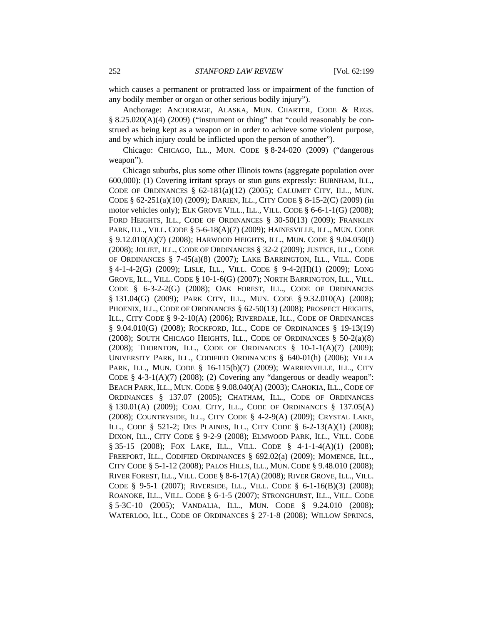which causes a permanent or protracted loss or impairment of the function of any bodily member or organ or other serious bodily injury").

Anchorage: ANCHORAGE, ALASKA, MUN. CHARTER, CODE & REGS. § 8.25.020(A)(4) (2009) ("instrument or thing" that "could reasonably be construed as being kept as a weapon or in order to achieve some violent purpose, and by which injury could be inflicted upon the person of another").

Chicago: CHICAGO, ILL., MUN. CODE § 8-24-020 (2009) ("dangerous weapon").

Chicago suburbs, plus some other Illinois towns (aggregate population over 600,000): (1) Covering irritant sprays or stun guns expressly: BURNHAM, ILL., CODE OF ORDINANCES  $\S$  62-181(a)(12) (2005); CALUMET CITY, ILL., MUN. CODE § 62-251(a)(10) (2009); DARIEN, ILL., CITY CODE § 8-15-2(C) (2009) (in motor vehicles only); ELK GROVE VILL., ILL., VILL. CODE § 6-6-1-1(G) (2008); FORD HEIGHTS, ILL., CODE OF ORDINANCES § 30-50(13) (2009); FRANKLIN PARK, ILL., VILL. CODE § 5-6-18(A)(7) (2009); HAINESVILLE, ILL., MUN. CODE § 9.12.010(A)(7) (2008); HARWOOD HEIGHTS, ILL., MUN. CODE § 9.04.050(I) (2008); JOLIET, ILL., CODE OF ORDINANCES § 32-2 (2009); JUSTICE, ILL., CODE OF ORDINANCES § 7-45(a)(8) (2007); LAKE BARRINGTON, ILL., VILL. CODE § 4-1-4-2(G) (2009); LISLE, ILL., VILL. CODE § 9-4-2(H)(1) (2009); LONG GROVE, ILL., VILL. CODE § 10-1-6(G) (2007); NORTH BARRINGTON, ILL., VILL. CODE § 6-3-2-2(G) (2008); OAK FOREST, ILL., CODE OF ORDINANCES § 131.04(G) (2009); PARK CITY, ILL., MUN. CODE § 9.32.010(A) (2008); PHOENIX, ILL., CODE OF ORDINANCES § 62-50(13) (2008); PROSPECT HEIGHTS, ILL., CITY CODE § 9-2-10(A) (2006); RIVERDALE, ILL., CODE OF ORDINANCES § 9.04.010(G) (2008); ROCKFORD, ILL., CODE OF ORDINANCES § 19-13(19) (2008); SOUTH CHICAGO HEIGHTS, ILL., CODE OF ORDINANCES § 50-2(a)(8) (2008); THORNTON, ILL., CODE OF ORDINANCES § 10-1-1(A)(7) (2009); UNIVERSITY PARK, ILL., CODIFIED ORDINANCES § 640-01(h) (2006); VILLA PARK, ILL., MUN. CODE § 16-115(b)(7) (2009); WARRENVILLE, ILL., CITY CODE  $§$  4-3-1(A)(7) (2008); (2) Covering any "dangerous or deadly weapon": BEACH PARK, ILL., MUN. CODE § 9.08.040(A) (2003); CAHOKIA, ILL., CODE OF ORDINANCES § 137.07 (2005); CHATHAM, ILL., CODE OF ORDINANCES § 130.01(A) (2009); COAL CITY, ILL., CODE OF ORDINANCES § 137.05(A) (2008); COUNTRYSIDE, ILL., CITY CODE § 4-2-9(A) (2009); CRYSTAL LAKE, ILL., CODE § 521-2; DES PLAINES, ILL., CITY CODE § 6-2-13(A)(1) (2008); DIXON, ILL., CITY CODE § 9-2-9 (2008); ELMWOOD PARK, ILL., VILL. CODE § 35-15 (2008); FOX LAKE, ILL., VILL. CODE § 4-1-1-4(A)(1) (2008); FREEPORT, ILL., CODIFIED ORDINANCES § 692.02(a) (2009); MOMENCE, ILL., CITY CODE § 5-1-12 (2008); PALOS HILLS, ILL., MUN. CODE § 9.48.010 (2008); RIVER FOREST, ILL., VILL. CODE § 8-6-17(A) (2008); RIVER GROVE, ILL., VILL. CODE § 9-5-1 (2007); RIVERSIDE, ILL., VILL. CODE § 6-1-16(B)(3) (2008); ROANOKE, ILL., VILL. CODE § 6-1-5 (2007); STRONGHURST, ILL., VILL. CODE § 5-3C-10 (2005); VANDALIA, ILL., MUN. CODE § 9.24.010 (2008); WATERLOO, ILL., CODE OF ORDINANCES § 27-1-8 (2008); WILLOW SPRINGS,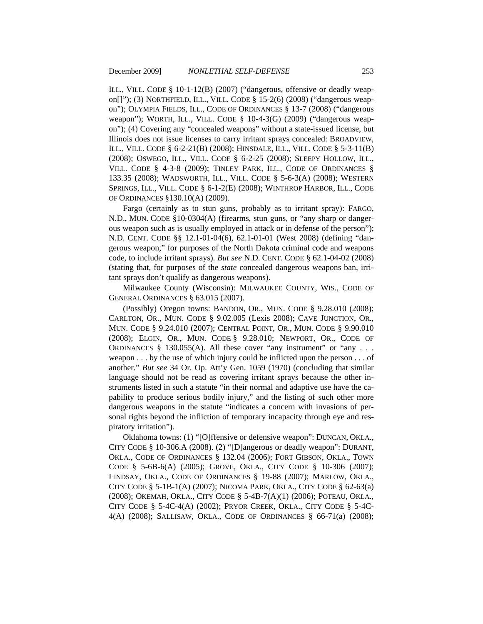ILL., VILL. CODE § 10-1-12(B) (2007) ("dangerous, offensive or deadly weapon[]"); (3) NORTHFIELD, ILL., VILL. CODE § 15-2(6) (2008) ("dangerous weapon"); OLYMPIA FIELDS, ILL., CODE OF ORDINANCES § 13-7 (2008) ("dangerous weapon"); WORTH, ILL., VILL. CODE § 10-4-3(G) (2009) ("dangerous weapon"); (4) Covering any "concealed weapons" without a state-issued license, but Illinois does not issue licenses to carry irritant sprays concealed: BROADVIEW, ILL., VILL. CODE § 6-2-21(B) (2008); HINSDALE, ILL., VILL. CODE § 5-3-11(B) (2008); OSWEGO, ILL., VILL. CODE § 6-2-25 (2008); SLEEPY HOLLOW, ILL., VILL. CODE § 4-3-8 (2009); TINLEY PARK, ILL., CODE OF ORDINANCES § 133.35 (2008); WADSWORTH, ILL., VILL. CODE § 5-6-3(A) (2008); WESTERN SPRINGS, ILL., VILL. CODE § 6-1-2(E) (2008); WINTHROP HARBOR, ILL., CODE OF ORDINANCES §130.10(A) (2009).

Fargo (certainly as to stun guns, probably as to irritant spray): FARGO, N.D., MUN. CODE §10-0304(A) (firearms, stun guns, or "any sharp or dangerous weapon such as is usually employed in attack or in defense of the person"); N.D. CENT. CODE §§ 12.1-01-04(6), 62.1-01-01 (West 2008) (defining "dangerous weapon," for purposes of the North Dakota criminal code and weapons code, to include irritant sprays). *But see* N.D. CENT. CODE § 62.1-04-02 (2008) (stating that, for purposes of the *state* concealed dangerous weapons ban, irritant sprays don't qualify as dangerous weapons).

Milwaukee County (Wisconsin): MILWAUKEE COUNTY, WIS., CODE OF GENERAL ORDINANCES § 63.015 (2007).

(Possibly) Oregon towns: BANDON, OR., MUN. CODE § 9.28.010 (2008); CARLTON, OR., MUN. CODE § 9.02.005 (Lexis 2008); CAVE JUNCTION, OR., MUN. CODE § 9.24.010 (2007); CENTRAL POINT, OR., MUN. CODE § 9.90.010 (2008); ELGIN, OR., MUN. CODE § 9.28.010; NEWPORT, OR., CODE OF ORDINANCES  $§$  130.055(A). All these cover "any instrument" or "any . . . weapon  $\dots$  by the use of which injury could be inflicted upon the person  $\dots$  of another." *But see* 34 Or. Op. Att'y Gen. 1059 (1970) (concluding that similar language should not be read as covering irritant sprays because the other instruments listed in such a statute "in their normal and adaptive use have the capability to produce serious bodily injury," and the listing of such other more dangerous weapons in the statute "indicates a concern with invasions of personal rights beyond the infliction of temporary incapacity through eye and respiratory irritation").

Oklahoma towns: (1) "[O]ffensive or defensive weapon": DUNCAN, OKLA., CITY CODE § 10-306.A (2008). (2) "[D]angerous or deadly weapon": DURANT, OKLA., CODE OF ORDINANCES § 132.04 (2006); FORT GIBSON, OKLA., TOWN CODE § 5-6B-6(A) (2005); GROVE, OKLA., CITY CODE § 10-306 (2007); LINDSAY, OKLA., CODE OF ORDINANCES § 19-88 (2007); MARLOW, OKLA., CITY CODE § 5-1B-1(A) (2007); NICOMA PARK, OKLA., CITY CODE § 62-63(a) (2008); OKEMAH, OKLA., CITY CODE § 5-4B-7(A)(1) (2006); POTEAU, OKLA., CITY CODE § 5-4C-4(A) (2002); PRYOR CREEK, OKLA., CITY CODE § 5-4C-4(A) (2008); SALLISAW, OKLA., CODE OF ORDINANCES § 66-71(a) (2008);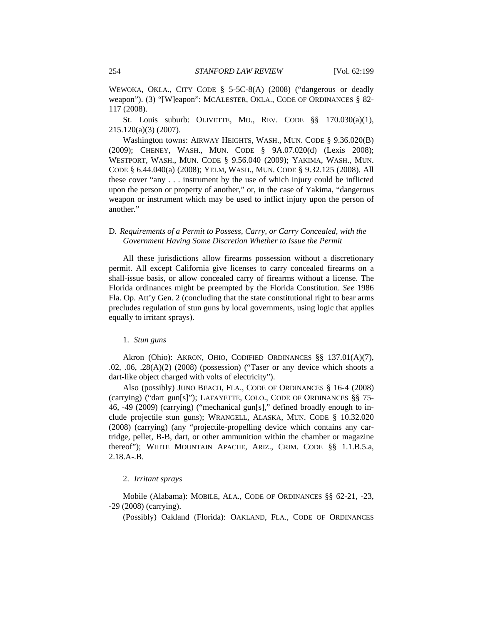WEWOKA, OKLA., CITY CODE § 5-5C-8(A) (2008) ("dangerous or deadly weapon"). (3) "[W]eapon": MCALESTER, OKLA., CODE OF ORDINANCES § 82-117 (2008).

St. Louis suburb: OLIVETTE, MO., REV. CODE §§ 170.030(a)(1), 215.120(a)(3) (2007).

Washington towns: AIRWAY HEIGHTS, WASH., MUN. CODE § 9.36.020(B) (2009); CHENEY, WASH., MUN. CODE § 9A.07.020(d) (Lexis 2008); WESTPORT, WASH., MUN. CODE § 9.56.040 (2009); YAKIMA, WASH., MUN. CODE § 6.44.040(a) (2008); YELM, WASH., MUN. CODE § 9.32.125 (2008). All these cover "any . . . instrument by the use of which injury could be inflicted upon the person or property of another," or, in the case of Yakima, "dangerous weapon or instrument which may be used to inflict injury upon the person of another."

# D. *Requirements of a Permit to Possess, Carry, or Carry Concealed, with the Government Having Some Discretion Whether to Issue the Permit*

All these jurisdictions allow firearms possession without a discretionary permit. All except California give licenses to carry concealed firearms on a shall-issue basis, or allow concealed carry of firearms without a license. The Florida ordinances might be preempted by the Florida Constitution. *See* 1986 Fla. Op. Att'y Gen. 2 (concluding that the state constitutional right to bear arms precludes regulation of stun guns by local governments, using logic that applies equally to irritant sprays).

#### 1. *Stun guns*

Akron (Ohio): AKRON, OHIO, CODIFIED ORDINANCES §§ 137.01(A)(7), .02, .06, .28(A)(2) (2008) (possession) ("Taser or any device which shoots a dart-like object charged with volts of electricity").

Also (possibly) JUNO BEACH, FLA., CODE OF ORDINANCES § 16-4 (2008) (carrying) ("dart gun[s]"); LAFAYETTE, COLO., CODE OF ORDINANCES §§ 75- 46, -49 (2009) (carrying) ("mechanical gun[s]," defined broadly enough to include projectile stun guns); WRANGELL, ALASKA, MUN. CODE § 10.32.020 (2008) (carrying) (any "projectile-propelling device which contains any cartridge, pellet, B-B, dart, or other ammunition within the chamber or magazine thereof"); WHITE MOUNTAIN APACHE, ARIZ., CRIM. CODE §§ 1.1.B.5.a, 2.18.A-.B.

#### 2. *Irritant sprays*

Mobile (Alabama): MOBILE, ALA., CODE OF ORDINANCES §§ 62-21, -23, -29 (2008) (carrying).

(Possibly) Oakland (Florida): OAKLAND, FLA., CODE OF ORDINANCES